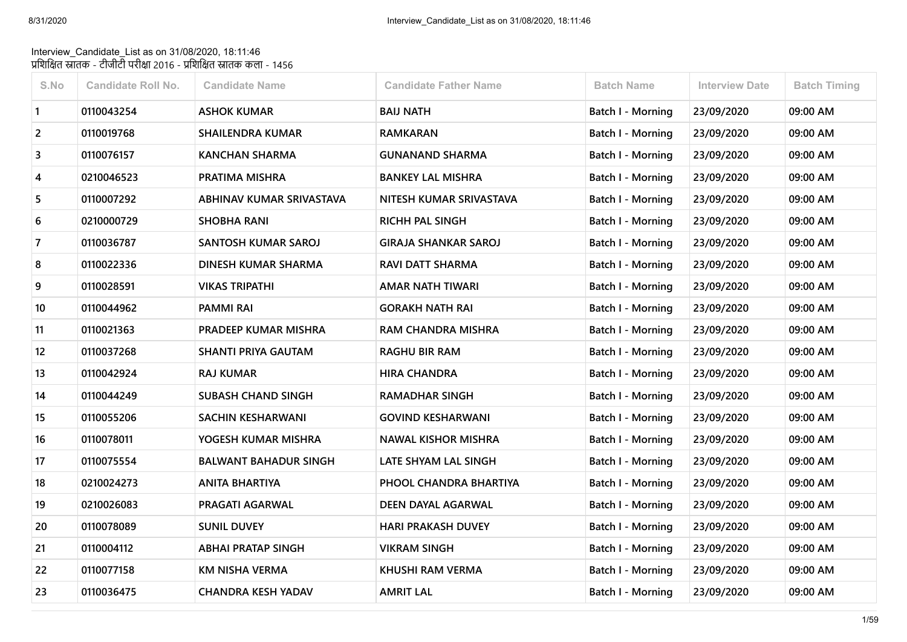## Interview\_Candidate\_List as on 31/08/2020, 18:11:46 प्रशिक्षित स्नातक - टीजीटी परीक्षा 2016 - प्रशिक्षित स्नातक कला - 1456

| S.No           | <b>Candidate Roll No.</b> | <b>Candidate Name</b>        | <b>Candidate Father Name</b> | <b>Batch Name</b>        | <b>Interview Date</b> | <b>Batch Timing</b> |
|----------------|---------------------------|------------------------------|------------------------------|--------------------------|-----------------------|---------------------|
| $\mathbf{1}$   | 0110043254                | <b>ASHOK KUMAR</b>           | <b>BAIJ NATH</b>             | Batch I - Morning        | 23/09/2020            | 09:00 AM            |
| $\overline{2}$ | 0110019768                | <b>SHAILENDRA KUMAR</b>      | <b>RAMKARAN</b>              | Batch I - Morning        | 23/09/2020            | 09:00 AM            |
| 3              | 0110076157                | <b>KANCHAN SHARMA</b>        | <b>GUNANAND SHARMA</b>       | Batch I - Morning        | 23/09/2020            | 09:00 AM            |
| 4              | 0210046523                | PRATIMA MISHRA               | <b>BANKEY LAL MISHRA</b>     | Batch I - Morning        | 23/09/2020            | 09:00 AM            |
| 5              | 0110007292                | ABHINAV KUMAR SRIVASTAVA     | NITESH KUMAR SRIVASTAVA      | Batch I - Morning        | 23/09/2020            | 09:00 AM            |
| 6              | 0210000729                | <b>SHOBHA RANI</b>           | <b>RICHH PAL SINGH</b>       | Batch I - Morning        | 23/09/2020            | 09:00 AM            |
| 7              | 0110036787                | SANTOSH KUMAR SAROJ          | <b>GIRAJA SHANKAR SAROJ</b>  | Batch I - Morning        | 23/09/2020            | 09:00 AM            |
| 8              | 0110022336                | DINESH KUMAR SHARMA          | <b>RAVI DATT SHARMA</b>      | Batch I - Morning        | 23/09/2020            | 09:00 AM            |
| 9              | 0110028591                | <b>VIKAS TRIPATHI</b>        | <b>AMAR NATH TIWARI</b>      | Batch I - Morning        | 23/09/2020            | 09:00 AM            |
| 10             | 0110044962                | <b>PAMMI RAI</b>             | <b>GORAKH NATH RAI</b>       | Batch I - Morning        | 23/09/2020            | 09:00 AM            |
| 11             | 0110021363                | PRADEEP KUMAR MISHRA         | RAM CHANDRA MISHRA           | Batch I - Morning        | 23/09/2020            | 09:00 AM            |
| 12             | 0110037268                | SHANTI PRIYA GAUTAM          | <b>RAGHU BIR RAM</b>         | Batch I - Morning        | 23/09/2020            | 09:00 AM            |
| 13             | 0110042924                | <b>RAJ KUMAR</b>             | <b>HIRA CHANDRA</b>          | Batch I - Morning        | 23/09/2020            | 09:00 AM            |
| 14             | 0110044249                | <b>SUBASH CHAND SINGH</b>    | RAMADHAR SINGH               | Batch I - Morning        | 23/09/2020            | 09:00 AM            |
| 15             | 0110055206                | SACHIN KESHARWANI            | <b>GOVIND KESHARWANI</b>     | Batch I - Morning        | 23/09/2020            | 09:00 AM            |
| 16             | 0110078011                | YOGESH KUMAR MISHRA          | <b>NAWAL KISHOR MISHRA</b>   | Batch I - Morning        | 23/09/2020            | 09:00 AM            |
| 17             | 0110075554                | <b>BALWANT BAHADUR SINGH</b> | LATE SHYAM LAL SINGH         | Batch I - Morning        | 23/09/2020            | 09:00 AM            |
| 18             | 0210024273                | <b>ANITA BHARTIYA</b>        | PHOOL CHANDRA BHARTIYA       | <b>Batch I - Morning</b> | 23/09/2020            | 09:00 AM            |
| 19             | 0210026083                | PRAGATI AGARWAL              | DEEN DAYAL AGARWAL           | Batch I - Morning        | 23/09/2020            | 09:00 AM            |
| 20             | 0110078089                | <b>SUNIL DUVEY</b>           | <b>HARI PRAKASH DUVEY</b>    | Batch I - Morning        | 23/09/2020            | 09:00 AM            |
| 21             | 0110004112                | <b>ABHAI PRATAP SINGH</b>    | <b>VIKRAM SINGH</b>          | <b>Batch I - Morning</b> | 23/09/2020            | 09:00 AM            |
| 22             | 0110077158                | <b>KM NISHA VERMA</b>        | KHUSHI RAM VERMA             | <b>Batch I - Morning</b> | 23/09/2020            | 09:00 AM            |
| 23             | 0110036475                | <b>CHANDRA KESH YADAV</b>    | <b>AMRIT LAL</b>             | <b>Batch I - Morning</b> | 23/09/2020            | 09:00 AM            |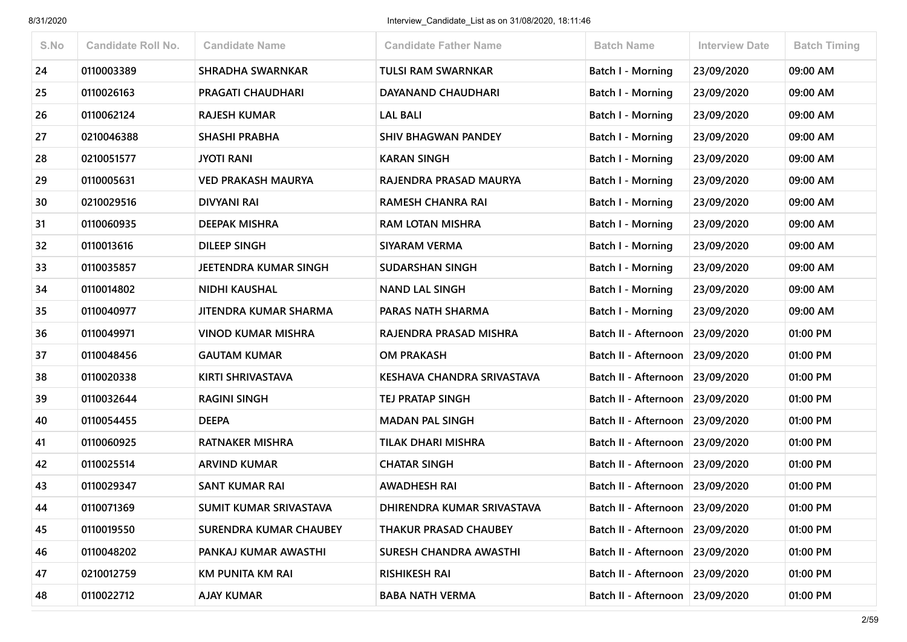| S.No | <b>Candidate Roll No.</b> | <b>Candidate Name</b>         | <b>Candidate Father Name</b> | <b>Batch Name</b>               | <b>Interview Date</b> | <b>Batch Timing</b> |
|------|---------------------------|-------------------------------|------------------------------|---------------------------------|-----------------------|---------------------|
| 24   | 0110003389                | <b>SHRADHA SWARNKAR</b>       | <b>TULSI RAM SWARNKAR</b>    | Batch I - Morning               | 23/09/2020            | 09:00 AM            |
| 25   | 0110026163                | <b>PRAGATI CHAUDHARI</b>      | DAYANAND CHAUDHARI           | Batch I - Morning               | 23/09/2020            | 09:00 AM            |
| 26   | 0110062124                | <b>RAJESH KUMAR</b>           | <b>LAL BALI</b>              | Batch I - Morning               | 23/09/2020            | 09:00 AM            |
| 27   | 0210046388                | <b>SHASHI PRABHA</b>          | <b>SHIV BHAGWAN PANDEY</b>   | Batch I - Morning               | 23/09/2020            | 09:00 AM            |
| 28   | 0210051577                | <b>JYOTI RANI</b>             | <b>KARAN SINGH</b>           | Batch I - Morning               | 23/09/2020            | 09:00 AM            |
| 29   | 0110005631                | <b>VED PRAKASH MAURYA</b>     | RAJENDRA PRASAD MAURYA       | <b>Batch I - Morning</b>        | 23/09/2020            | 09:00 AM            |
| 30   | 0210029516                | <b>DIVYANI RAI</b>            | <b>RAMESH CHANRA RAI</b>     | Batch I - Morning               | 23/09/2020            | 09:00 AM            |
| 31   | 0110060935                | DEEPAK MISHRA                 | <b>RAM LOTAN MISHRA</b>      | Batch I - Morning               | 23/09/2020            | 09:00 AM            |
| 32   | 0110013616                | <b>DILEEP SINGH</b>           | SIYARAM VERMA                | <b>Batch I - Morning</b>        | 23/09/2020            | 09:00 AM            |
| 33   | 0110035857                | JEETENDRA KUMAR SINGH         | <b>SUDARSHAN SINGH</b>       | Batch I - Morning               | 23/09/2020            | 09:00 AM            |
| 34   | 0110014802                | <b>NIDHI KAUSHAL</b>          | <b>NAND LAL SINGH</b>        | Batch I - Morning               | 23/09/2020            | 09:00 AM            |
| 35   | 0110040977                | JITENDRA KUMAR SHARMA         | PARAS NATH SHARMA            | <b>Batch I - Morning</b>        | 23/09/2020            | 09:00 AM            |
| 36   | 0110049971                | <b>VINOD KUMAR MISHRA</b>     | RAJENDRA PRASAD MISHRA       | Batch II - Afternoon            | 23/09/2020            | 01:00 PM            |
| 37   | 0110048456                | <b>GAUTAM KUMAR</b>           | <b>OM PRAKASH</b>            | Batch II - Afternoon            | 23/09/2020            | 01:00 PM            |
| 38   | 0110020338                | KIRTI SHRIVASTAVA             | KESHAVA CHANDRA SRIVASTAVA   | Batch II - Afternoon            | 23/09/2020            | 01:00 PM            |
| 39   | 0110032644                | <b>RAGINI SINGH</b>           | <b>TEJ PRATAP SINGH</b>      | Batch II - Afternoon            | 23/09/2020            | 01:00 PM            |
| 40   | 0110054455                | <b>DEEPA</b>                  | <b>MADAN PAL SINGH</b>       | Batch II - Afternoon            | 23/09/2020            | 01:00 PM            |
| 41   | 0110060925                | <b>RATNAKER MISHRA</b>        | <b>TILAK DHARI MISHRA</b>    | Batch II - Afternoon            | 23/09/2020            | 01:00 PM            |
| 42   | 0110025514                | <b>ARVIND KUMAR</b>           | <b>CHATAR SINGH</b>          | Batch II - Afternoon            | 23/09/2020            | 01:00 PM            |
| 43   | 0110029347                | <b>SANT KUMAR RAI</b>         | <b>AWADHESH RAI</b>          | Batch II - Afternoon            | 23/09/2020            | 01:00 PM            |
| 44   | 0110071369                | SUMIT KUMAR SRIVASTAVA        | DHIRENDRA KUMAR SRIVASTAVA   | Batch II - Afternoon 23/09/2020 |                       | 01:00 PM            |
| 45   | 0110019550                | <b>SURENDRA KUMAR CHAUBEY</b> | <b>THAKUR PRASAD CHAUBEY</b> | Batch II - Afternoon 23/09/2020 |                       | 01:00 PM            |
| 46   | 0110048202                | PANKAJ KUMAR AWASTHI          | SURESH CHANDRA AWASTHI       | Batch II - Afternoon            | 23/09/2020            | 01:00 PM            |
| 47   | 0210012759                | <b>KM PUNITA KM RAI</b>       | <b>RISHIKESH RAI</b>         | Batch II - Afternoon            | 23/09/2020            | 01:00 PM            |
| 48   | 0110022712                | <b>AJAY KUMAR</b>             | <b>BABA NATH VERMA</b>       | Batch II - Afternoon 23/09/2020 |                       | 01:00 PM            |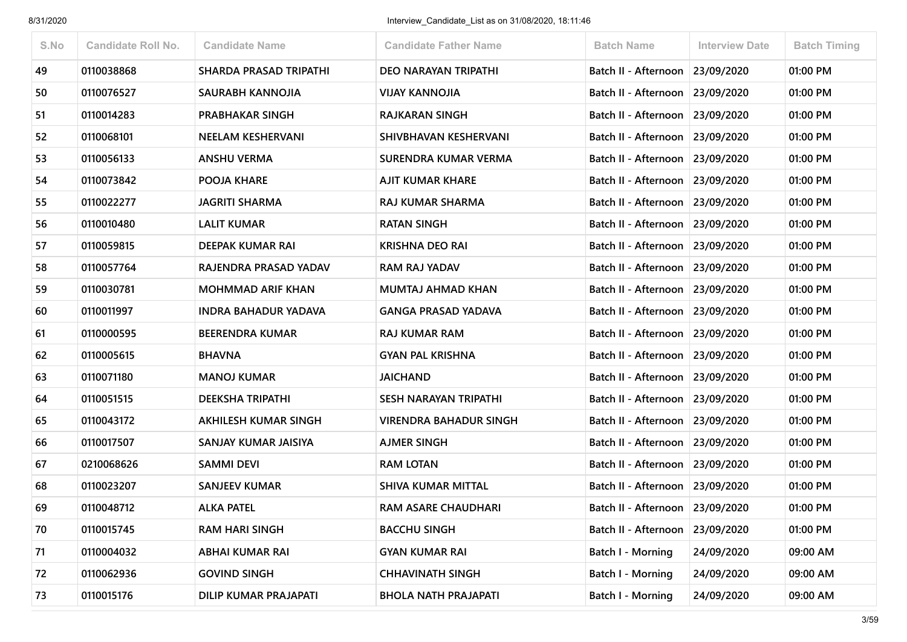| S.No | <b>Candidate Roll No.</b> | <b>Candidate Name</b>         | <b>Candidate Father Name</b>  | <b>Batch Name</b>               | <b>Interview Date</b> | <b>Batch Timing</b> |
|------|---------------------------|-------------------------------|-------------------------------|---------------------------------|-----------------------|---------------------|
| 49   | 0110038868                | <b>SHARDA PRASAD TRIPATHI</b> | <b>DEO NARAYAN TRIPATHI</b>   | Batch II - Afternoon 23/09/2020 |                       | 01:00 PM            |
| 50   | 0110076527                | SAURABH KANNOJIA              | <b>VIJAY KANNOJIA</b>         | Batch II - Afternoon            | 23/09/2020            | 01:00 PM            |
| 51   | 0110014283                | <b>PRABHAKAR SINGH</b>        | <b>RAJKARAN SINGH</b>         | Batch II - Afternoon            | 23/09/2020            | 01:00 PM            |
| 52   | 0110068101                | <b>NEELAM KESHERVANI</b>      | SHIVBHAVAN KESHERVANI         | Batch II - Afternoon            | 23/09/2020            | 01:00 PM            |
| 53   | 0110056133                | <b>ANSHU VERMA</b>            | <b>SURENDRA KUMAR VERMA</b>   | Batch II - Afternoon            | 23/09/2020            | 01:00 PM            |
| 54   | 0110073842                | POOJA KHARE                   | AJIT KUMAR KHARE              | Batch II - Afternoon 23/09/2020 |                       | 01:00 PM            |
| 55   | 0110022277                | <b>JAGRITI SHARMA</b>         | <b>RAJ KUMAR SHARMA</b>       | Batch II - Afternoon            | 23/09/2020            | 01:00 PM            |
| 56   | 0110010480                | <b>LALIT KUMAR</b>            | <b>RATAN SINGH</b>            | Batch II - Afternoon            | 23/09/2020            | 01:00 PM            |
| 57   | 0110059815                | DEEPAK KUMAR RAI              | <b>KRISHNA DEO RAI</b>        | Batch II - Afternoon            | 23/09/2020            | 01:00 PM            |
| 58   | 0110057764                | RAJENDRA PRASAD YADAV         | <b>RAM RAJ YADAV</b>          | Batch II - Afternoon            | 23/09/2020            | 01:00 PM            |
| 59   | 0110030781                | <b>MOHMMAD ARIF KHAN</b>      | <b>MUMTAJ AHMAD KHAN</b>      | Batch II - Afternoon 23/09/2020 |                       | 01:00 PM            |
| 60   | 0110011997                | <b>INDRA BAHADUR YADAVA</b>   | <b>GANGA PRASAD YADAVA</b>    | Batch II - Afternoon            | 23/09/2020            | 01:00 PM            |
| 61   | 0110000595                | <b>BEERENDRA KUMAR</b>        | <b>RAJ KUMAR RAM</b>          | Batch II - Afternoon            | 23/09/2020            | 01:00 PM            |
| 62   | 0110005615                | <b>BHAVNA</b>                 | <b>GYAN PAL KRISHNA</b>       | Batch II - Afternoon 23/09/2020 |                       | 01:00 PM            |
| 63   | 0110071180                | <b>MANOJ KUMAR</b>            | <b>JAICHAND</b>               | Batch II - Afternoon            | 23/09/2020            | 01:00 PM            |
| 64   | 0110051515                | <b>DEEKSHA TRIPATHI</b>       | SESH NARAYAN TRIPATHI         | Batch II - Afternoon            | 23/09/2020            | 01:00 PM            |
| 65   | 0110043172                | AKHILESH KUMAR SINGH          | <b>VIRENDRA BAHADUR SINGH</b> | Batch II - Afternoon            | 23/09/2020            | 01:00 PM            |
| 66   | 0110017507                | SANJAY KUMAR JAISIYA          | <b>AJMER SINGH</b>            | Batch II - Afternoon            | 23/09/2020            | 01:00 PM            |
| 67   | 0210068626                | <b>SAMMI DEVI</b>             | <b>RAM LOTAN</b>              | Batch II - Afternoon 23/09/2020 |                       | 01:00 PM            |
| 68   | 0110023207                | <b>SANJEEV KUMAR</b>          | <b>SHIVA KUMAR MITTAL</b>     | Batch II - Afternoon            | 23/09/2020            | 01:00 PM            |
| 69   | 0110048712                | <b>ALKA PATEL</b>             | <b>RAM ASARE CHAUDHARI</b>    | Batch II - Afternoon 23/09/2020 |                       | 01:00 PM            |
| 70   | 0110015745                | <b>RAM HARI SINGH</b>         | <b>BACCHU SINGH</b>           | Batch II - Afternoon            | 23/09/2020            | 01:00 PM            |
| 71   | 0110004032                | <b>ABHAI KUMAR RAI</b>        | <b>GYAN KUMAR RAI</b>         | Batch I - Morning               | 24/09/2020            | 09:00 AM            |
| 72   | 0110062936                | <b>GOVIND SINGH</b>           | <b>CHHAVINATH SINGH</b>       | Batch I - Morning               | 24/09/2020            | 09:00 AM            |
| 73   | 0110015176                | <b>DILIP KUMAR PRAJAPATI</b>  | <b>BHOLA NATH PRAJAPATI</b>   | <b>Batch I - Morning</b>        | 24/09/2020            | 09:00 AM            |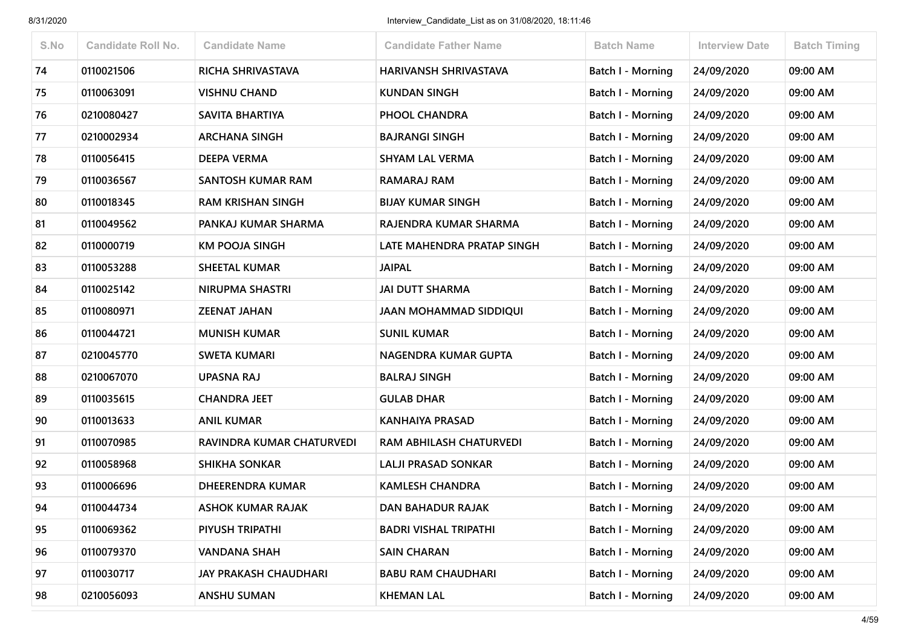| S.No | <b>Candidate Roll No.</b> | <b>Candidate Name</b>        | <b>Candidate Father Name</b>   | <b>Batch Name</b>        | <b>Interview Date</b> | <b>Batch Timing</b> |
|------|---------------------------|------------------------------|--------------------------------|--------------------------|-----------------------|---------------------|
| 74   | 0110021506                | RICHA SHRIVASTAVA            | HARIVANSH SHRIVASTAVA          | <b>Batch I - Morning</b> | 24/09/2020            | 09:00 AM            |
| 75   | 0110063091                | <b>VISHNU CHAND</b>          | <b>KUNDAN SINGH</b>            | Batch I - Morning        | 24/09/2020            | 09:00 AM            |
| 76   | 0210080427                | SAVITA BHARTIYA              | PHOOL CHANDRA                  | Batch I - Morning        | 24/09/2020            | 09:00 AM            |
| 77   | 0210002934                | <b>ARCHANA SINGH</b>         | <b>BAJRANGI SINGH</b>          | <b>Batch I - Morning</b> | 24/09/2020            | 09:00 AM            |
| 78   | 0110056415                | <b>DEEPA VERMA</b>           | <b>SHYAM LAL VERMA</b>         | Batch I - Morning        | 24/09/2020            | 09:00 AM            |
| 79   | 0110036567                | <b>SANTOSH KUMAR RAM</b>     | RAMARAJ RAM                    | <b>Batch I - Morning</b> | 24/09/2020            | 09:00 AM            |
| 80   | 0110018345                | <b>RAM KRISHAN SINGH</b>     | <b>BIJAY KUMAR SINGH</b>       | Batch I - Morning        | 24/09/2020            | 09:00 AM            |
| 81   | 0110049562                | PANKAJ KUMAR SHARMA          | RAJENDRA KUMAR SHARMA          | Batch I - Morning        | 24/09/2020            | 09:00 AM            |
| 82   | 0110000719                | <b>KM POOJA SINGH</b>        | LATE MAHENDRA PRATAP SINGH     | <b>Batch I - Morning</b> | 24/09/2020            | 09:00 AM            |
| 83   | 0110053288                | <b>SHEETAL KUMAR</b>         | <b>JAIPAL</b>                  | <b>Batch I - Morning</b> | 24/09/2020            | 09:00 AM            |
| 84   | 0110025142                | <b>NIRUPMA SHASTRI</b>       | <b>JAI DUTT SHARMA</b>         | Batch I - Morning        | 24/09/2020            | 09:00 AM            |
| 85   | 0110080971                | <b>ZEENAT JAHAN</b>          | <b>JAAN MOHAMMAD SIDDIQUI</b>  | Batch I - Morning        | 24/09/2020            | 09:00 AM            |
| 86   | 0110044721                | <b>MUNISH KUMAR</b>          | <b>SUNIL KUMAR</b>             | Batch I - Morning        | 24/09/2020            | 09:00 AM            |
| 87   | 0210045770                | <b>SWETA KUMARI</b>          | NAGENDRA KUMAR GUPTA           | <b>Batch I - Morning</b> | 24/09/2020            | 09:00 AM            |
| 88   | 0210067070                | UPASNA RAJ                   | <b>BALRAJ SINGH</b>            | Batch I - Morning        | 24/09/2020            | 09:00 AM            |
| 89   | 0110035615                | <b>CHANDRA JEET</b>          | <b>GULAB DHAR</b>              | <b>Batch I - Morning</b> | 24/09/2020            | 09:00 AM            |
| 90   | 0110013633                | <b>ANIL KUMAR</b>            | <b>KANHAIYA PRASAD</b>         | <b>Batch I - Morning</b> | 24/09/2020            | 09:00 AM            |
| 91   | 0110070985                | RAVINDRA KUMAR CHATURVEDI    | <b>RAM ABHILASH CHATURVEDI</b> | Batch I - Morning        | 24/09/2020            | 09:00 AM            |
| 92   | 0110058968                | <b>SHIKHA SONKAR</b>         | <b>LALJI PRASAD SONKAR</b>     | Batch I - Morning        | 24/09/2020            | 09:00 AM            |
| 93   | 0110006696                | <b>DHEERENDRA KUMAR</b>      | <b>KAMLESH CHANDRA</b>         | Batch I - Morning        | 24/09/2020            | 09:00 AM            |
| 94   | 0110044734                | <b>ASHOK KUMAR RAJAK</b>     | DAN BAHADUR RAJAK              | <b>Batch I - Morning</b> | 24/09/2020            | 09:00 AM            |
| 95   | 0110069362                | PIYUSH TRIPATHI              | <b>BADRI VISHAL TRIPATHI</b>   | Batch I - Morning        | 24/09/2020            | 09:00 AM            |
| 96   | 0110079370                | <b>VANDANA SHAH</b>          | <b>SAIN CHARAN</b>             | Batch I - Morning        | 24/09/2020            | 09:00 AM            |
| 97   | 0110030717                | <b>JAY PRAKASH CHAUDHARI</b> | <b>BABU RAM CHAUDHARI</b>      | Batch I - Morning        | 24/09/2020            | 09:00 AM            |
| 98   | 0210056093                | <b>ANSHU SUMAN</b>           | <b>KHEMAN LAL</b>              | Batch I - Morning        | 24/09/2020            | 09:00 AM            |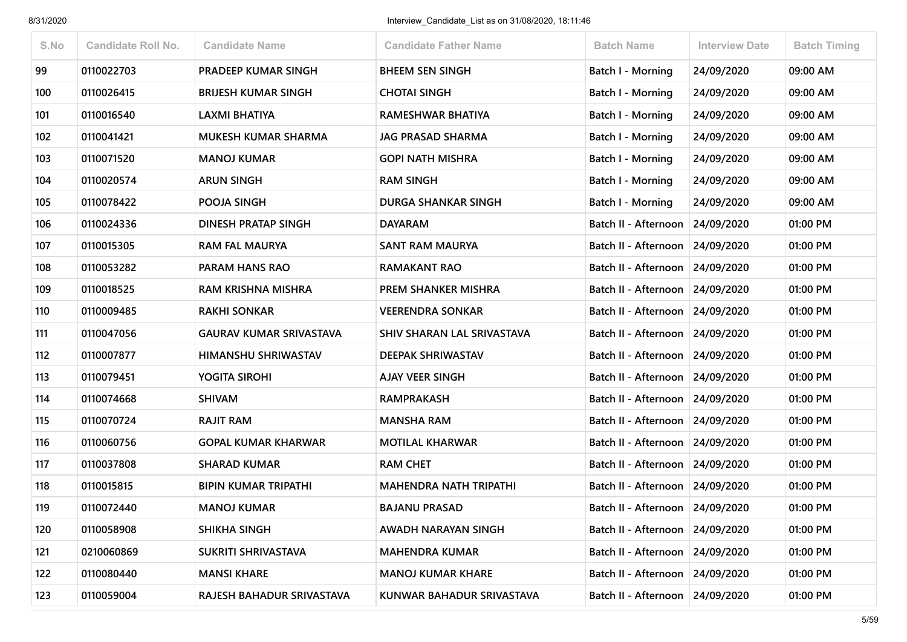| S.No | <b>Candidate Roll No.</b> | <b>Candidate Name</b>          | <b>Candidate Father Name</b>  | <b>Batch Name</b>               | <b>Interview Date</b> | <b>Batch Timing</b> |
|------|---------------------------|--------------------------------|-------------------------------|---------------------------------|-----------------------|---------------------|
| 99   | 0110022703                | <b>PRADEEP KUMAR SINGH</b>     | <b>BHEEM SEN SINGH</b>        | Batch I - Morning               | 24/09/2020            | 09:00 AM            |
| 100  | 0110026415                | <b>BRIJESH KUMAR SINGH</b>     | <b>CHOTAI SINGH</b>           | Batch I - Morning               | 24/09/2020            | 09:00 AM            |
| 101  | 0110016540                | <b>LAXMI BHATIYA</b>           | RAMESHWAR BHATIYA             | Batch I - Morning               | 24/09/2020            | 09:00 AM            |
| 102  | 0110041421                | <b>MUKESH KUMAR SHARMA</b>     | <b>JAG PRASAD SHARMA</b>      | Batch I - Morning               | 24/09/2020            | 09:00 AM            |
| 103  | 0110071520                | <b>MANOJ KUMAR</b>             | <b>GOPI NATH MISHRA</b>       | <b>Batch I - Morning</b>        | 24/09/2020            | 09:00 AM            |
| 104  | 0110020574                | <b>ARUN SINGH</b>              | <b>RAM SINGH</b>              | Batch I - Morning               | 24/09/2020            | 09:00 AM            |
| 105  | 0110078422                | POOJA SINGH                    | <b>DURGA SHANKAR SINGH</b>    | Batch I - Morning               | 24/09/2020            | 09:00 AM            |
| 106  | 0110024336                | DINESH PRATAP SINGH            | <b>DAYARAM</b>                | Batch II - Afternoon            | 24/09/2020            | 01:00 PM            |
| 107  | 0110015305                | <b>RAM FAL MAURYA</b>          | <b>SANT RAM MAURYA</b>        | Batch II - Afternoon            | 24/09/2020            | 01:00 PM            |
| 108  | 0110053282                | PARAM HANS RAO                 | <b>RAMAKANT RAO</b>           | Batch II - Afternoon            | 24/09/2020            | 01:00 PM            |
| 109  | 0110018525                | RAM KRISHNA MISHRA             | PREM SHANKER MISHRA           | Batch II - Afternoon            | 24/09/2020            | 01:00 PM            |
| 110  | 0110009485                | <b>RAKHI SONKAR</b>            | <b>VEERENDRA SONKAR</b>       | Batch II - Afternoon            | 24/09/2020            | 01:00 PM            |
| 111  | 0110047056                | <b>GAURAV KUMAR SRIVASTAVA</b> | SHIV SHARAN LAL SRIVASTAVA    | <b>Batch II - Afternoon</b>     | 24/09/2020            | 01:00 PM            |
| 112  | 0110007877                | HIMANSHU SHRIWASTAV            | <b>DEEPAK SHRIWASTAV</b>      | Batch II - Afternoon            | 24/09/2020            | 01:00 PM            |
| 113  | 0110079451                | <b>YOGITA SIROHI</b>           | <b>AJAY VEER SINGH</b>        | Batch II - Afternoon            | 24/09/2020            | 01:00 PM            |
| 114  | 0110074668                | <b>SHIVAM</b>                  | <b>RAMPRAKASH</b>             | Batch II - Afternoon            | 24/09/2020            | 01:00 PM            |
| 115  | 0110070724                | <b>RAJIT RAM</b>               | <b>MANSHA RAM</b>             | Batch II - Afternoon 24/09/2020 |                       | 01:00 PM            |
| 116  | 0110060756                | <b>GOPAL KUMAR KHARWAR</b>     | <b>MOTILAL KHARWAR</b>        | Batch II - Afternoon            | 24/09/2020            | 01:00 PM            |
| 117  | 0110037808                | <b>SHARAD KUMAR</b>            | <b>RAM CHET</b>               | Batch II - Afternoon            | 24/09/2020            | 01:00 PM            |
| 118  | 0110015815                | <b>BIPIN KUMAR TRIPATHI</b>    | <b>MAHENDRA NATH TRIPATHI</b> | Batch II - Afternoon            | 24/09/2020            | 01:00 PM            |
| 119  | 0110072440                | <b>MANOJ KUMAR</b>             | <b>BAJANU PRASAD</b>          | Batch II - Afternoon 24/09/2020 |                       | 01:00 PM            |
| 120  | 0110058908                | <b>SHIKHA SINGH</b>            | AWADH NARAYAN SINGH           | Batch II - Afternoon 24/09/2020 |                       | 01:00 PM            |
| 121  | 0210060869                | SUKRITI SHRIVASTAVA            | <b>MAHENDRA KUMAR</b>         | Batch II - Afternoon            | 24/09/2020            | 01:00 PM            |
| 122  | 0110080440                | <b>MANSI KHARE</b>             | <b>MANOJ KUMAR KHARE</b>      | Batch II - Afternoon            | 24/09/2020            | 01:00 PM            |
| 123  | 0110059004                | RAJESH BAHADUR SRIVASTAVA      | KUNWAR BAHADUR SRIVASTAVA     | Batch II - Afternoon 24/09/2020 |                       | 01:00 PM            |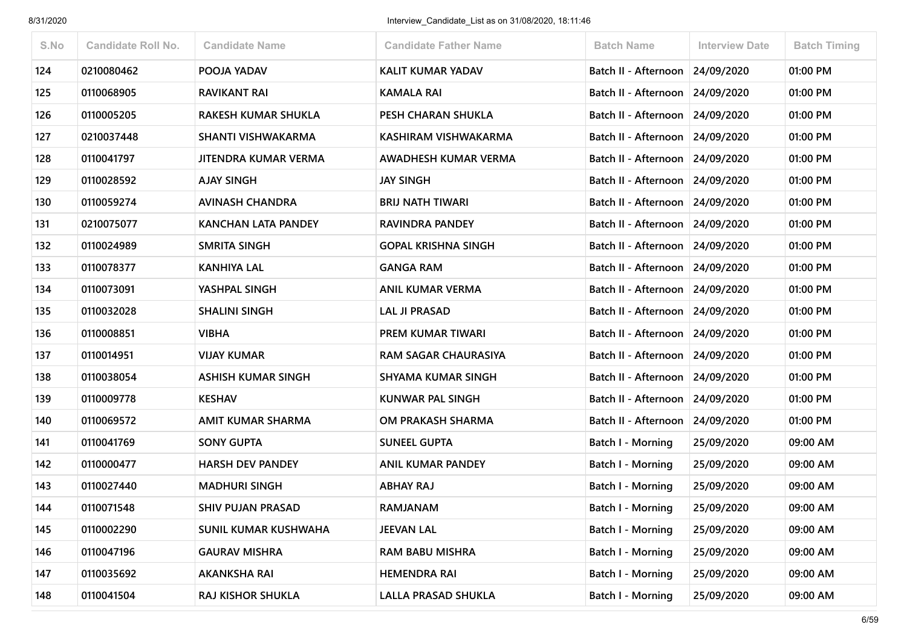| S.No | <b>Candidate Roll No.</b> | <b>Candidate Name</b>       | <b>Candidate Father Name</b> | <b>Batch Name</b>               | <b>Interview Date</b> | <b>Batch Timing</b> |
|------|---------------------------|-----------------------------|------------------------------|---------------------------------|-----------------------|---------------------|
| 124  | 0210080462                | POOJA YADAV                 | <b>KALIT KUMAR YADAV</b>     | Batch II - Afternoon            | 24/09/2020            | 01:00 PM            |
| 125  | 0110068905                | <b>RAVIKANT RAI</b>         | <b>KAMALA RAI</b>            | Batch II - Afternoon            | 24/09/2020            | 01:00 PM            |
| 126  | 0110005205                | <b>RAKESH KUMAR SHUKLA</b>  | PESH CHARAN SHUKLA           | Batch II - Afternoon            | 24/09/2020            | 01:00 PM            |
| 127  | 0210037448                | <b>SHANTI VISHWAKARMA</b>   | KASHIRAM VISHWAKARMA         | Batch II - Afternoon            | 24/09/2020            | 01:00 PM            |
| 128  | 0110041797                | JITENDRA KUMAR VERMA        | AWADHESH KUMAR VERMA         | Batch II - Afternoon            | 24/09/2020            | 01:00 PM            |
| 129  | 0110028592                | <b>AJAY SINGH</b>           | <b>JAY SINGH</b>             | Batch II - Afternoon 24/09/2020 |                       | 01:00 PM            |
| 130  | 0110059274                | <b>AVINASH CHANDRA</b>      | <b>BRIJ NATH TIWARI</b>      | Batch II - Afternoon 24/09/2020 |                       | 01:00 PM            |
| 131  | 0210075077                | <b>KANCHAN LATA PANDEY</b>  | RAVINDRA PANDEY              | Batch II - Afternoon            | 24/09/2020            | 01:00 PM            |
| 132  | 0110024989                | <b>SMRITA SINGH</b>         | <b>GOPAL KRISHNA SINGH</b>   | Batch II - Afternoon 24/09/2020 |                       | 01:00 PM            |
| 133  | 0110078377                | <b>KANHIYA LAL</b>          | <b>GANGA RAM</b>             | Batch II - Afternoon            | 24/09/2020            | 01:00 PM            |
| 134  | 0110073091                | YASHPAL SINGH               | <b>ANIL KUMAR VERMA</b>      | Batch II - Afternoon            | 24/09/2020            | 01:00 PM            |
| 135  | 0110032028                | <b>SHALINI SINGH</b>        | <b>LAL JI PRASAD</b>         | Batch II - Afternoon            | 24/09/2020            | 01:00 PM            |
| 136  | 0110008851                | <b>VIBHA</b>                | PREM KUMAR TIWARI            | Batch II - Afternoon            | 24/09/2020            | 01:00 PM            |
| 137  | 0110014951                | <b>VIJAY KUMAR</b>          | RAM SAGAR CHAURASIYA         | Batch II - Afternoon 24/09/2020 |                       | 01:00 PM            |
| 138  | 0110038054                | <b>ASHISH KUMAR SINGH</b>   | <b>SHYAMA KUMAR SINGH</b>    | Batch II - Afternoon            | 24/09/2020            | 01:00 PM            |
| 139  | 0110009778                | <b>KESHAV</b>               | <b>KUNWAR PAL SINGH</b>      | Batch II - Afternoon            | 24/09/2020            | 01:00 PM            |
| 140  | 0110069572                | <b>AMIT KUMAR SHARMA</b>    | OM PRAKASH SHARMA            | Batch II - Afternoon            | 24/09/2020            | 01:00 PM            |
| 141  | 0110041769                | <b>SONY GUPTA</b>           | <b>SUNEEL GUPTA</b>          | Batch I - Morning               | 25/09/2020            | 09:00 AM            |
| 142  | 0110000477                | <b>HARSH DEV PANDEY</b>     | <b>ANIL KUMAR PANDEY</b>     | Batch I - Morning               | 25/09/2020            | 09:00 AM            |
| 143  | 0110027440                | <b>MADHURI SINGH</b>        | <b>ABHAY RAJ</b>             | Batch I - Morning               | 25/09/2020            | 09:00 AM            |
| 144  | 0110071548                | <b>SHIV PUJAN PRASAD</b>    | <b>RAMJANAM</b>              | <b>Batch I - Morning</b>        | 25/09/2020            | 09:00 AM            |
| 145  | 0110002290                | <b>SUNIL KUMAR KUSHWAHA</b> | <b>JEEVAN LAL</b>            | Batch I - Morning               | 25/09/2020            | 09:00 AM            |
| 146  | 0110047196                | <b>GAURAV MISHRA</b>        | <b>RAM BABU MISHRA</b>       | Batch I - Morning               | 25/09/2020            | 09:00 AM            |
| 147  | 0110035692                | <b>AKANKSHA RAI</b>         | <b>HEMENDRA RAI</b>          | Batch I - Morning               | 25/09/2020            | 09:00 AM            |
| 148  | 0110041504                | RAJ KISHOR SHUKLA           | LALLA PRASAD SHUKLA          | <b>Batch I - Morning</b>        | 25/09/2020            | 09:00 AM            |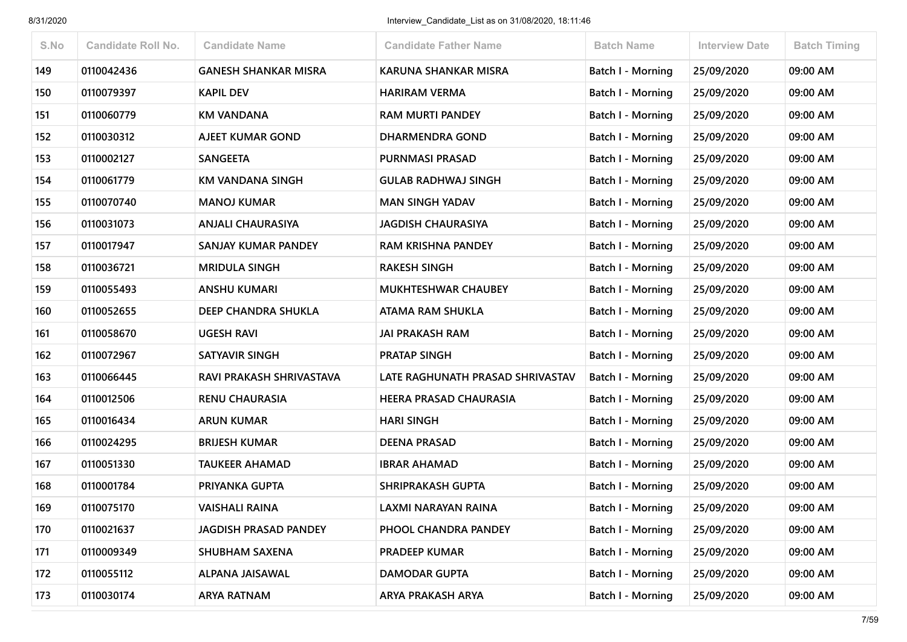| S.No | <b>Candidate Roll No.</b> | <b>Candidate Name</b>        | <b>Candidate Father Name</b>     | <b>Batch Name</b>        | <b>Interview Date</b> | <b>Batch Timing</b> |
|------|---------------------------|------------------------------|----------------------------------|--------------------------|-----------------------|---------------------|
| 149  | 0110042436                | <b>GANESH SHANKAR MISRA</b>  | <b>KARUNA SHANKAR MISRA</b>      | Batch I - Morning        | 25/09/2020            | 09:00 AM            |
| 150  | 0110079397                | <b>KAPIL DEV</b>             | <b>HARIRAM VERMA</b>             | Batch I - Morning        | 25/09/2020            | 09:00 AM            |
| 151  | 0110060779                | <b>KM VANDANA</b>            | <b>RAM MURTI PANDEY</b>          | Batch I - Morning        | 25/09/2020            | 09:00 AM            |
| 152  | 0110030312                | <b>AJEET KUMAR GOND</b>      | <b>DHARMENDRA GOND</b>           | Batch I - Morning        | 25/09/2020            | 09:00 AM            |
| 153  | 0110002127                | <b>SANGEETA</b>              | <b>PURNMASI PRASAD</b>           | Batch I - Morning        | 25/09/2020            | 09:00 AM            |
| 154  | 0110061779                | <b>KM VANDANA SINGH</b>      | <b>GULAB RADHWAJ SINGH</b>       | <b>Batch I - Morning</b> | 25/09/2020            | 09:00 AM            |
| 155  | 0110070740                | <b>MANOJ KUMAR</b>           | <b>MAN SINGH YADAV</b>           | Batch I - Morning        | 25/09/2020            | 09:00 AM            |
| 156  | 0110031073                | <b>ANJALI CHAURASIYA</b>     | <b>JAGDISH CHAURASIYA</b>        | Batch I - Morning        | 25/09/2020            | 09:00 AM            |
| 157  | 0110017947                | <b>SANJAY KUMAR PANDEY</b>   | <b>RAM KRISHNA PANDEY</b>        | <b>Batch I - Morning</b> | 25/09/2020            | 09:00 AM            |
| 158  | 0110036721                | <b>MRIDULA SINGH</b>         | <b>RAKESH SINGH</b>              | Batch I - Morning        | 25/09/2020            | 09:00 AM            |
| 159  | 0110055493                | <b>ANSHU KUMARI</b>          | <b>MUKHTESHWAR CHAUBEY</b>       | Batch I - Morning        | 25/09/2020            | 09:00 AM            |
| 160  | 0110052655                | DEEP CHANDRA SHUKLA          | ATAMA RAM SHUKLA                 | Batch I - Morning        | 25/09/2020            | 09:00 AM            |
| 161  | 0110058670                | <b>UGESH RAVI</b>            | <b>JAI PRAKASH RAM</b>           | Batch I - Morning        | 25/09/2020            | 09:00 AM            |
| 162  | 0110072967                | SATYAVIR SINGH               | <b>PRATAP SINGH</b>              | Batch I - Morning        | 25/09/2020            | 09:00 AM            |
| 163  | 0110066445                | RAVI PRAKASH SHRIVASTAVA     | LATE RAGHUNATH PRASAD SHRIVASTAV | <b>Batch I - Morning</b> | 25/09/2020            | 09:00 AM            |
| 164  | 0110012506                | <b>RENU CHAURASIA</b>        | HEERA PRASAD CHAURASIA           | Batch I - Morning        | 25/09/2020            | 09:00 AM            |
| 165  | 0110016434                | <b>ARUN KUMAR</b>            | <b>HARI SINGH</b>                | <b>Batch I - Morning</b> | 25/09/2020            | 09:00 AM            |
| 166  | 0110024295                | <b>BRIJESH KUMAR</b>         | <b>DEENA PRASAD</b>              | Batch I - Morning        | 25/09/2020            | 09:00 AM            |
| 167  | 0110051330                | <b>TAUKEER AHAMAD</b>        | <b>IBRAR AHAMAD</b>              | <b>Batch I - Morning</b> | 25/09/2020            | 09:00 AM            |
| 168  | 0110001784                | PRIYANKA GUPTA               | <b>SHRIPRAKASH GUPTA</b>         | <b>Batch I - Morning</b> | 25/09/2020            | 09:00 AM            |
| 169  | 0110075170                | <b>VAISHALI RAINA</b>        | LAXMI NARAYAN RAINA              | Batch I - Morning        | 25/09/2020            | 09:00 AM            |
| 170  | 0110021637                | <b>JAGDISH PRASAD PANDEY</b> | PHOOL CHANDRA PANDEY             | Batch I - Morning        | 25/09/2020            | 09:00 AM            |
| 171  | 0110009349                | <b>SHUBHAM SAXENA</b>        | <b>PRADEEP KUMAR</b>             | Batch I - Morning        | 25/09/2020            | 09:00 AM            |
| 172  | 0110055112                | ALPANA JAISAWAL              | <b>DAMODAR GUPTA</b>             | Batch I - Morning        | 25/09/2020            | 09:00 AM            |
| 173  | 0110030174                | <b>ARYA RATNAM</b>           | ARYA PRAKASH ARYA                | <b>Batch I - Morning</b> | 25/09/2020            | 09:00 AM            |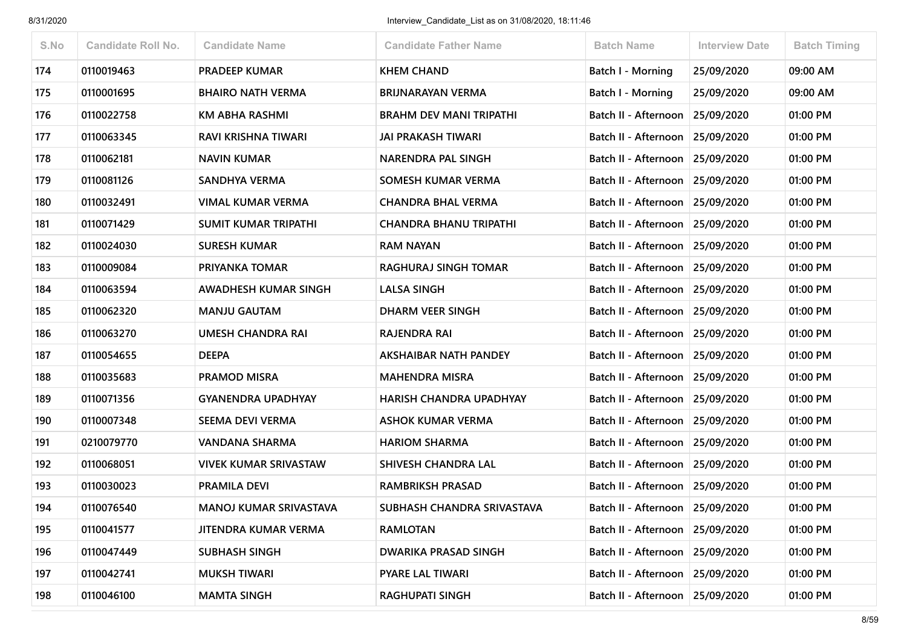| S.No | <b>Candidate Roll No.</b> | <b>Candidate Name</b>         | <b>Candidate Father Name</b>   | <b>Batch Name</b>               | <b>Interview Date</b> | <b>Batch Timing</b> |
|------|---------------------------|-------------------------------|--------------------------------|---------------------------------|-----------------------|---------------------|
| 174  | 0110019463                | <b>PRADEEP KUMAR</b>          | <b>KHEM CHAND</b>              | <b>Batch I - Morning</b>        | 25/09/2020            | 09:00 AM            |
| 175  | 0110001695                | <b>BHAIRO NATH VERMA</b>      | <b>BRIJNARAYAN VERMA</b>       | <b>Batch I - Morning</b>        | 25/09/2020            | 09:00 AM            |
| 176  | 0110022758                | <b>KM ABHA RASHMI</b>         | <b>BRAHM DEV MANI TRIPATHI</b> | Batch II - Afternoon            | 25/09/2020            | 01:00 PM            |
| 177  | 0110063345                | RAVI KRISHNA TIWARI           | <b>JAI PRAKASH TIWARI</b>      | Batch II - Afternoon 25/09/2020 |                       | 01:00 PM            |
| 178  | 0110062181                | <b>NAVIN KUMAR</b>            | NARENDRA PAL SINGH             | Batch II - Afternoon 25/09/2020 |                       | 01:00 PM            |
| 179  | 0110081126                | SANDHYA VERMA                 | <b>SOMESH KUMAR VERMA</b>      | Batch II - Afternoon            | 25/09/2020            | 01:00 PM            |
| 180  | 0110032491                | <b>VIMAL KUMAR VERMA</b>      | <b>CHANDRA BHAL VERMA</b>      | Batch II - Afternoon 25/09/2020 |                       | 01:00 PM            |
| 181  | 0110071429                | SUMIT KUMAR TRIPATHI          | <b>CHANDRA BHANU TRIPATHI</b>  | Batch II - Afternoon            | 25/09/2020            | 01:00 PM            |
| 182  | 0110024030                | <b>SURESH KUMAR</b>           | <b>RAM NAYAN</b>               | Batch II - Afternoon 25/09/2020 |                       | 01:00 PM            |
| 183  | 0110009084                | PRIYANKA TOMAR                | <b>RAGHURAJ SINGH TOMAR</b>    | Batch II - Afternoon 25/09/2020 |                       | 01:00 PM            |
| 184  | 0110063594                | AWADHESH KUMAR SINGH          | <b>LALSA SINGH</b>             | Batch II - Afternoon            | 25/09/2020            | 01:00 PM            |
| 185  | 0110062320                | <b>MANJU GAUTAM</b>           | <b>DHARM VEER SINGH</b>        | Batch II - Afternoon 25/09/2020 |                       | 01:00 PM            |
| 186  | 0110063270                | UMESH CHANDRA RAI             | <b>RAJENDRA RAI</b>            | Batch II - Afternoon            | 25/09/2020            | 01:00 PM            |
| 187  | 0110054655                | <b>DEEPA</b>                  | <b>AKSHAIBAR NATH PANDEY</b>   | Batch II - Afternoon 25/09/2020 |                       | 01:00 PM            |
| 188  | 0110035683                | <b>PRAMOD MISRA</b>           | <b>MAHENDRA MISRA</b>          | Batch II - Afternoon 25/09/2020 |                       | 01:00 PM            |
| 189  | 0110071356                | <b>GYANENDRA UPADHYAY</b>     | <b>HARISH CHANDRA UPADHYAY</b> | Batch II - Afternoon            | 25/09/2020            | 01:00 PM            |
| 190  | 0110007348                | <b>SEEMA DEVI VERMA</b>       | <b>ASHOK KUMAR VERMA</b>       | Batch II - Afternoon 25/09/2020 |                       | 01:00 PM            |
| 191  | 0210079770                | VANDANA SHARMA                | <b>HARIOM SHARMA</b>           | Batch II - Afternoon            | 25/09/2020            | 01:00 PM            |
| 192  | 0110068051                | VIVEK KUMAR SRIVASTAW         | <b>SHIVESH CHANDRA LAL</b>     | Batch II - Afternoon            | 25/09/2020            | 01:00 PM            |
| 193  | 0110030023                | PRAMILA DEVI                  | <b>RAMBRIKSH PRASAD</b>        | Batch II - Afternoon 25/09/2020 |                       | 01:00 PM            |
| 194  | 0110076540                | <b>MANOJ KUMAR SRIVASTAVA</b> | SUBHASH CHANDRA SRIVASTAVA     | Batch II - Afternoon 25/09/2020 |                       | 01:00 PM            |
| 195  | 0110041577                | JITENDRA KUMAR VERMA          | <b>RAMLOTAN</b>                | Batch II - Afternoon 25/09/2020 |                       | 01:00 PM            |
| 196  | 0110047449                | <b>SUBHASH SINGH</b>          | <b>DWARIKA PRASAD SINGH</b>    | Batch II - Afternoon 25/09/2020 |                       | 01:00 PM            |
| 197  | 0110042741                | <b>MUKSH TIWARI</b>           | <b>PYARE LAL TIWARI</b>        | Batch II - Afternoon            | 25/09/2020            | 01:00 PM            |
| 198  | 0110046100                | <b>MAMTA SINGH</b>            | <b>RAGHUPATI SINGH</b>         | Batch II - Afternoon 25/09/2020 |                       | 01:00 PM            |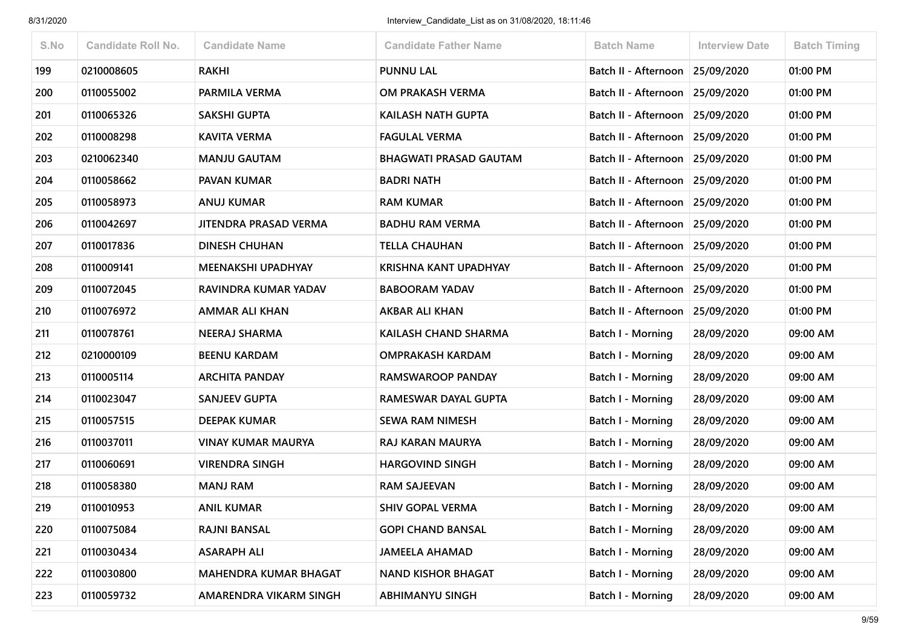| S.No | <b>Candidate Roll No.</b> | <b>Candidate Name</b>        | <b>Candidate Father Name</b>  | <b>Batch Name</b>               | <b>Interview Date</b> | <b>Batch Timing</b> |
|------|---------------------------|------------------------------|-------------------------------|---------------------------------|-----------------------|---------------------|
| 199  | 0210008605                | <b>RAKHI</b>                 | <b>PUNNU LAL</b>              | Batch II - Afternoon            | 25/09/2020            | 01:00 PM            |
| 200  | 0110055002                | PARMILA VERMA                | OM PRAKASH VERMA              | Batch II - Afternoon            | 25/09/2020            | 01:00 PM            |
| 201  | 0110065326                | <b>SAKSHI GUPTA</b>          | KAILASH NATH GUPTA            | Batch II - Afternoon            | 25/09/2020            | 01:00 PM            |
| 202  | 0110008298                | <b>KAVITA VERMA</b>          | <b>FAGULAL VERMA</b>          | Batch II - Afternoon 25/09/2020 |                       | 01:00 PM            |
| 203  | 0210062340                | <b>MANJU GAUTAM</b>          | <b>BHAGWATI PRASAD GAUTAM</b> | Batch II - Afternoon            | 25/09/2020            | 01:00 PM            |
| 204  | 0110058662                | PAVAN KUMAR                  | <b>BADRI NATH</b>             | Batch II - Afternoon            | 25/09/2020            | 01:00 PM            |
| 205  | 0110058973                | <b>ANUJ KUMAR</b>            | <b>RAM KUMAR</b>              | Batch II - Afternoon 25/09/2020 |                       | 01:00 PM            |
| 206  | 0110042697                | JITENDRA PRASAD VERMA        | <b>BADHU RAM VERMA</b>        | Batch II - Afternoon            | 25/09/2020            | 01:00 PM            |
| 207  | 0110017836                | <b>DINESH CHUHAN</b>         | <b>TELLA CHAUHAN</b>          | Batch II - Afternoon 25/09/2020 |                       | 01:00 PM            |
| 208  | 0110009141                | MEENAKSHI UPADHYAY           | <b>KRISHNA KANT UPADHYAY</b>  | Batch II - Afternoon            | 25/09/2020            | 01:00 PM            |
| 209  | 0110072045                | RAVINDRA KUMAR YADAV         | <b>BABOORAM YADAV</b>         | Batch II - Afternoon            | 25/09/2020            | 01:00 PM            |
| 210  | 0110076972                | AMMAR ALI KHAN               | AKBAR ALI KHAN                | Batch II - Afternoon            | 25/09/2020            | 01:00 PM            |
| 211  | 0110078761                | <b>NEERAJ SHARMA</b>         | KAILASH CHAND SHARMA          | <b>Batch I - Morning</b>        | 28/09/2020            | 09:00 AM            |
| 212  | 0210000109                | <b>BEENU KARDAM</b>          | <b>OMPRAKASH KARDAM</b>       | Batch I - Morning               | 28/09/2020            | 09:00 AM            |
| 213  | 0110005114                | <b>ARCHITA PANDAY</b>        | RAMSWAROOP PANDAY             | <b>Batch I - Morning</b>        | 28/09/2020            | 09:00 AM            |
| 214  | 0110023047                | <b>SANJEEV GUPTA</b>         | RAMESWAR DAYAL GUPTA          | Batch I - Morning               | 28/09/2020            | 09:00 AM            |
| 215  | 0110057515                | <b>DEEPAK KUMAR</b>          | <b>SEWA RAM NIMESH</b>        | <b>Batch I - Morning</b>        | 28/09/2020            | 09:00 AM            |
| 216  | 0110037011                | VINAY KUMAR MAURYA           | RAJ KARAN MAURYA              | <b>Batch I - Morning</b>        | 28/09/2020            | 09:00 AM            |
| 217  | 0110060691                | <b>VIRENDRA SINGH</b>        | <b>HARGOVIND SINGH</b>        | <b>Batch I - Morning</b>        | 28/09/2020            | 09:00 AM            |
| 218  | 0110058380                | <b>MANJ RAM</b>              | <b>RAM SAJEEVAN</b>           | Batch I - Morning               | 28/09/2020            | 09:00 AM            |
| 219  | 0110010953                | <b>ANIL KUMAR</b>            | <b>SHIV GOPAL VERMA</b>       | Batch I - Morning               | 28/09/2020            | 09:00 AM            |
| 220  | 0110075084                | <b>RAJNI BANSAL</b>          | <b>GOPI CHAND BANSAL</b>      | <b>Batch I - Morning</b>        | 28/09/2020            | 09:00 AM            |
| 221  | 0110030434                | <b>ASARAPH ALI</b>           | <b>JAMEELA AHAMAD</b>         | Batch I - Morning               | 28/09/2020            | 09:00 AM            |
| 222  | 0110030800                | <b>MAHENDRA KUMAR BHAGAT</b> | <b>NAND KISHOR BHAGAT</b>     | Batch I - Morning               | 28/09/2020            | 09:00 AM            |
| 223  | 0110059732                | AMARENDRA VIKARM SINGH       | <b>ABHIMANYU SINGH</b>        | Batch I - Morning               | 28/09/2020            | 09:00 AM            |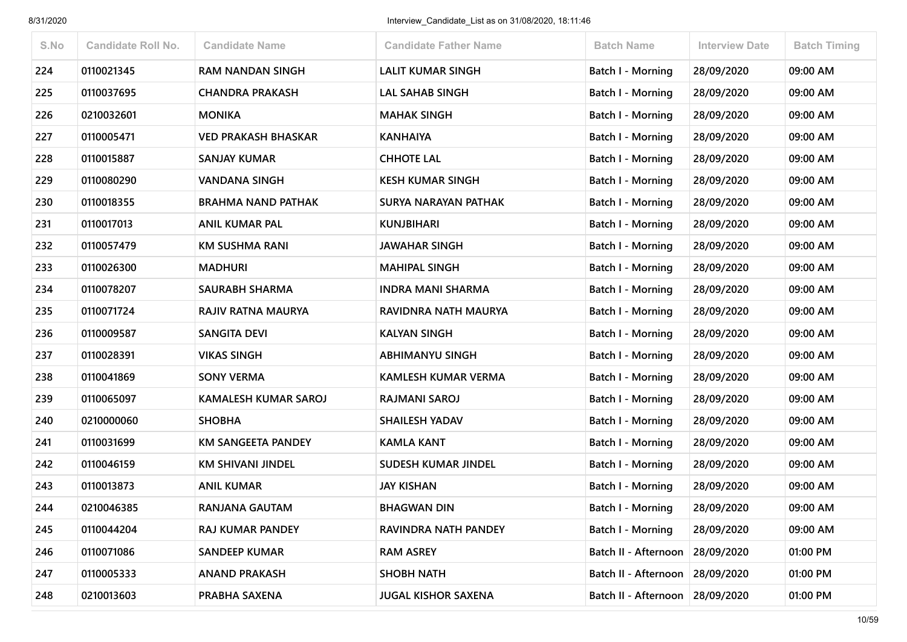| S.No | <b>Candidate Roll No.</b> | <b>Candidate Name</b>       | <b>Candidate Father Name</b> | <b>Batch Name</b>        | <b>Interview Date</b> | <b>Batch Timing</b> |
|------|---------------------------|-----------------------------|------------------------------|--------------------------|-----------------------|---------------------|
| 224  | 0110021345                | <b>RAM NANDAN SINGH</b>     | <b>LALIT KUMAR SINGH</b>     | <b>Batch I - Morning</b> | 28/09/2020            | 09:00 AM            |
| 225  | 0110037695                | <b>CHANDRA PRAKASH</b>      | LAL SAHAB SINGH              | Batch I - Morning        | 28/09/2020            | 09:00 AM            |
| 226  | 0210032601                | <b>MONIKA</b>               | <b>MAHAK SINGH</b>           | Batch I - Morning        | 28/09/2020            | 09:00 AM            |
| 227  | 0110005471                | <b>VED PRAKASH BHASKAR</b>  | <b>KANHAIYA</b>              | Batch I - Morning        | 28/09/2020            | 09:00 AM            |
| 228  | 0110015887                | <b>SANJAY KUMAR</b>         | <b>CHHOTE LAL</b>            | Batch I - Morning        | 28/09/2020            | 09:00 AM            |
| 229  | 0110080290                | <b>VANDANA SINGH</b>        | <b>KESH KUMAR SINGH</b>      | <b>Batch I - Morning</b> | 28/09/2020            | 09:00 AM            |
| 230  | 0110018355                | <b>BRAHMA NAND PATHAK</b>   | <b>SURYA NARAYAN PATHAK</b>  | Batch I - Morning        | 28/09/2020            | 09:00 AM            |
| 231  | 0110017013                | <b>ANIL KUMAR PAL</b>       | <b>KUNJBIHARI</b>            | Batch I - Morning        | 28/09/2020            | 09:00 AM            |
| 232  | 0110057479                | <b>KM SUSHMA RANI</b>       | <b>JAWAHAR SINGH</b>         | <b>Batch I - Morning</b> | 28/09/2020            | 09:00 AM            |
| 233  | 0110026300                | <b>MADHURI</b>              | <b>MAHIPAL SINGH</b>         | <b>Batch I - Morning</b> | 28/09/2020            | 09:00 AM            |
| 234  | 0110078207                | <b>SAURABH SHARMA</b>       | <b>INDRA MANI SHARMA</b>     | <b>Batch I - Morning</b> | 28/09/2020            | 09:00 AM            |
| 235  | 0110071724                | RAJIV RATNA MAURYA          | RAVIDNRA NATH MAURYA         | <b>Batch I - Morning</b> | 28/09/2020            | 09:00 AM            |
| 236  | 0110009587                | <b>SANGITA DEVI</b>         | <b>KALYAN SINGH</b>          | Batch I - Morning        | 28/09/2020            | 09:00 AM            |
| 237  | 0110028391                | <b>VIKAS SINGH</b>          | <b>ABHIMANYU SINGH</b>       | Batch I - Morning        | 28/09/2020            | 09:00 AM            |
| 238  | 0110041869                | <b>SONY VERMA</b>           | KAMLESH KUMAR VERMA          | Batch I - Morning        | 28/09/2020            | 09:00 AM            |
| 239  | 0110065097                | <b>KAMALESH KUMAR SAROJ</b> | <b>RAJMANI SAROJ</b>         | Batch I - Morning        | 28/09/2020            | 09:00 AM            |
| 240  | 0210000060                | <b>SHOBHA</b>               | <b>SHAILESH YADAV</b>        | <b>Batch I - Morning</b> | 28/09/2020            | 09:00 AM            |
| 241  | 0110031699                | <b>KM SANGEETA PANDEY</b>   | <b>KAMLA KANT</b>            | Batch I - Morning        | 28/09/2020            | 09:00 AM            |
| 242  | 0110046159                | <b>KM SHIVANI JINDEL</b>    | <b>SUDESH KUMAR JINDEL</b>   | <b>Batch I - Morning</b> | 28/09/2020            | 09:00 AM            |
| 243  | 0110013873                | <b>ANIL KUMAR</b>           | <b>JAY KISHAN</b>            | <b>Batch I - Morning</b> | 28/09/2020            | 09:00 AM            |
| 244  | 0210046385                | <b>RANJANA GAUTAM</b>       | <b>BHAGWAN DIN</b>           | Batch I - Morning        | 28/09/2020            | 09:00 AM            |
| 245  | 0110044204                | RAJ KUMAR PANDEY            | RAVINDRA NATH PANDEY         | Batch I - Morning        | 28/09/2020            | 09:00 AM            |
| 246  | 0110071086                | <b>SANDEEP KUMAR</b>        | <b>RAM ASREY</b>             | Batch II - Afternoon     | 28/09/2020            | 01:00 PM            |
| 247  | 0110005333                | <b>ANAND PRAKASH</b>        | <b>SHOBH NATH</b>            | Batch II - Afternoon     | 28/09/2020            | 01:00 PM            |
| 248  | 0210013603                | PRABHA SAXENA               | <b>JUGAL KISHOR SAXENA</b>   | Batch II - Afternoon     | 28/09/2020            | 01:00 PM            |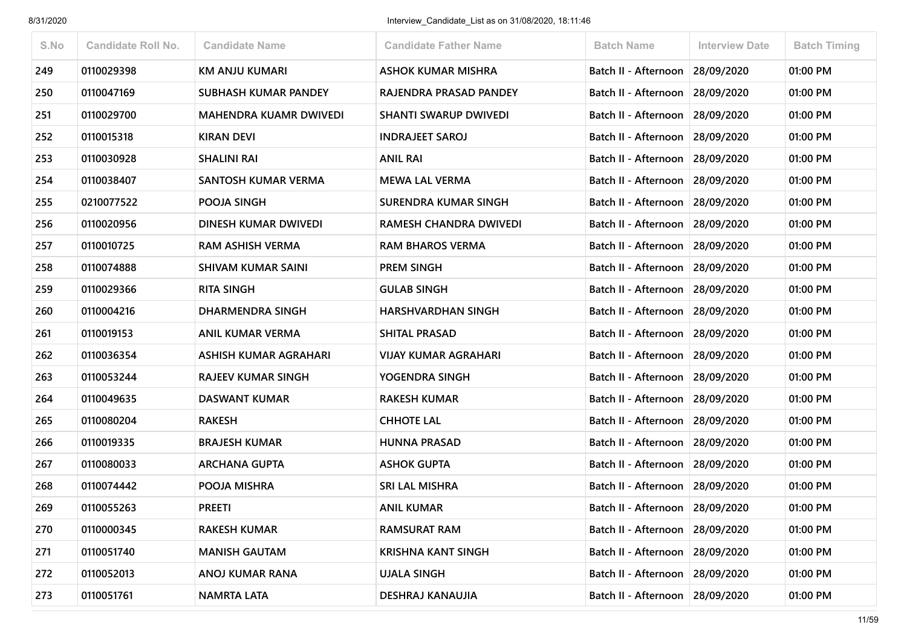| S.No | <b>Candidate Roll No.</b> | <b>Candidate Name</b>         | <b>Candidate Father Name</b> | <b>Batch Name</b>                 | <b>Interview Date</b> | <b>Batch Timing</b> |
|------|---------------------------|-------------------------------|------------------------------|-----------------------------------|-----------------------|---------------------|
| 249  | 0110029398                | <b>KM ANJU KUMARI</b>         | <b>ASHOK KUMAR MISHRA</b>    | Batch II - Afternoon              | 28/09/2020            | 01:00 PM            |
| 250  | 0110047169                | SUBHASH KUMAR PANDEY          | RAJENDRA PRASAD PANDEY       | Batch II - Afternoon              | 28/09/2020            | 01:00 PM            |
| 251  | 0110029700                | <b>MAHENDRA KUAMR DWIVEDI</b> | <b>SHANTI SWARUP DWIVEDI</b> | Batch II - Afternoon 28/09/2020   |                       | 01:00 PM            |
| 252  | 0110015318                | <b>KIRAN DEVI</b>             | <b>INDRAJEET SAROJ</b>       | Batch II - Afternoon              | 28/09/2020            | 01:00 PM            |
| 253  | 0110030928                | <b>SHALINI RAI</b>            | <b>ANIL RAI</b>              | Batch II - Afternoon              | 28/09/2020            | 01:00 PM            |
| 254  | 0110038407                | SANTOSH KUMAR VERMA           | <b>MEWA LAL VERMA</b>        | Batch II - Afternoon 28/09/2020   |                       | 01:00 PM            |
| 255  | 0210077522                | POOJA SINGH                   | <b>SURENDRA KUMAR SINGH</b>  | Batch II - Afternoon              | 28/09/2020            | 01:00 PM            |
| 256  | 0110020956                | DINESH KUMAR DWIVEDI          | RAMESH CHANDRA DWIVEDI       | Batch II - Afternoon              | 28/09/2020            | 01:00 PM            |
| 257  | 0110010725                | <b>RAM ASHISH VERMA</b>       | <b>RAM BHAROS VERMA</b>      | Batch II - Afternoon              | 28/09/2020            | 01:00 PM            |
| 258  | 0110074888                | <b>SHIVAM KUMAR SAINI</b>     | <b>PREM SINGH</b>            | Batch II - Afternoon              | 28/09/2020            | 01:00 PM            |
| 259  | 0110029366                | <b>RITA SINGH</b>             | <b>GULAB SINGH</b>           | Batch II - Afternoon 28/09/2020   |                       | 01:00 PM            |
| 260  | 0110004216                | <b>DHARMENDRA SINGH</b>       | <b>HARSHVARDHAN SINGH</b>    | Batch II - Afternoon              | 28/09/2020            | 01:00 PM            |
| 261  | 0110019153                | <b>ANIL KUMAR VERMA</b>       | <b>SHITAL PRASAD</b>         | Batch II - Afternoon              | 28/09/2020            | 01:00 PM            |
| 262  | 0110036354                | ASHISH KUMAR AGRAHARI         | <b>VIJAY KUMAR AGRAHARI</b>  | Batch II - Afternoon              | 28/09/2020            | 01:00 PM            |
| 263  | 0110053244                | <b>RAJEEV KUMAR SINGH</b>     | YOGENDRA SINGH               | Batch II - Afternoon              | 28/09/2020            | 01:00 PM            |
| 264  | 0110049635                | <b>DASWANT KUMAR</b>          | <b>RAKESH KUMAR</b>          | Batch II - Afternoon              | 28/09/2020            | 01:00 PM            |
| 265  | 0110080204                | <b>RAKESH</b>                 | <b>CHHOTE LAL</b>            | Batch II - Afternoon 28/09/2020   |                       | 01:00 PM            |
| 266  | 0110019335                | <b>BRAJESH KUMAR</b>          | <b>HUNNA PRASAD</b>          | Batch II - Afternoon              | 28/09/2020            | 01:00 PM            |
| 267  | 0110080033                | <b>ARCHANA GUPTA</b>          | <b>ASHOK GUPTA</b>           | Batch II - Afternoon   28/09/2020 |                       | 01:00 PM            |
| 268  | 0110074442                | POOJA MISHRA                  | SRI LAL MISHRA               | Batch II - Afternoon              | 28/09/2020            | 01:00 PM            |
| 269  | 0110055263                | <b>PREETI</b>                 | <b>ANIL KUMAR</b>            | Batch II - Afternoon 28/09/2020   |                       | 01:00 PM            |
| 270  | 0110000345                | <b>RAKESH KUMAR</b>           | <b>RAMSURAT RAM</b>          | Batch II - Afternoon 28/09/2020   |                       | 01:00 PM            |
| 271  | 0110051740                | <b>MANISH GAUTAM</b>          | <b>KRISHNA KANT SINGH</b>    | Batch II - Afternoon              | 28/09/2020            | 01:00 PM            |
| 272  | 0110052013                | ANOJ KUMAR RANA               | <b>UJALA SINGH</b>           | Batch II - Afternoon              | 28/09/2020            | 01:00 PM            |
| 273  | 0110051761                | <b>NAMRTA LATA</b>            | DESHRAJ KANAUJIA             | Batch II - Afternoon              | 28/09/2020            | 01:00 PM            |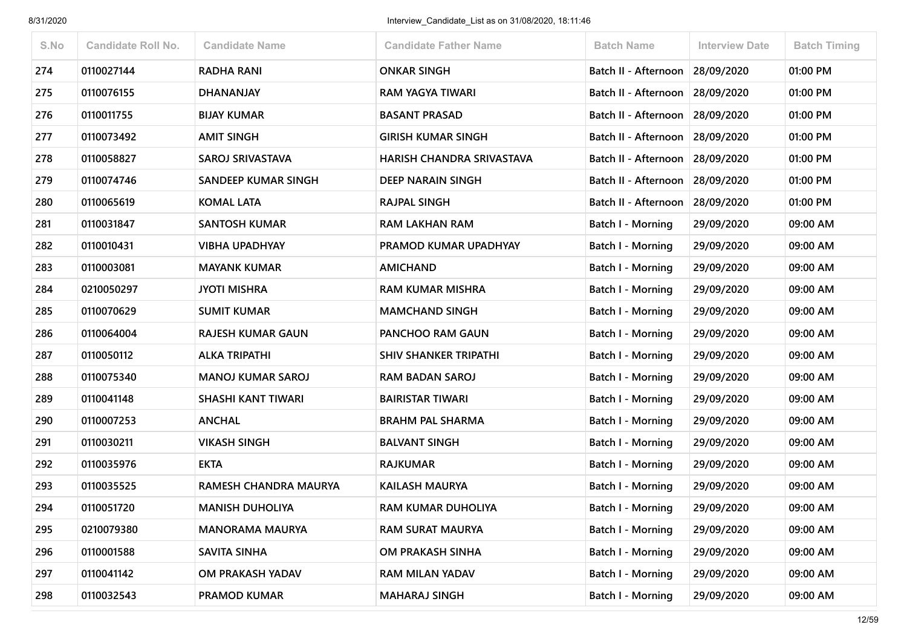| S.No | Candidate Roll No. | <b>Candidate Name</b>     | <b>Candidate Father Name</b> | <b>Batch Name</b>        | <b>Interview Date</b> | <b>Batch Timing</b> |
|------|--------------------|---------------------------|------------------------------|--------------------------|-----------------------|---------------------|
| 274  | 0110027144         | <b>RADHA RANI</b>         | <b>ONKAR SINGH</b>           | Batch II - Afternoon     | 28/09/2020            | 01:00 PM            |
| 275  | 0110076155         | <b>DHANANJAY</b>          | <b>RAM YAGYA TIWARI</b>      | Batch II - Afternoon     | 28/09/2020            | 01:00 PM            |
| 276  | 0110011755         | <b>BIJAY KUMAR</b>        | <b>BASANT PRASAD</b>         | Batch II - Afternoon     | 28/09/2020            | 01:00 PM            |
| 277  | 0110073492         | <b>AMIT SINGH</b>         | <b>GIRISH KUMAR SINGH</b>    | Batch II - Afternoon     | 28/09/2020            | 01:00 PM            |
| 278  | 0110058827         | <b>SAROJ SRIVASTAVA</b>   | HARISH CHANDRA SRIVASTAVA    | Batch II - Afternoon     | 28/09/2020            | 01:00 PM            |
| 279  | 0110074746         | SANDEEP KUMAR SINGH       | DEEP NARAIN SINGH            | Batch II - Afternoon     | 28/09/2020            | 01:00 PM            |
| 280  | 0110065619         | <b>KOMAL LATA</b>         | <b>RAJPAL SINGH</b>          | Batch II - Afternoon     | 28/09/2020            | 01:00 PM            |
| 281  | 0110031847         | <b>SANTOSH KUMAR</b>      | <b>RAM LAKHAN RAM</b>        | Batch I - Morning        | 29/09/2020            | 09:00 AM            |
| 282  | 0110010431         | <b>VIBHA UPADHYAY</b>     | PRAMOD KUMAR UPADHYAY        | Batch I - Morning        | 29/09/2020            | 09:00 AM            |
| 283  | 0110003081         | <b>MAYANK KUMAR</b>       | <b>AMICHAND</b>              | Batch I - Morning        | 29/09/2020            | 09:00 AM            |
| 284  | 0210050297         | <b>JYOTI MISHRA</b>       | <b>RAM KUMAR MISHRA</b>      | Batch I - Morning        | 29/09/2020            | 09:00 AM            |
| 285  | 0110070629         | <b>SUMIT KUMAR</b>        | <b>MAMCHAND SINGH</b>        | <b>Batch I - Morning</b> | 29/09/2020            | 09:00 AM            |
| 286  | 0110064004         | <b>RAJESH KUMAR GAUN</b>  | PANCHOO RAM GAUN             | Batch I - Morning        | 29/09/2020            | 09:00 AM            |
| 287  | 0110050112         | <b>ALKA TRIPATHI</b>      | <b>SHIV SHANKER TRIPATHI</b> | Batch I - Morning        | 29/09/2020            | 09:00 AM            |
| 288  | 0110075340         | <b>MANOJ KUMAR SAROJ</b>  | <b>RAM BADAN SAROJ</b>       | <b>Batch I - Morning</b> | 29/09/2020            | 09:00 AM            |
| 289  | 0110041148         | <b>SHASHI KANT TIWARI</b> | <b>BAIRISTAR TIWARI</b>      | Batch I - Morning        | 29/09/2020            | 09:00 AM            |
| 290  | 0110007253         | <b>ANCHAL</b>             | <b>BRAHM PAL SHARMA</b>      | <b>Batch I - Morning</b> | 29/09/2020            | 09:00 AM            |
| 291  | 0110030211         | <b>VIKASH SINGH</b>       | <b>BALVANT SINGH</b>         | <b>Batch I - Morning</b> | 29/09/2020            | 09:00 AM            |
| 292  | 0110035976         | <b>EKTA</b>               | <b>RAJKUMAR</b>              | Batch I - Morning        | 29/09/2020            | 09:00 AM            |
| 293  | 0110035525         | RAMESH CHANDRA MAURYA     | <b>KAILASH MAURYA</b>        | <b>Batch I - Morning</b> | 29/09/2020            | 09:00 AM            |
| 294  | 0110051720         | <b>MANISH DUHOLIYA</b>    | <b>RAM KUMAR DUHOLIYA</b>    | Batch I - Morning        | 29/09/2020            | 09:00 AM            |
| 295  | 0210079380         | <b>MANORAMA MAURYA</b>    | <b>RAM SURAT MAURYA</b>      | <b>Batch I - Morning</b> | 29/09/2020            | 09:00 AM            |
| 296  | 0110001588         | <b>SAVITA SINHA</b>       | OM PRAKASH SINHA             | <b>Batch I - Morning</b> | 29/09/2020            | 09:00 AM            |
| 297  | 0110041142         | OM PRAKASH YADAV          | RAM MILAN YADAV              | Batch I - Morning        | 29/09/2020            | 09:00 AM            |
| 298  | 0110032543         | <b>PRAMOD KUMAR</b>       | <b>MAHARAJ SINGH</b>         | <b>Batch I - Morning</b> | 29/09/2020            | 09:00 AM            |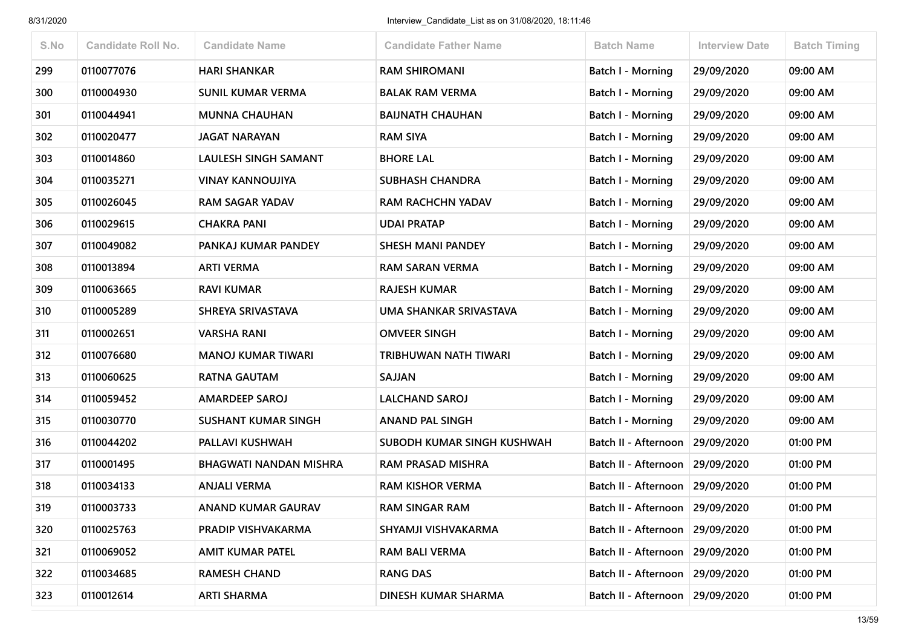| S.No | <b>Candidate Roll No.</b> | <b>Candidate Name</b>         | <b>Candidate Father Name</b> | <b>Batch Name</b>                 | <b>Interview Date</b> | <b>Batch Timing</b> |
|------|---------------------------|-------------------------------|------------------------------|-----------------------------------|-----------------------|---------------------|
| 299  | 0110077076                | <b>HARI SHANKAR</b>           | <b>RAM SHIROMANI</b>         | <b>Batch I - Morning</b>          | 29/09/2020            | 09:00 AM            |
| 300  | 0110004930                | <b>SUNIL KUMAR VERMA</b>      | <b>BALAK RAM VERMA</b>       | <b>Batch I - Morning</b>          | 29/09/2020            | 09:00 AM            |
| 301  | 0110044941                | <b>MUNNA CHAUHAN</b>          | <b>BAIJNATH CHAUHAN</b>      | Batch I - Morning                 | 29/09/2020            | 09:00 AM            |
| 302  | 0110020477                | <b>JAGAT NARAYAN</b>          | <b>RAM SIYA</b>              | Batch I - Morning                 | 29/09/2020            | 09:00 AM            |
| 303  | 0110014860                | LAULESH SINGH SAMANT          | <b>BHORE LAL</b>             | Batch I - Morning                 | 29/09/2020            | 09:00 AM            |
| 304  | 0110035271                | <b>VINAY KANNOUJIYA</b>       | <b>SUBHASH CHANDRA</b>       | <b>Batch I - Morning</b>          | 29/09/2020            | 09:00 AM            |
| 305  | 0110026045                | <b>RAM SAGAR YADAV</b>        | <b>RAM RACHCHN YADAV</b>     | Batch I - Morning                 | 29/09/2020            | 09:00 AM            |
| 306  | 0110029615                | <b>CHAKRA PANI</b>            | <b>UDAI PRATAP</b>           | Batch I - Morning                 | 29/09/2020            | 09:00 AM            |
| 307  | 0110049082                | PANKAJ KUMAR PANDEY           | <b>SHESH MANI PANDEY</b>     | <b>Batch I - Morning</b>          | 29/09/2020            | 09:00 AM            |
| 308  | 0110013894                | <b>ARTI VERMA</b>             | <b>RAM SARAN VERMA</b>       | <b>Batch I - Morning</b>          | 29/09/2020            | 09:00 AM            |
| 309  | 0110063665                | <b>RAVI KUMAR</b>             | <b>RAJESH KUMAR</b>          | <b>Batch I - Morning</b>          | 29/09/2020            | 09:00 AM            |
| 310  | 0110005289                | SHREYA SRIVASTAVA             | UMA SHANKAR SRIVASTAVA       | <b>Batch I - Morning</b>          | 29/09/2020            | 09:00 AM            |
| 311  | 0110002651                | <b>VARSHA RANI</b>            | <b>OMVEER SINGH</b>          | Batch I - Morning                 | 29/09/2020            | 09:00 AM            |
| 312  | 0110076680                | <b>MANOJ KUMAR TIWARI</b>     | TRIBHUWAN NATH TIWARI        | <b>Batch I - Morning</b>          | 29/09/2020            | 09:00 AM            |
| 313  | 0110060625                | <b>RATNA GAUTAM</b>           | SAJJAN                       | Batch I - Morning                 | 29/09/2020            | 09:00 AM            |
| 314  | 0110059452                | <b>AMARDEEP SAROJ</b>         | <b>LALCHAND SAROJ</b>        | <b>Batch I - Morning</b>          | 29/09/2020            | 09:00 AM            |
| 315  | 0110030770                | <b>SUSHANT KUMAR SINGH</b>    | <b>ANAND PAL SINGH</b>       | Batch I - Morning                 | 29/09/2020            | 09:00 AM            |
| 316  | 0110044202                | PALLAVI KUSHWAH               | SUBODH KUMAR SINGH KUSHWAH   | Batch II - Afternoon              | 29/09/2020            | 01:00 PM            |
| 317  | 0110001495                | <b>BHAGWATI NANDAN MISHRA</b> | RAM PRASAD MISHRA            | Batch II - Afternoon              | 29/09/2020            | 01:00 PM            |
| 318  | 0110034133                | <b>ANJALI VERMA</b>           | <b>RAM KISHOR VERMA</b>      | Batch II - Afternoon              | 29/09/2020            | 01:00 PM            |
| 319  | 0110003733                | <b>ANAND KUMAR GAURAV</b>     | <b>RAM SINGAR RAM</b>        | Batch II - Afternoon   29/09/2020 |                       | 01:00 PM            |
| 320  | 0110025763                | PRADIP VISHVAKARMA            | SHYAMJI VISHVAKARMA          | Batch II - Afternoon 29/09/2020   |                       | 01:00 PM            |
| 321  | 0110069052                | <b>AMIT KUMAR PATEL</b>       | RAM BALI VERMA               | Batch II - Afternoon              | 29/09/2020            | 01:00 PM            |
| 322  | 0110034685                | <b>RAMESH CHAND</b>           | <b>RANG DAS</b>              | Batch II - Afternoon 29/09/2020   |                       | 01:00 PM            |
| 323  | 0110012614                | <b>ARTI SHARMA</b>            | DINESH KUMAR SHARMA          | Batch II - Afternoon              | 29/09/2020            | 01:00 PM            |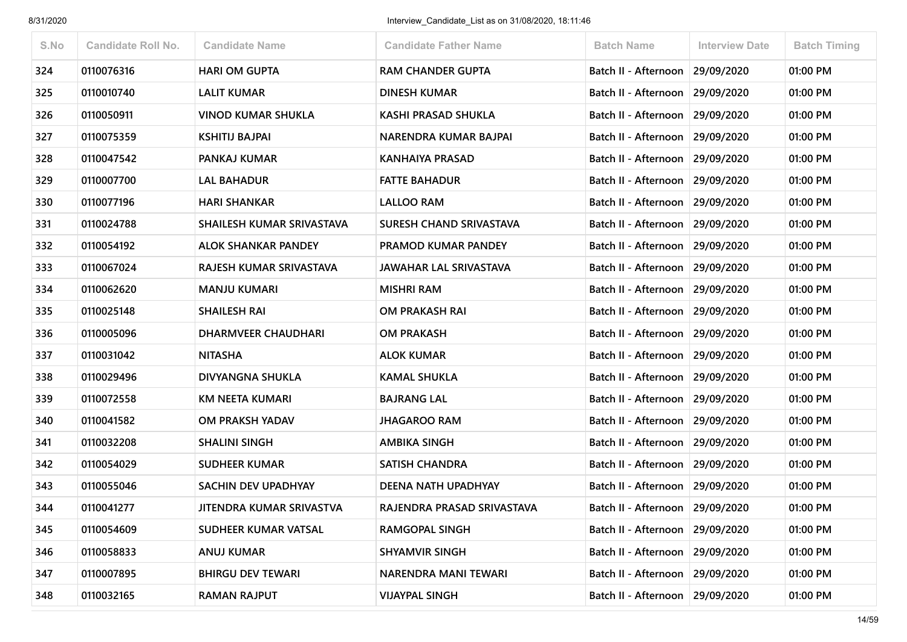| S.No | <b>Candidate Roll No.</b> | <b>Candidate Name</b>      | <b>Candidate Father Name</b>  | <b>Batch Name</b>                 | <b>Interview Date</b> | <b>Batch Timing</b> |
|------|---------------------------|----------------------------|-------------------------------|-----------------------------------|-----------------------|---------------------|
| 324  | 0110076316                | <b>HARI OM GUPTA</b>       | <b>RAM CHANDER GUPTA</b>      | Batch II - Afternoon              | 29/09/2020            | 01:00 PM            |
| 325  | 0110010740                | <b>LALIT KUMAR</b>         | <b>DINESH KUMAR</b>           | Batch II - Afternoon              | 29/09/2020            | 01:00 PM            |
| 326  | 0110050911                | <b>VINOD KUMAR SHUKLA</b>  | <b>KASHI PRASAD SHUKLA</b>    | Batch II - Afternoon              | 29/09/2020            | 01:00 PM            |
| 327  | 0110075359                | <b>KSHITIJ BAJPAI</b>      | NARENDRA KUMAR BAJPAI         | Batch II - Afternoon 29/09/2020   |                       | 01:00 PM            |
| 328  | 0110047542                | PANKAJ KUMAR               | <b>KANHAIYA PRASAD</b>        | Batch II - Afternoon              | 29/09/2020            | 01:00 PM            |
| 329  | 0110007700                | <b>LAL BAHADUR</b>         | <b>FATTE BAHADUR</b>          | Batch II - Afternoon 29/09/2020   |                       | 01:00 PM            |
| 330  | 0110077196                | <b>HARI SHANKAR</b>        | <b>LALLOO RAM</b>             | Batch II - Afternoon 29/09/2020   |                       | 01:00 PM            |
| 331  | 0110024788                | SHAILESH KUMAR SRIVASTAVA  | SURESH CHAND SRIVASTAVA       | Batch II - Afternoon              | 29/09/2020            | 01:00 PM            |
| 332  | 0110054192                | <b>ALOK SHANKAR PANDEY</b> | PRAMOD KUMAR PANDEY           | Batch II - Afternoon              | 29/09/2020            | 01:00 PM            |
| 333  | 0110067024                | RAJESH KUMAR SRIVASTAVA    | <b>JAWAHAR LAL SRIVASTAVA</b> | Batch II - Afternoon              | 29/09/2020            | 01:00 PM            |
| 334  | 0110062620                | <b>MANJU KUMARI</b>        | <b>MISHRI RAM</b>             | Batch II - Afternoon              | 29/09/2020            | 01:00 PM            |
| 335  | 0110025148                | <b>SHAILESH RAI</b>        | OM PRAKASH RAI                | Batch II - Afternoon   29/09/2020 |                       | 01:00 PM            |
| 336  | 0110005096                | <b>DHARMVEER CHAUDHARI</b> | <b>OM PRAKASH</b>             | Batch II - Afternoon              | 29/09/2020            | 01:00 PM            |
| 337  | 0110031042                | <b>NITASHA</b>             | <b>ALOK KUMAR</b>             | Batch II - Afternoon 29/09/2020   |                       | 01:00 PM            |
| 338  | 0110029496                | DIVYANGNA SHUKLA           | <b>KAMAL SHUKLA</b>           | Batch II - Afternoon              | 29/09/2020            | 01:00 PM            |
| 339  | 0110072558                | <b>KM NEETA KUMARI</b>     | <b>BAJRANG LAL</b>            | Batch II - Afternoon              | 29/09/2020            | 01:00 PM            |
| 340  | 0110041582                | OM PRAKSH YADAV            | <b>JHAGAROO RAM</b>           | Batch II - Afternoon 29/09/2020   |                       | 01:00 PM            |
| 341  | 0110032208                | <b>SHALINI SINGH</b>       | <b>AMBIKA SINGH</b>           | Batch II - Afternoon              | 29/09/2020            | 01:00 PM            |
| 342  | 0110054029                | <b>SUDHEER KUMAR</b>       | <b>SATISH CHANDRA</b>         | Batch II - Afternoon              | 29/09/2020            | 01:00 PM            |
| 343  | 0110055046                | SACHIN DEV UPADHYAY        | DEENA NATH UPADHYAY           | Batch II - Afternoon 29/09/2020   |                       | 01:00 PM            |
| 344  | 0110041277                | JITENDRA KUMAR SRIVASTVA   | RAJENDRA PRASAD SRIVASTAVA    | Batch II - Afternoon   29/09/2020 |                       | 01:00 PM            |
| 345  | 0110054609                | SUDHEER KUMAR VATSAL       | <b>RAMGOPAL SINGH</b>         | Batch II - Afternoon 29/09/2020   |                       | 01:00 PM            |
| 346  | 0110058833                | <b>ANUJ KUMAR</b>          | <b>SHYAMVIR SINGH</b>         | Batch II - Afternoon              | 29/09/2020            | 01:00 PM            |
| 347  | 0110007895                | <b>BHIRGU DEV TEWARI</b>   | NARENDRA MANI TEWARI          | Batch II - Afternoon              | 29/09/2020            | 01:00 PM            |
| 348  | 0110032165                | <b>RAMAN RAJPUT</b>        | <b>VIJAYPAL SINGH</b>         | Batch II - Afternoon              | 29/09/2020            | 01:00 PM            |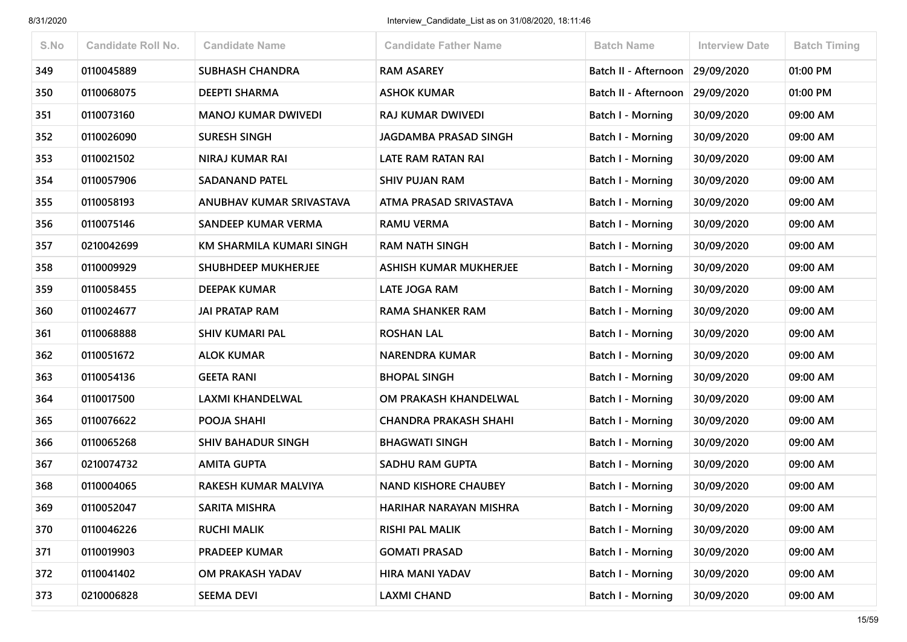| S.No | <b>Candidate Roll No.</b> | <b>Candidate Name</b>      | <b>Candidate Father Name</b>  | <b>Batch Name</b>        | <b>Interview Date</b> | <b>Batch Timing</b> |
|------|---------------------------|----------------------------|-------------------------------|--------------------------|-----------------------|---------------------|
| 349  | 0110045889                | <b>SUBHASH CHANDRA</b>     | <b>RAM ASAREY</b>             | Batch II - Afternoon     | 29/09/2020            | 01:00 PM            |
| 350  | 0110068075                | <b>DEEPTI SHARMA</b>       | <b>ASHOK KUMAR</b>            | Batch II - Afternoon     | 29/09/2020            | 01:00 PM            |
| 351  | 0110073160                | <b>MANOJ KUMAR DWIVEDI</b> | RAJ KUMAR DWIVEDI             | <b>Batch I - Morning</b> | 30/09/2020            | 09:00 AM            |
| 352  | 0110026090                | <b>SURESH SINGH</b>        | JAGDAMBA PRASAD SINGH         | Batch I - Morning        | 30/09/2020            | 09:00 AM            |
| 353  | 0110021502                | NIRAJ KUMAR RAI            | LATE RAM RATAN RAI            | Batch I - Morning        | 30/09/2020            | 09:00 AM            |
| 354  | 0110057906                | <b>SADANAND PATEL</b>      | <b>SHIV PUJAN RAM</b>         | <b>Batch I - Morning</b> | 30/09/2020            | 09:00 AM            |
| 355  | 0110058193                | ANUBHAV KUMAR SRIVASTAVA   | ATMA PRASAD SRIVASTAVA        | <b>Batch I - Morning</b> | 30/09/2020            | 09:00 AM            |
| 356  | 0110075146                | SANDEEP KUMAR VERMA        | <b>RAMU VERMA</b>             | Batch I - Morning        | 30/09/2020            | 09:00 AM            |
| 357  | 0210042699                | KM SHARMILA KUMARI SINGH   | <b>RAM NATH SINGH</b>         | Batch I - Morning        | 30/09/2020            | 09:00 AM            |
| 358  | 0110009929                | <b>SHUBHDEEP MUKHERJEE</b> | <b>ASHISH KUMAR MUKHERJEE</b> | Batch I - Morning        | 30/09/2020            | 09:00 AM            |
| 359  | 0110058455                | <b>DEEPAK KUMAR</b>        | <b>LATE JOGA RAM</b>          | <b>Batch I - Morning</b> | 30/09/2020            | 09:00 AM            |
| 360  | 0110024677                | <b>JAI PRATAP RAM</b>      | <b>RAMA SHANKER RAM</b>       | <b>Batch I - Morning</b> | 30/09/2020            | 09:00 AM            |
| 361  | 0110068888                | <b>SHIV KUMARI PAL</b>     | <b>ROSHAN LAL</b>             | Batch I - Morning        | 30/09/2020            | 09:00 AM            |
| 362  | 0110051672                | <b>ALOK KUMAR</b>          | <b>NARENDRA KUMAR</b>         | Batch I - Morning        | 30/09/2020            | 09:00 AM            |
| 363  | 0110054136                | <b>GEETA RANI</b>          | <b>BHOPAL SINGH</b>           | <b>Batch I - Morning</b> | 30/09/2020            | 09:00 AM            |
| 364  | 0110017500                | <b>LAXMI KHANDELWAL</b>    | OM PRAKASH KHANDELWAL         | Batch I - Morning        | 30/09/2020            | 09:00 AM            |
| 365  | 0110076622                | POOJA SHAHI                | <b>CHANDRA PRAKASH SHAHI</b>  | <b>Batch I - Morning</b> | 30/09/2020            | 09:00 AM            |
| 366  | 0110065268                | <b>SHIV BAHADUR SINGH</b>  | <b>BHAGWATI SINGH</b>         | <b>Batch I - Morning</b> | 30/09/2020            | 09:00 AM            |
| 367  | 0210074732                | <b>AMITA GUPTA</b>         | SADHU RAM GUPTA               | <b>Batch I - Morning</b> | 30/09/2020            | 09:00 AM            |
| 368  | 0110004065                | RAKESH KUMAR MALVIYA       | <b>NAND KISHORE CHAUBEY</b>   | <b>Batch I - Morning</b> | 30/09/2020            | 09:00 AM            |
| 369  | 0110052047                | <b>SARITA MISHRA</b>       | HARIHAR NARAYAN MISHRA        | Batch I - Morning        | 30/09/2020            | 09:00 AM            |
| 370  | 0110046226                | <b>RUCHI MALIK</b>         | <b>RISHI PAL MALIK</b>        | Batch I - Morning        | 30/09/2020            | 09:00 AM            |
| 371  | 0110019903                | <b>PRADEEP KUMAR</b>       | <b>GOMATI PRASAD</b>          | Batch I - Morning        | 30/09/2020            | 09:00 AM            |
| 372  | 0110041402                | OM PRAKASH YADAV           | HIRA MANI YADAV               | Batch I - Morning        | 30/09/2020            | 09:00 AM            |
| 373  | 0210006828                | <b>SEEMA DEVI</b>          | <b>LAXMI CHAND</b>            | Batch I - Morning        | 30/09/2020            | 09:00 AM            |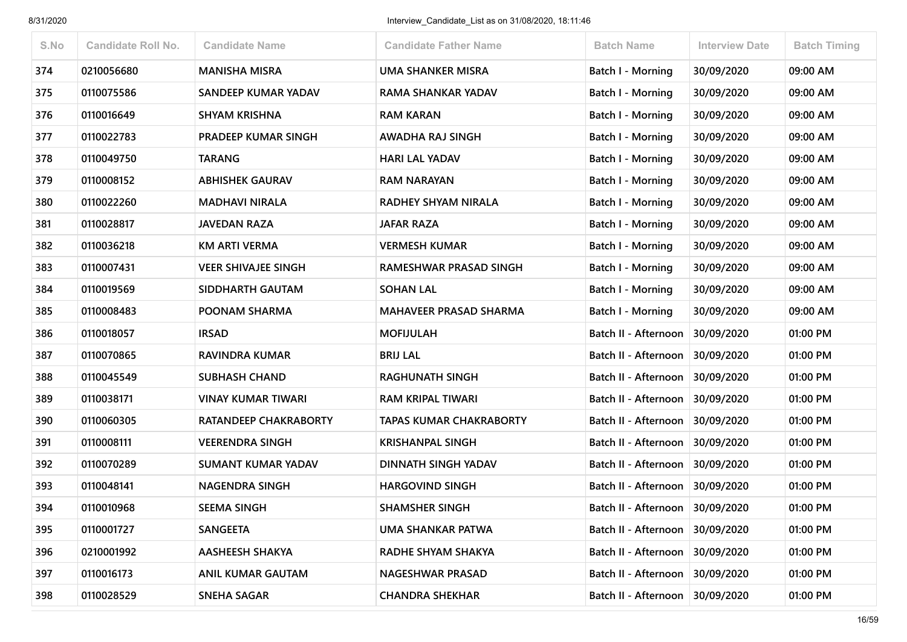| S.No | <b>Candidate Roll No.</b> | <b>Candidate Name</b>        | <b>Candidate Father Name</b>   | <b>Batch Name</b>        | <b>Interview Date</b> | <b>Batch Timing</b> |
|------|---------------------------|------------------------------|--------------------------------|--------------------------|-----------------------|---------------------|
| 374  | 0210056680                | <b>MANISHA MISRA</b>         | <b>UMA SHANKER MISRA</b>       | <b>Batch I - Morning</b> | 30/09/2020            | 09:00 AM            |
| 375  | 0110075586                | SANDEEP KUMAR YADAV          | RAMA SHANKAR YADAV             | Batch I - Morning        | 30/09/2020            | 09:00 AM            |
| 376  | 0110016649                | <b>SHYAM KRISHNA</b>         | <b>RAM KARAN</b>               | Batch I - Morning        | 30/09/2020            | 09:00 AM            |
| 377  | 0110022783                | <b>PRADEEP KUMAR SINGH</b>   | AWADHA RAJ SINGH               | Batch I - Morning        | 30/09/2020            | 09:00 AM            |
| 378  | 0110049750                | <b>TARANG</b>                | <b>HARI LAL YADAV</b>          | Batch I - Morning        | 30/09/2020            | 09:00 AM            |
| 379  | 0110008152                | <b>ABHISHEK GAURAV</b>       | <b>RAM NARAYAN</b>             | <b>Batch I - Morning</b> | 30/09/2020            | 09:00 AM            |
| 380  | 0110022260                | <b>MADHAVI NIRALA</b>        | RADHEY SHYAM NIRALA            | Batch I - Morning        | 30/09/2020            | 09:00 AM            |
| 381  | 0110028817                | <b>JAVEDAN RAZA</b>          | <b>JAFAR RAZA</b>              | Batch I - Morning        | 30/09/2020            | 09:00 AM            |
| 382  | 0110036218                | <b>KM ARTI VERMA</b>         | <b>VERMESH KUMAR</b>           | <b>Batch I - Morning</b> | 30/09/2020            | 09:00 AM            |
| 383  | 0110007431                | <b>VEER SHIVAJEE SINGH</b>   | RAMESHWAR PRASAD SINGH         | Batch I - Morning        | 30/09/2020            | 09:00 AM            |
| 384  | 0110019569                | SIDDHARTH GAUTAM             | <b>SOHAN LAL</b>               | Batch I - Morning        | 30/09/2020            | 09:00 AM            |
| 385  | 0110008483                | POONAM SHARMA                | <b>MAHAVEER PRASAD SHARMA</b>  | <b>Batch I - Morning</b> | 30/09/2020            | 09:00 AM            |
| 386  | 0110018057                | <b>IRSAD</b>                 | <b>MOFIJULAH</b>               | Batch II - Afternoon     | 30/09/2020            | 01:00 PM            |
| 387  | 0110070865                | <b>RAVINDRA KUMAR</b>        | <b>BRIJ LAL</b>                | Batch II - Afternoon     | 30/09/2020            | 01:00 PM            |
| 388  | 0110045549                | <b>SUBHASH CHAND</b>         | <b>RAGHUNATH SINGH</b>         | Batch II - Afternoon     | 30/09/2020            | 01:00 PM            |
| 389  | 0110038171                | <b>VINAY KUMAR TIWARI</b>    | <b>RAM KRIPAL TIWARI</b>       | Batch II - Afternoon     | 30/09/2020            | 01:00 PM            |
| 390  | 0110060305                | <b>RATANDEEP CHAKRABORTY</b> | <b>TAPAS KUMAR CHAKRABORTY</b> | Batch II - Afternoon     | 30/09/2020            | 01:00 PM            |
| 391  | 0110008111                | <b>VEERENDRA SINGH</b>       | <b>KRISHANPAL SINGH</b>        | Batch II - Afternoon     | 30/09/2020            | 01:00 PM            |
| 392  | 0110070289                | <b>SUMANT KUMAR YADAV</b>    | DINNATH SINGH YADAV            | Batch II - Afternoon     | 30/09/2020            | 01:00 PM            |
| 393  | 0110048141                | <b>NAGENDRA SINGH</b>        | <b>HARGOVIND SINGH</b>         | Batch II - Afternoon     | 30/09/2020            | 01:00 PM            |
| 394  | 0110010968                | <b>SEEMA SINGH</b>           | <b>SHAMSHER SINGH</b>          | Batch II - Afternoon     | 30/09/2020            | 01:00 PM            |
| 395  | 0110001727                | <b>SANGEETA</b>              | <b>UMA SHANKAR PATWA</b>       | Batch II - Afternoon     | 30/09/2020            | 01:00 PM            |
| 396  | 0210001992                | <b>AASHEESH SHAKYA</b>       | RADHE SHYAM SHAKYA             | Batch II - Afternoon     | 30/09/2020            | 01:00 PM            |
| 397  | 0110016173                | <b>ANIL KUMAR GAUTAM</b>     | NAGESHWAR PRASAD               | Batch II - Afternoon     | 30/09/2020            | 01:00 PM            |
| 398  | 0110028529                | <b>SNEHA SAGAR</b>           | <b>CHANDRA SHEKHAR</b>         | Batch II - Afternoon     | 30/09/2020            | 01:00 PM            |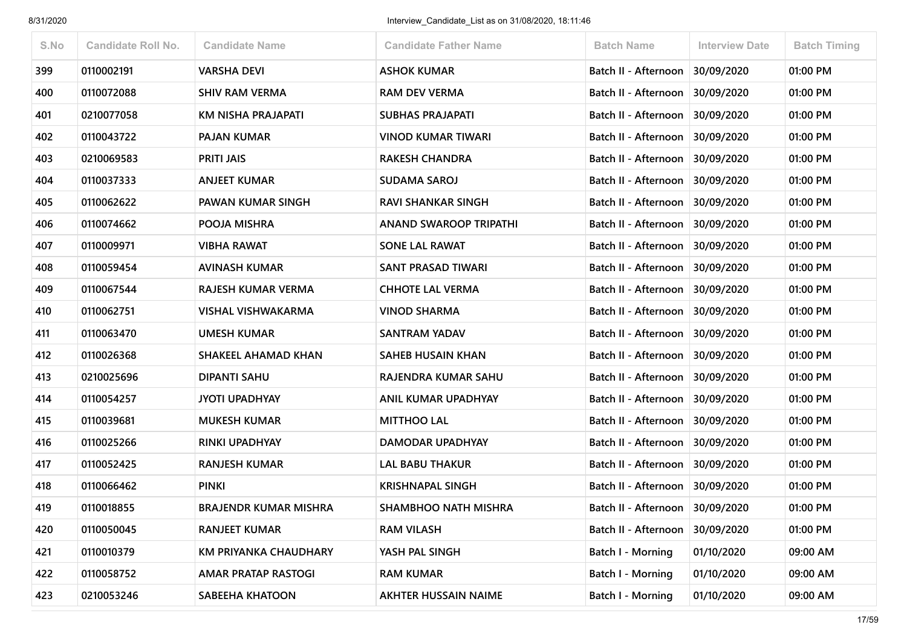| S.No | <b>Candidate Roll No.</b> | <b>Candidate Name</b>        | <b>Candidate Father Name</b>  | <b>Batch Name</b>               | <b>Interview Date</b> | <b>Batch Timing</b> |
|------|---------------------------|------------------------------|-------------------------------|---------------------------------|-----------------------|---------------------|
| 399  | 0110002191                | <b>VARSHA DEVI</b>           | <b>ASHOK KUMAR</b>            | Batch II - Afternoon            | 30/09/2020            | 01:00 PM            |
| 400  | 0110072088                | <b>SHIV RAM VERMA</b>        | <b>RAM DEV VERMA</b>          | Batch II - Afternoon            | 30/09/2020            | 01:00 PM            |
| 401  | 0210077058                | KM NISHA PRAJAPATI           | <b>SUBHAS PRAJAPATI</b>       | Batch II - Afternoon            | 30/09/2020            | 01:00 PM            |
| 402  | 0110043722                | <b>PAJAN KUMAR</b>           | <b>VINOD KUMAR TIWARI</b>     | Batch II - Afternoon            | 30/09/2020            | 01:00 PM            |
| 403  | 0210069583                | <b>PRITI JAIS</b>            | <b>RAKESH CHANDRA</b>         | Batch II - Afternoon            | 30/09/2020            | 01:00 PM            |
| 404  | 0110037333                | <b>ANJEET KUMAR</b>          | <b>SUDAMA SAROJ</b>           | Batch II - Afternoon            | 30/09/2020            | 01:00 PM            |
| 405  | 0110062622                | PAWAN KUMAR SINGH            | <b>RAVI SHANKAR SINGH</b>     | Batch II - Afternoon            | 30/09/2020            | 01:00 PM            |
| 406  | 0110074662                | POOJA MISHRA                 | <b>ANAND SWAROOP TRIPATHI</b> | Batch II - Afternoon            | 30/09/2020            | 01:00 PM            |
| 407  | 0110009971                | VIBHA RAWAT                  | <b>SONE LAL RAWAT</b>         | Batch II - Afternoon 30/09/2020 |                       | 01:00 PM            |
| 408  | 0110059454                | <b>AVINASH KUMAR</b>         | <b>SANT PRASAD TIWARI</b>     | Batch II - Afternoon            | 30/09/2020            | 01:00 PM            |
| 409  | 0110067544                | RAJESH KUMAR VERMA           | <b>CHHOTE LAL VERMA</b>       | Batch II - Afternoon            | 30/09/2020            | 01:00 PM            |
| 410  | 0110062751                | VISHAL VISHWAKARMA           | <b>VINOD SHARMA</b>           | Batch II - Afternoon            | 30/09/2020            | 01:00 PM            |
| 411  | 0110063470                | <b>UMESH KUMAR</b>           | <b>SANTRAM YADAV</b>          | Batch II - Afternoon            | 30/09/2020            | 01:00 PM            |
| 412  | 0110026368                | <b>SHAKEEL AHAMAD KHAN</b>   | <b>SAHEB HUSAIN KHAN</b>      | Batch II - Afternoon            | 30/09/2020            | 01:00 PM            |
| 413  | 0210025696                | DIPANTI SAHU                 | RAJENDRA KUMAR SAHU           | Batch II - Afternoon            | 30/09/2020            | 01:00 PM            |
| 414  | 0110054257                | <b>JYOTI UPADHYAY</b>        | ANIL KUMAR UPADHYAY           | Batch II - Afternoon            | 30/09/2020            | 01:00 PM            |
| 415  | 0110039681                | <b>MUKESH KUMAR</b>          | <b>MITTHOO LAL</b>            | Batch II - Afternoon            | 30/09/2020            | 01:00 PM            |
| 416  | 0110025266                | <b>RINKI UPADHYAY</b>        | DAMODAR UPADHYAY              | Batch II - Afternoon            | 30/09/2020            | 01:00 PM            |
| 417  | 0110052425                | <b>RANJESH KUMAR</b>         | <b>LAL BABU THAKUR</b>        | Batch II - Afternoon            | 30/09/2020            | 01:00 PM            |
| 418  | 0110066462                | <b>PINKI</b>                 | <b>KRISHNAPAL SINGH</b>       | Batch II - Afternoon            | 30/09/2020            | 01:00 PM            |
| 419  | 0110018855                | <b>BRAJENDR KUMAR MISHRA</b> | <b>SHAMBHOO NATH MISHRA</b>   | Batch II - Afternoon 30/09/2020 |                       | 01:00 PM            |
| 420  | 0110050045                | <b>RANJEET KUMAR</b>         | <b>RAM VILASH</b>             | Batch II - Afternoon            | 30/09/2020            | 01:00 PM            |
| 421  | 0110010379                | <b>KM PRIYANKA CHAUDHARY</b> | YASH PAL SINGH                | Batch I - Morning               | 01/10/2020            | 09:00 AM            |
| 422  | 0110058752                | AMAR PRATAP RASTOGI          | <b>RAM KUMAR</b>              | <b>Batch I - Morning</b>        | 01/10/2020            | 09:00 AM            |
| 423  | 0210053246                | <b>SABEEHA KHATOON</b>       | <b>AKHTER HUSSAIN NAIME</b>   | <b>Batch I - Morning</b>        | 01/10/2020            | 09:00 AM            |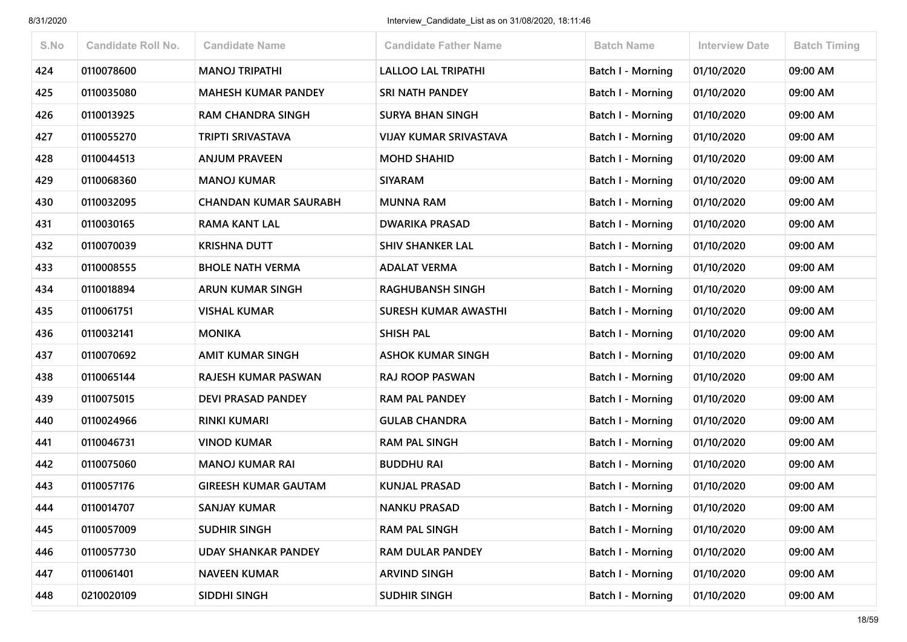| S.No | <b>Candidate Roll No.</b> | <b>Candidate Name</b>        | <b>Candidate Father Name</b>  | <b>Batch Name</b>        | <b>Interview Date</b> | <b>Batch Timing</b> |
|------|---------------------------|------------------------------|-------------------------------|--------------------------|-----------------------|---------------------|
| 424  | 0110078600                | <b>MANOJ TRIPATHI</b>        | <b>LALLOO LAL TRIPATHI</b>    | <b>Batch I - Morning</b> | 01/10/2020            | 09:00 AM            |
| 425  | 0110035080                | <b>MAHESH KUMAR PANDEY</b>   | <b>SRI NATH PANDEY</b>        | Batch I - Morning        | 01/10/2020            | 09:00 AM            |
| 426  | 0110013925                | <b>RAM CHANDRA SINGH</b>     | <b>SURYA BHAN SINGH</b>       | Batch I - Morning        | 01/10/2020            | 09:00 AM            |
| 427  | 0110055270                | <b>TRIPTI SRIVASTAVA</b>     | <b>VIJAY KUMAR SRIVASTAVA</b> | Batch I - Morning        | 01/10/2020            | 09:00 AM            |
| 428  | 0110044513                | <b>ANJUM PRAVEEN</b>         | <b>MOHD SHAHID</b>            | <b>Batch I - Morning</b> | 01/10/2020            | 09:00 AM            |
| 429  | 0110068360                | <b>MANOJ KUMAR</b>           | <b>SIYARAM</b>                | <b>Batch I - Morning</b> | 01/10/2020            | 09:00 AM            |
| 430  | 0110032095                | <b>CHANDAN KUMAR SAURABH</b> | <b>MUNNA RAM</b>              | <b>Batch I - Morning</b> | 01/10/2020            | 09:00 AM            |
| 431  | 0110030165                | <b>RAMA KANT LAL</b>         | <b>DWARIKA PRASAD</b>         | Batch I - Morning        | 01/10/2020            | 09:00 AM            |
| 432  | 0110070039                | <b>KRISHNA DUTT</b>          | <b>SHIV SHANKER LAL</b>       | Batch I - Morning        | 01/10/2020            | 09:00 AM            |
| 433  | 0110008555                | <b>BHOLE NATH VERMA</b>      | <b>ADALAT VERMA</b>           | Batch I - Morning        | 01/10/2020            | 09:00 AM            |
| 434  | 0110018894                | <b>ARUN KUMAR SINGH</b>      | <b>RAGHUBANSH SINGH</b>       | <b>Batch I - Morning</b> | 01/10/2020            | 09:00 AM            |
| 435  | 0110061751                | <b>VISHAL KUMAR</b>          | <b>SURESH KUMAR AWASTHI</b>   | <b>Batch I - Morning</b> | 01/10/2020            | 09:00 AM            |
| 436  | 0110032141                | <b>MONIKA</b>                | <b>SHISH PAL</b>              | Batch I - Morning        | 01/10/2020            | 09:00 AM            |
| 437  | 0110070692                | <b>AMIT KUMAR SINGH</b>      | <b>ASHOK KUMAR SINGH</b>      | <b>Batch I - Morning</b> | 01/10/2020            | 09:00 AM            |
| 438  | 0110065144                | RAJESH KUMAR PASWAN          | <b>RAJ ROOP PASWAN</b>        | <b>Batch I - Morning</b> | 01/10/2020            | 09:00 AM            |
| 439  | 0110075015                | <b>DEVI PRASAD PANDEY</b>    | <b>RAM PAL PANDEY</b>         | Batch I - Morning        | 01/10/2020            | 09:00 AM            |
| 440  | 0110024966                | <b>RINKI KUMARI</b>          | <b>GULAB CHANDRA</b>          | <b>Batch I - Morning</b> | 01/10/2020            | 09:00 AM            |
| 441  | 0110046731                | <b>VINOD KUMAR</b>           | <b>RAM PAL SINGH</b>          | <b>Batch I - Morning</b> | 01/10/2020            | 09:00 AM            |
| 442  | 0110075060                | <b>MANOJ KUMAR RAI</b>       | <b>BUDDHU RAI</b>             | <b>Batch I - Morning</b> | 01/10/2020            | 09:00 AM            |
| 443  | 0110057176                | <b>GIREESH KUMAR GAUTAM</b>  | <b>KUNJAL PRASAD</b>          | <b>Batch I - Morning</b> | 01/10/2020            | 09:00 AM            |
| 444  | 0110014707                | <b>SANJAY KUMAR</b>          | <b>NANKU PRASAD</b>           | Batch I - Morning        | 01/10/2020            | 09:00 AM            |
| 445  | 0110057009                | <b>SUDHIR SINGH</b>          | <b>RAM PAL SINGH</b>          | Batch I - Morning        | 01/10/2020            | 09:00 AM            |
| 446  | 0110057730                | <b>UDAY SHANKAR PANDEY</b>   | <b>RAM DULAR PANDEY</b>       | Batch I - Morning        | 01/10/2020            | 09:00 AM            |
| 447  | 0110061401                | <b>NAVEEN KUMAR</b>          | <b>ARVIND SINGH</b>           | Batch I - Morning        | 01/10/2020            | 09:00 AM            |
| 448  | 0210020109                | SIDDHI SINGH                 | <b>SUDHIR SINGH</b>           | Batch I - Morning        | 01/10/2020            | 09:00 AM            |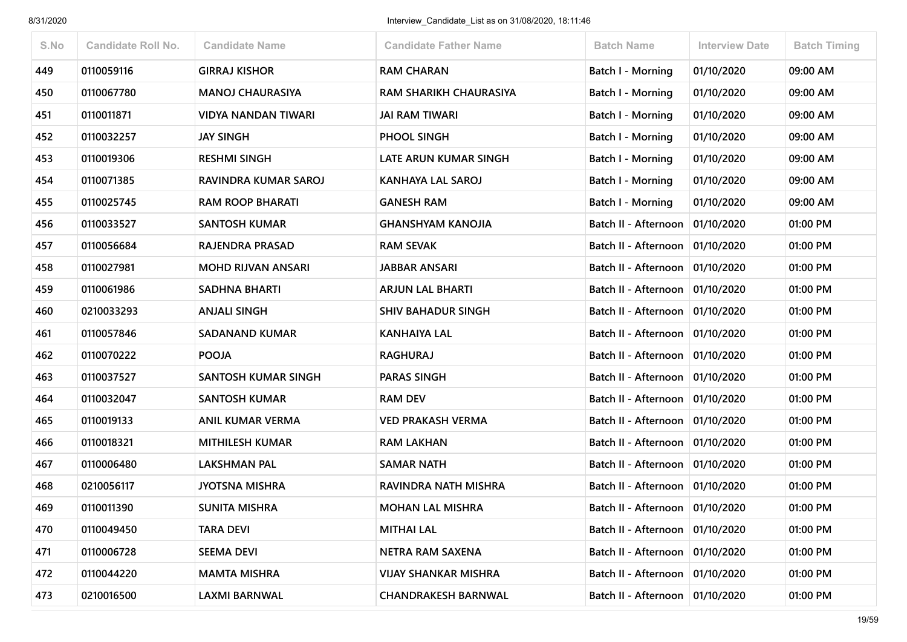| S.No | <b>Candidate Roll No.</b> | <b>Candidate Name</b>      | <b>Candidate Father Name</b> | <b>Batch Name</b>                 | <b>Interview Date</b> | <b>Batch Timing</b> |
|------|---------------------------|----------------------------|------------------------------|-----------------------------------|-----------------------|---------------------|
| 449  | 0110059116                | <b>GIRRAJ KISHOR</b>       | <b>RAM CHARAN</b>            | Batch I - Morning                 | 01/10/2020            | 09:00 AM            |
| 450  | 0110067780                | <b>MANOJ CHAURASIYA</b>    | RAM SHARIKH CHAURASIYA       | Batch I - Morning                 | 01/10/2020            | 09:00 AM            |
| 451  | 0110011871                | <b>VIDYA NANDAN TIWARI</b> | <b>JAI RAM TIWARI</b>        | Batch I - Morning                 | 01/10/2020            | 09:00 AM            |
| 452  | 0110032257                | <b>JAY SINGH</b>           | PHOOL SINGH                  | Batch I - Morning                 | 01/10/2020            | 09:00 AM            |
| 453  | 0110019306                | <b>RESHMI SINGH</b>        | LATE ARUN KUMAR SINGH        | Batch I - Morning                 | 01/10/2020            | 09:00 AM            |
| 454  | 0110071385                | RAVINDRA KUMAR SAROJ       | <b>KANHAYA LAL SAROJ</b>     | <b>Batch I - Morning</b>          | 01/10/2020            | 09:00 AM            |
| 455  | 0110025745                | <b>RAM ROOP BHARATI</b>    | <b>GANESH RAM</b>            | <b>Batch I - Morning</b>          | 01/10/2020            | 09:00 AM            |
| 456  | 0110033527                | <b>SANTOSH KUMAR</b>       | <b>GHANSHYAM KANOJIA</b>     | Batch II - Afternoon              | 01/10/2020            | 01:00 PM            |
| 457  | 0110056684                | RAJENDRA PRASAD            | <b>RAM SEVAK</b>             | Batch II - Afternoon              | 01/10/2020            | 01:00 PM            |
| 458  | 0110027981                | <b>MOHD RIJVAN ANSARI</b>  | <b>JABBAR ANSARI</b>         | Batch II - Afternoon              | 01/10/2020            | 01:00 PM            |
| 459  | 0110061986                | <b>SADHNA BHARTI</b>       | <b>ARJUN LAL BHARTI</b>      | Batch II - Afternoon   01/10/2020 |                       | 01:00 PM            |
| 460  | 0210033293                | <b>ANJALI SINGH</b>        | <b>SHIV BAHADUR SINGH</b>    | Batch II - Afternoon              | 01/10/2020            | 01:00 PM            |
| 461  | 0110057846                | <b>SADANAND KUMAR</b>      | <b>KANHAIYA LAL</b>          | Batch II - Afternoon              | 01/10/2020            | 01:00 PM            |
| 462  | 0110070222                | <b>POOJA</b>               | <b>RAGHURAJ</b>              | Batch II - Afternoon   01/10/2020 |                       | 01:00 PM            |
| 463  | 0110037527                | SANTOSH KUMAR SINGH        | <b>PARAS SINGH</b>           | Batch II - Afternoon              | 01/10/2020            | 01:00 PM            |
| 464  | 0110032047                | <b>SANTOSH KUMAR</b>       | <b>RAM DEV</b>               | Batch II - Afternoon              | 01/10/2020            | 01:00 PM            |
| 465  | 0110019133                | <b>ANIL KUMAR VERMA</b>    | <b>VED PRAKASH VERMA</b>     | Batch II - Afternoon   01/10/2020 |                       | 01:00 PM            |
| 466  | 0110018321                | <b>MITHILESH KUMAR</b>     | <b>RAM LAKHAN</b>            | Batch II - Afternoon              | 01/10/2020            | 01:00 PM            |
| 467  | 0110006480                | LAKSHMAN PAL               | <b>SAMAR NATH</b>            | Batch II - Afternoon   01/10/2020 |                       | 01:00 PM            |
| 468  | 0210056117                | <b>JYOTSNA MISHRA</b>      | RAVINDRA NATH MISHRA         | Batch II - Afternoon              | 01/10/2020            | 01:00 PM            |
| 469  | 0110011390                | <b>SUNITA MISHRA</b>       | <b>MOHAN LAL MISHRA</b>      | Batch II - Afternoon   01/10/2020 |                       | 01:00 PM            |
| 470  | 0110049450                | <b>TARA DEVI</b>           | <b>MITHAI LAL</b>            | Batch II - Afternoon   01/10/2020 |                       | 01:00 PM            |
| 471  | 0110006728                | <b>SEEMA DEVI</b>          | NETRA RAM SAXENA             | Batch II - Afternoon              | 01/10/2020            | 01:00 PM            |
| 472  | 0110044220                | <b>MAMTA MISHRA</b>        | <b>VIJAY SHANKAR MISHRA</b>  | Batch II - Afternoon   01/10/2020 |                       | 01:00 PM            |
| 473  | 0210016500                | <b>LAXMI BARNWAL</b>       | <b>CHANDRAKESH BARNWAL</b>   | Batch II - Afternoon              | 01/10/2020            | 01:00 PM            |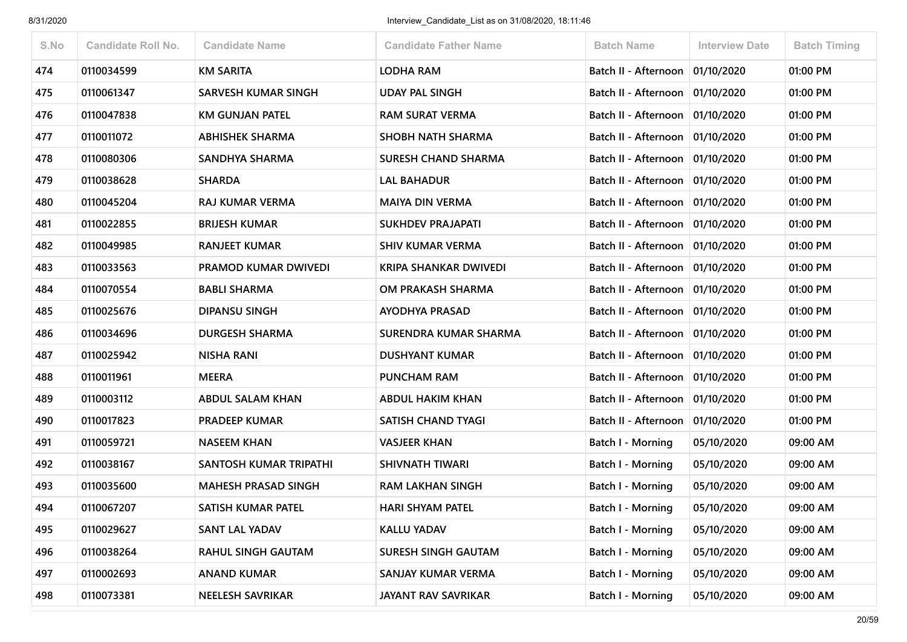| S.No | <b>Candidate Roll No.</b> | <b>Candidate Name</b>       | <b>Candidate Father Name</b> | <b>Batch Name</b>                 | <b>Interview Date</b> | <b>Batch Timing</b> |
|------|---------------------------|-----------------------------|------------------------------|-----------------------------------|-----------------------|---------------------|
| 474  | 0110034599                | <b>KM SARITA</b>            | LODHA RAM                    | Batch II - Afternoon              | 01/10/2020            | 01:00 PM            |
| 475  | 0110061347                | <b>SARVESH KUMAR SINGH</b>  | <b>UDAY PAL SINGH</b>        | Batch II - Afternoon              | 01/10/2020            | 01:00 PM            |
| 476  | 0110047838                | <b>KM GUNJAN PATEL</b>      | <b>RAM SURAT VERMA</b>       | Batch II - Afternoon              | 01/10/2020            | 01:00 PM            |
| 477  | 0110011072                | <b>ABHISHEK SHARMA</b>      | <b>SHOBH NATH SHARMA</b>     | Batch II - Afternoon              | 01/10/2020            | 01:00 PM            |
| 478  | 0110080306                | SANDHYA SHARMA              | <b>SURESH CHAND SHARMA</b>   | Batch II - Afternoon              | 01/10/2020            | 01:00 PM            |
| 479  | 0110038628                | <b>SHARDA</b>               | <b>LAL BAHADUR</b>           | Batch II - Afternoon   01/10/2020 |                       | 01:00 PM            |
| 480  | 0110045204                | <b>RAJ KUMAR VERMA</b>      | <b>MAIYA DIN VERMA</b>       | Batch II - Afternoon              | 01/10/2020            | 01:00 PM            |
| 481  | 0110022855                | <b>BRIJESH KUMAR</b>        | <b>SUKHDEV PRAJAPATI</b>     | Batch II - Afternoon              | 01/10/2020            | 01:00 PM            |
| 482  | 0110049985                | <b>RANJEET KUMAR</b>        | <b>SHIV KUMAR VERMA</b>      | Batch II - Afternoon   01/10/2020 |                       | 01:00 PM            |
| 483  | 0110033563                | <b>PRAMOD KUMAR DWIVEDI</b> | <b>KRIPA SHANKAR DWIVEDI</b> | Batch II - Afternoon              | 01/10/2020            | 01:00 PM            |
| 484  | 0110070554                | <b>BABLI SHARMA</b>         | OM PRAKASH SHARMA            | Batch II - Afternoon              | 01/10/2020            | 01:00 PM            |
| 485  | 0110025676                | <b>DIPANSU SINGH</b>        | <b>AYODHYA PRASAD</b>        | Batch II - Afternoon              | 01/10/2020            | 01:00 PM            |
| 486  | 0110034696                | <b>DURGESH SHARMA</b>       | SURENDRA KUMAR SHARMA        | Batch II - Afternoon              | 01/10/2020            | 01:00 PM            |
| 487  | 0110025942                | <b>NISHA RANI</b>           | <b>DUSHYANT KUMAR</b>        | Batch II - Afternoon              | 01/10/2020            | 01:00 PM            |
| 488  | 0110011961                | <b>MEERA</b>                | PUNCHAM RAM                  | Batch II - Afternoon              | 01/10/2020            | 01:00 PM            |
| 489  | 0110003112                | <b>ABDUL SALAM KHAN</b>     | <b>ABDUL HAKIM KHAN</b>      | Batch II - Afternoon              | 01/10/2020            | 01:00 PM            |
| 490  | 0110017823                | <b>PRADEEP KUMAR</b>        | <b>SATISH CHAND TYAGI</b>    | Batch II - Afternoon              | 01/10/2020            | 01:00 PM            |
| 491  | 0110059721                | <b>NASEEM KHAN</b>          | <b>VASJEER KHAN</b>          | Batch I - Morning                 | 05/10/2020            | 09:00 AM            |
| 492  | 0110038167                | SANTOSH KUMAR TRIPATHI      | <b>SHIVNATH TIWARI</b>       | Batch I - Morning                 | 05/10/2020            | 09:00 AM            |
| 493  | 0110035600                | <b>MAHESH PRASAD SINGH</b>  | <b>RAM LAKHAN SINGH</b>      | <b>Batch I - Morning</b>          | 05/10/2020            | 09:00 AM            |
| 494  | 0110067207                | SATISH KUMAR PATEL          | <b>HARI SHYAM PATEL</b>      | Batch I - Morning                 | 05/10/2020            | 09:00 AM            |
| 495  | 0110029627                | <b>SANT LAL YADAV</b>       | <b>KALLU YADAV</b>           | Batch I - Morning                 | 05/10/2020            | 09:00 AM            |
| 496  | 0110038264                | <b>RAHUL SINGH GAUTAM</b>   | <b>SURESH SINGH GAUTAM</b>   | Batch I - Morning                 | 05/10/2020            | 09:00 AM            |
| 497  | 0110002693                | <b>ANAND KUMAR</b>          | SANJAY KUMAR VERMA           | Batch I - Morning                 | 05/10/2020            | 09:00 AM            |
| 498  | 0110073381                | <b>NEELESH SAVRIKAR</b>     | JAYANT RAV SAVRIKAR          | <b>Batch I - Morning</b>          | 05/10/2020            | 09:00 AM            |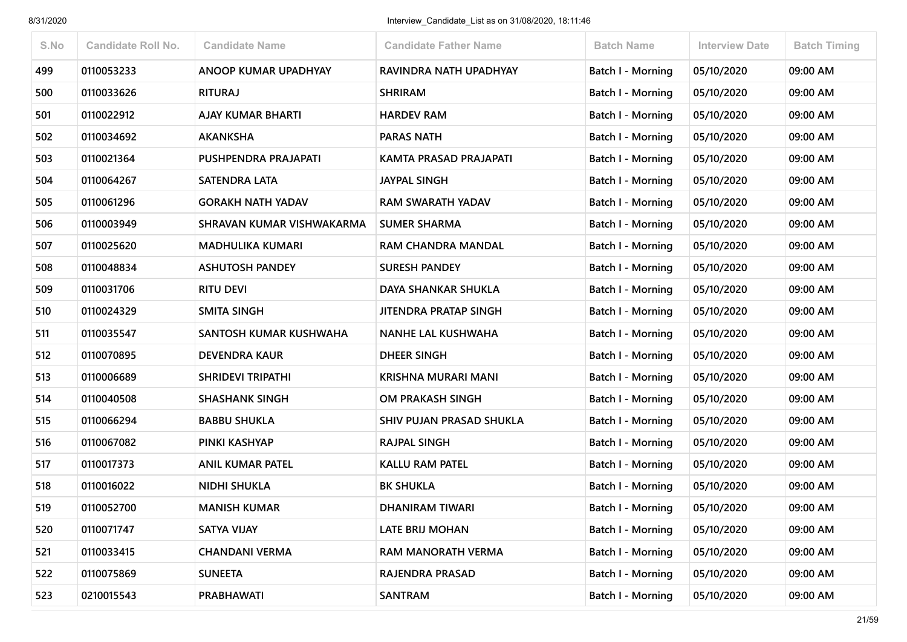| S.No | <b>Candidate Roll No.</b> | <b>Candidate Name</b>     | <b>Candidate Father Name</b> | <b>Batch Name</b>        | <b>Interview Date</b> | <b>Batch Timing</b> |
|------|---------------------------|---------------------------|------------------------------|--------------------------|-----------------------|---------------------|
| 499  | 0110053233                | ANOOP KUMAR UPADHYAY      | RAVINDRA NATH UPADHYAY       | <b>Batch I - Morning</b> | 05/10/2020            | 09:00 AM            |
| 500  | 0110033626                | <b>RITURAJ</b>            | <b>SHRIRAM</b>               | Batch I - Morning        | 05/10/2020            | 09:00 AM            |
| 501  | 0110022912                | <b>AJAY KUMAR BHARTI</b>  | <b>HARDEV RAM</b>            | Batch I - Morning        | 05/10/2020            | 09:00 AM            |
| 502  | 0110034692                | <b>AKANKSHA</b>           | <b>PARAS NATH</b>            | <b>Batch I - Morning</b> | 05/10/2020            | 09:00 AM            |
| 503  | 0110021364                | PUSHPENDRA PRAJAPATI      | KAMTA PRASAD PRAJAPATI       | Batch I - Morning        | 05/10/2020            | 09:00 AM            |
| 504  | 0110064267                | <b>SATENDRA LATA</b>      | <b>JAYPAL SINGH</b>          | <b>Batch I - Morning</b> | 05/10/2020            | 09:00 AM            |
| 505  | 0110061296                | <b>GORAKH NATH YADAV</b>  | <b>RAM SWARATH YADAV</b>     | Batch I - Morning        | 05/10/2020            | 09:00 AM            |
| 506  | 0110003949                | SHRAVAN KUMAR VISHWAKARMA | <b>SUMER SHARMA</b>          | Batch I - Morning        | 05/10/2020            | 09:00 AM            |
| 507  | 0110025620                | <b>MADHULIKA KUMARI</b>   | RAM CHANDRA MANDAL           | <b>Batch I - Morning</b> | 05/10/2020            | 09:00 AM            |
| 508  | 0110048834                | <b>ASHUTOSH PANDEY</b>    | <b>SURESH PANDEY</b>         | Batch I - Morning        | 05/10/2020            | 09:00 AM            |
| 509  | 0110031706                | <b>RITU DEVI</b>          | <b>DAYA SHANKAR SHUKLA</b>   | <b>Batch I - Morning</b> | 05/10/2020            | 09:00 AM            |
| 510  | 0110024329                | <b>SMITA SINGH</b>        | <b>JITENDRA PRATAP SINGH</b> | <b>Batch I - Morning</b> | 05/10/2020            | 09:00 AM            |
| 511  | 0110035547                | SANTOSH KUMAR KUSHWAHA    | NANHE LAL KUSHWAHA           | Batch I - Morning        | 05/10/2020            | 09:00 AM            |
| 512  | 0110070895                | <b>DEVENDRA KAUR</b>      | <b>DHEER SINGH</b>           | <b>Batch I - Morning</b> | 05/10/2020            | 09:00 AM            |
| 513  | 0110006689                | <b>SHRIDEVI TRIPATHI</b>  | <b>KRISHNA MURARI MANI</b>   | <b>Batch I - Morning</b> | 05/10/2020            | 09:00 AM            |
| 514  | 0110040508                | <b>SHASHANK SINGH</b>     | OM PRAKASH SINGH             | Batch I - Morning        | 05/10/2020            | 09:00 AM            |
| 515  | 0110066294                | <b>BABBU SHUKLA</b>       | SHIV PUJAN PRASAD SHUKLA     | <b>Batch I - Morning</b> | 05/10/2020            | 09:00 AM            |
| 516  | 0110067082                | PINKI KASHYAP             | <b>RAJPAL SINGH</b>          | Batch I - Morning        | 05/10/2020            | 09:00 AM            |
| 517  | 0110017373                | <b>ANIL KUMAR PATEL</b>   | <b>KALLU RAM PATEL</b>       | <b>Batch I - Morning</b> | 05/10/2020            | 09:00 AM            |
| 518  | 0110016022                | <b>NIDHI SHUKLA</b>       | <b>BK SHUKLA</b>             | <b>Batch I - Morning</b> | 05/10/2020            | 09:00 AM            |
| 519  | 0110052700                | <b>MANISH KUMAR</b>       | <b>DHANIRAM TIWARI</b>       | Batch I - Morning        | 05/10/2020            | 09:00 AM            |
| 520  | 0110071747                | <b>SATYA VIJAY</b>        | <b>LATE BRIJ MOHAN</b>       | Batch I - Morning        | 05/10/2020            | 09:00 AM            |
| 521  | 0110033415                | <b>CHANDANI VERMA</b>     | RAM MANORATH VERMA           | Batch I - Morning        | 05/10/2020            | 09:00 AM            |
| 522  | 0110075869                | <b>SUNEETA</b>            | RAJENDRA PRASAD              | <b>Batch I - Morning</b> | 05/10/2020            | 09:00 AM            |
| 523  | 0210015543                | PRABHAWATI                | <b>SANTRAM</b>               | Batch I - Morning        | 05/10/2020            | 09:00 AM            |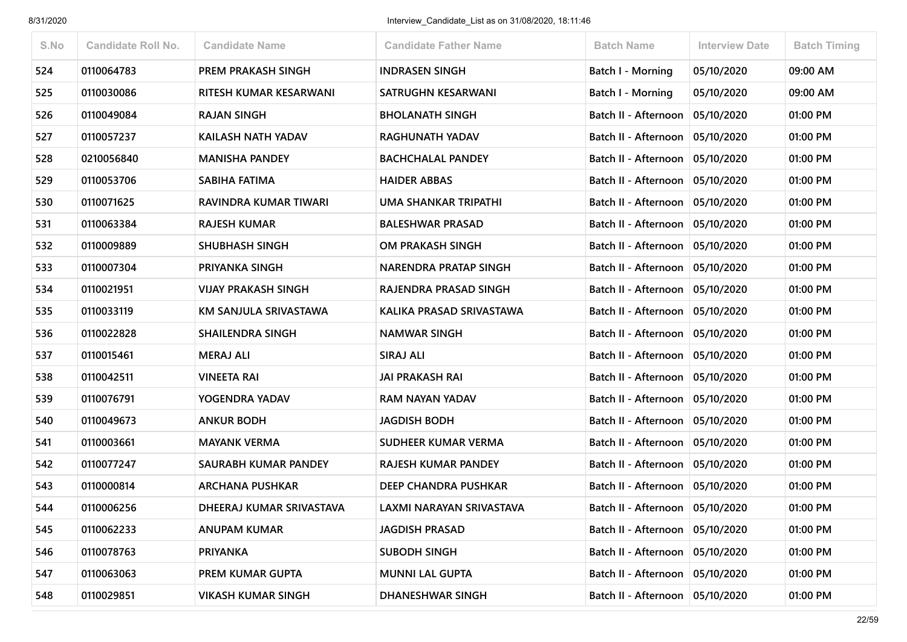| S.No | <b>Candidate Roll No.</b> | <b>Candidate Name</b>      | <b>Candidate Father Name</b> | <b>Batch Name</b>                 | <b>Interview Date</b> | <b>Batch Timing</b> |
|------|---------------------------|----------------------------|------------------------------|-----------------------------------|-----------------------|---------------------|
| 524  | 0110064783                | PREM PRAKASH SINGH         | <b>INDRASEN SINGH</b>        | <b>Batch I - Morning</b>          | 05/10/2020            | 09:00 AM            |
| 525  | 0110030086                | RITESH KUMAR KESARWANI     | SATRUGHN KESARWANI           | <b>Batch I - Morning</b>          | 05/10/2020            | 09:00 AM            |
| 526  | 0110049084                | <b>RAJAN SINGH</b>         | <b>BHOLANATH SINGH</b>       | Batch II - Afternoon              | 05/10/2020            | 01:00 PM            |
| 527  | 0110057237                | KAILASH NATH YADAV         | <b>RAGHUNATH YADAV</b>       | Batch II - Afternoon              | 05/10/2020            | 01:00 PM            |
| 528  | 0210056840                | <b>MANISHA PANDEY</b>      | <b>BACHCHALAL PANDEY</b>     | Batch II - Afternoon              | 05/10/2020            | 01:00 PM            |
| 529  | 0110053706                | SABIHA FATIMA              | <b>HAIDER ABBAS</b>          | Batch II - Afternoon              | 05/10/2020            | 01:00 PM            |
| 530  | 0110071625                | RAVINDRA KUMAR TIWARI      | UMA SHANKAR TRIPATHI         | Batch II - Afternoon   05/10/2020 |                       | 01:00 PM            |
| 531  | 0110063384                | <b>RAJESH KUMAR</b>        | <b>BALESHWAR PRASAD</b>      | Batch II - Afternoon              | 05/10/2020            | 01:00 PM            |
| 532  | 0110009889                | <b>SHUBHASH SINGH</b>      | <b>OM PRAKASH SINGH</b>      | Batch II - Afternoon   05/10/2020 |                       | 01:00 PM            |
| 533  | 0110007304                | PRIYANKA SINGH             | <b>NARENDRA PRATAP SINGH</b> | Batch II - Afternoon              | 05/10/2020            | 01:00 PM            |
| 534  | 0110021951                | <b>VIJAY PRAKASH SINGH</b> | RAJENDRA PRASAD SINGH        | Batch II - Afternoon              | 05/10/2020            | 01:00 PM            |
| 535  | 0110033119                | KM SANJULA SRIVASTAWA      | KALIKA PRASAD SRIVASTAWA     | Batch II - Afternoon   05/10/2020 |                       | 01:00 PM            |
| 536  | 0110022828                | <b>SHAILENDRA SINGH</b>    | <b>NAMWAR SINGH</b>          | Batch II - Afternoon              | 05/10/2020            | 01:00 PM            |
| 537  | 0110015461                | <b>MERAJ ALI</b>           | SIRAJ ALI                    | Batch II - Afternoon              | 05/10/2020            | 01:00 PM            |
| 538  | 0110042511                | VINEETA RAI                | <b>JAI PRAKASH RAI</b>       | Batch II - Afternoon   05/10/2020 |                       | 01:00 PM            |
| 539  | 0110076791                | YOGENDRA YADAV             | RAM NAYAN YADAV              | Batch II - Afternoon              | 05/10/2020            | 01:00 PM            |
| 540  | 0110049673                | <b>ANKUR BODH</b>          | <b>JAGDISH BODH</b>          | Batch II - Afternoon   05/10/2020 |                       | 01:00 PM            |
| 541  | 0110003661                | <b>MAYANK VERMA</b>        | SUDHEER KUMAR VERMA          | Batch II - Afternoon              | 05/10/2020            | 01:00 PM            |
| 542  | 0110077247                | SAURABH KUMAR PANDEY       | <b>RAJESH KUMAR PANDEY</b>   | Batch II - Afternoon              | 05/10/2020            | 01:00 PM            |
| 543  | 0110000814                | <b>ARCHANA PUSHKAR</b>     | DEEP CHANDRA PUSHKAR         | Batch II - Afternoon   05/10/2020 |                       | 01:00 PM            |
| 544  | 0110006256                | DHEERAJ KUMAR SRIVASTAVA   | LAXMI NARAYAN SRIVASTAVA     | Batch II - Afternoon   05/10/2020 |                       | 01:00 PM            |
| 545  | 0110062233                | <b>ANUPAM KUMAR</b>        | <b>JAGDISH PRASAD</b>        | Batch II - Afternoon   05/10/2020 |                       | 01:00 PM            |
| 546  | 0110078763                | <b>PRIYANKA</b>            | <b>SUBODH SINGH</b>          | Batch II - Afternoon   05/10/2020 |                       | 01:00 PM            |
| 547  | 0110063063                | PREM KUMAR GUPTA           | <b>MUNNI LAL GUPTA</b>       | Batch II - Afternoon              | 05/10/2020            | 01:00 PM            |
| 548  | 0110029851                | <b>VIKASH KUMAR SINGH</b>  | <b>DHANESHWAR SINGH</b>      | Batch II - Afternoon              | 05/10/2020            | 01:00 PM            |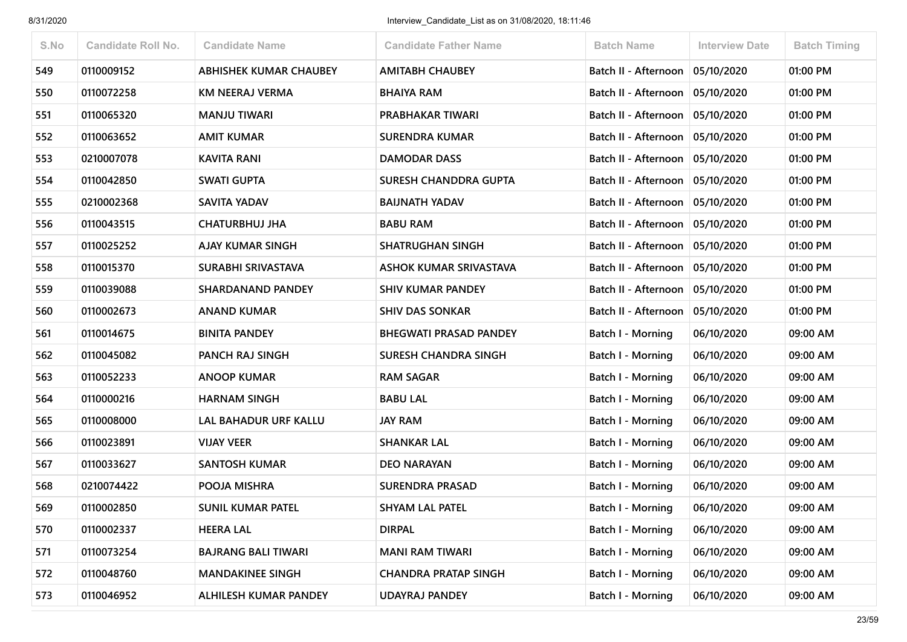| S.No | <b>Candidate Roll No.</b> | <b>Candidate Name</b>         | <b>Candidate Father Name</b>  | <b>Batch Name</b>        | <b>Interview Date</b> | <b>Batch Timing</b> |
|------|---------------------------|-------------------------------|-------------------------------|--------------------------|-----------------------|---------------------|
| 549  | 0110009152                | <b>ABHISHEK KUMAR CHAUBEY</b> | <b>AMITABH CHAUBEY</b>        | Batch II - Afternoon     | 05/10/2020            | 01:00 PM            |
| 550  | 0110072258                | <b>KM NEERAJ VERMA</b>        | <b>BHAIYA RAM</b>             | Batch II - Afternoon     | 05/10/2020            | 01:00 PM            |
| 551  | 0110065320                | <b>MANJU TIWARI</b>           | PRABHAKAR TIWARI              | Batch II - Afternoon     | 05/10/2020            | 01:00 PM            |
| 552  | 0110063652                | <b>AMIT KUMAR</b>             | <b>SURENDRA KUMAR</b>         | Batch II - Afternoon     | 05/10/2020            | 01:00 PM            |
| 553  | 0210007078                | <b>KAVITA RANI</b>            | <b>DAMODAR DASS</b>           | Batch II - Afternoon     | 05/10/2020            | 01:00 PM            |
| 554  | 0110042850                | <b>SWATI GUPTA</b>            | <b>SURESH CHANDDRA GUPTA</b>  | Batch II - Afternoon     | 05/10/2020            | 01:00 PM            |
| 555  | 0210002368                | <b>SAVITA YADAV</b>           | <b>BAIJNATH YADAV</b>         | Batch II - Afternoon     | 05/10/2020            | 01:00 PM            |
| 556  | 0110043515                | <b>CHATURBHUJ JHA</b>         | <b>BABU RAM</b>               | Batch II - Afternoon     | 05/10/2020            | 01:00 PM            |
| 557  | 0110025252                | <b>AJAY KUMAR SINGH</b>       | <b>SHATRUGHAN SINGH</b>       | Batch II - Afternoon     | 05/10/2020            | 01:00 PM            |
| 558  | 0110015370                | SURABHI SRIVASTAVA            | <b>ASHOK KUMAR SRIVASTAVA</b> | Batch II - Afternoon     | 05/10/2020            | 01:00 PM            |
| 559  | 0110039088                | <b>SHARDANAND PANDEY</b>      | <b>SHIV KUMAR PANDEY</b>      | Batch II - Afternoon     | 05/10/2020            | 01:00 PM            |
| 560  | 0110002673                | <b>ANAND KUMAR</b>            | <b>SHIV DAS SONKAR</b>        | Batch II - Afternoon     | 05/10/2020            | 01:00 PM            |
| 561  | 0110014675                | <b>BINITA PANDEY</b>          | <b>BHEGWATI PRASAD PANDEY</b> | Batch I - Morning        | 06/10/2020            | 09:00 AM            |
| 562  | 0110045082                | PANCH RAJ SINGH               | <b>SURESH CHANDRA SINGH</b>   | <b>Batch I - Morning</b> | 06/10/2020            | 09:00 AM            |
| 563  | 0110052233                | <b>ANOOP KUMAR</b>            | <b>RAM SAGAR</b>              | Batch I - Morning        | 06/10/2020            | 09:00 AM            |
| 564  | 0110000216                | <b>HARNAM SINGH</b>           | <b>BABU LAL</b>               | <b>Batch I - Morning</b> | 06/10/2020            | 09:00 AM            |
| 565  | 0110008000                | <b>LAL BAHADUR URF KALLU</b>  | <b>JAY RAM</b>                | Batch I - Morning        | 06/10/2020            | 09:00 AM            |
| 566  | 0110023891                | <b>VIJAY VEER</b>             | <b>SHANKAR LAL</b>            | <b>Batch I - Morning</b> | 06/10/2020            | 09:00 AM            |
| 567  | 0110033627                | <b>SANTOSH KUMAR</b>          | <b>DEO NARAYAN</b>            | <b>Batch I - Morning</b> | 06/10/2020            | 09:00 AM            |
| 568  | 0210074422                | POOJA MISHRA                  | <b>SURENDRA PRASAD</b>        | <b>Batch I - Morning</b> | 06/10/2020            | 09:00 AM            |
| 569  | 0110002850                | <b>SUNIL KUMAR PATEL</b>      | <b>SHYAM LAL PATEL</b>        | Batch I - Morning        | 06/10/2020            | 09:00 AM            |
| 570  | 0110002337                | <b>HEERA LAL</b>              | <b>DIRPAL</b>                 | Batch I - Morning        | 06/10/2020            | 09:00 AM            |
| 571  | 0110073254                | <b>BAJRANG BALI TIWARI</b>    | <b>MANI RAM TIWARI</b>        | <b>Batch I - Morning</b> | 06/10/2020            | 09:00 AM            |
| 572  | 0110048760                | <b>MANDAKINEE SINGH</b>       | <b>CHANDRA PRATAP SINGH</b>   | <b>Batch I - Morning</b> | 06/10/2020            | 09:00 AM            |
| 573  | 0110046952                | ALHILESH KUMAR PANDEY         | UDAYRAJ PANDEY                | <b>Batch I - Morning</b> | 06/10/2020            | 09:00 AM            |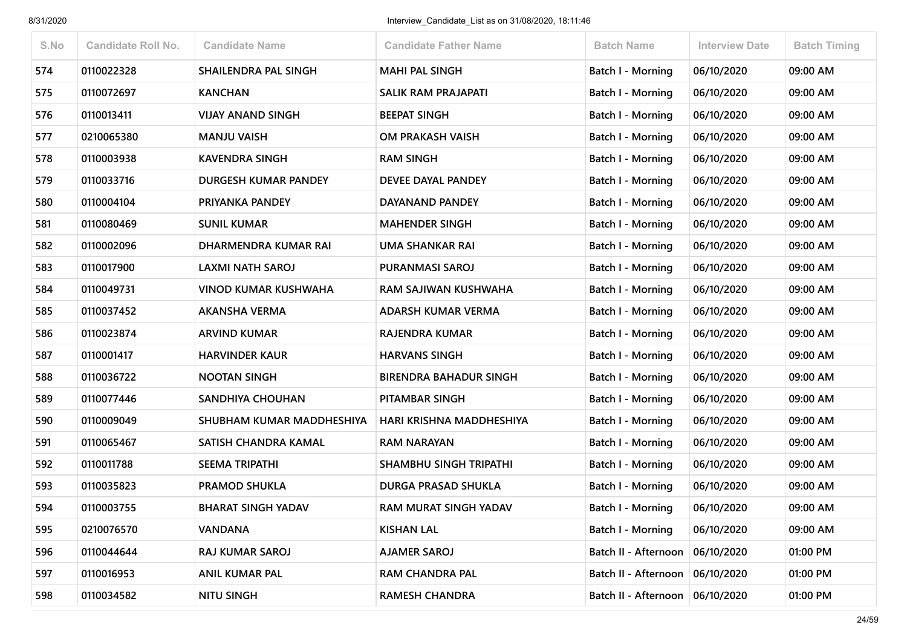| S.No | <b>Candidate Roll No.</b> | <b>Candidate Name</b>       | <b>Candidate Father Name</b>  | <b>Batch Name</b>        | <b>Interview Date</b> | <b>Batch Timing</b> |
|------|---------------------------|-----------------------------|-------------------------------|--------------------------|-----------------------|---------------------|
| 574  | 0110022328                | SHAILENDRA PAL SINGH        | <b>MAHI PAL SINGH</b>         | <b>Batch I - Morning</b> | 06/10/2020            | 09:00 AM            |
| 575  | 0110072697                | <b>KANCHAN</b>              | <b>SALIK RAM PRAJAPATI</b>    | Batch I - Morning        | 06/10/2020            | 09:00 AM            |
| 576  | 0110013411                | <b>VIJAY ANAND SINGH</b>    | <b>BEEPAT SINGH</b>           | Batch I - Morning        | 06/10/2020            | 09:00 AM            |
| 577  | 0210065380                | <b>MANJU VAISH</b>          | OM PRAKASH VAISH              | <b>Batch I - Morning</b> | 06/10/2020            | 09:00 AM            |
| 578  | 0110003938                | <b>KAVENDRA SINGH</b>       | <b>RAM SINGH</b>              | Batch I - Morning        | 06/10/2020            | 09:00 AM            |
| 579  | 0110033716                | DURGESH KUMAR PANDEY        | DEVEE DAYAL PANDEY            | <b>Batch I - Morning</b> | 06/10/2020            | 09:00 AM            |
| 580  | 0110004104                | PRIYANKA PANDEY             | DAYANAND PANDEY               | Batch I - Morning        | 06/10/2020            | 09:00 AM            |
| 581  | 0110080469                | <b>SUNIL KUMAR</b>          | <b>MAHENDER SINGH</b>         | <b>Batch I - Morning</b> | 06/10/2020            | 09:00 AM            |
| 582  | 0110002096                | DHARMENDRA KUMAR RAI        | <b>UMA SHANKAR RAI</b>        | <b>Batch I - Morning</b> | 06/10/2020            | 09:00 AM            |
| 583  | 0110017900                | LAXMI NATH SAROJ            | PURANMASI SAROJ               | Batch I - Morning        | 06/10/2020            | 09:00 AM            |
| 584  | 0110049731                | <b>VINOD KUMAR KUSHWAHA</b> | RAM SAJIWAN KUSHWAHA          | Batch I - Morning        | 06/10/2020            | 09:00 AM            |
| 585  | 0110037452                | <b>AKANSHA VERMA</b>        | ADARSH KUMAR VERMA            | <b>Batch I - Morning</b> | 06/10/2020            | 09:00 AM            |
| 586  | 0110023874                | <b>ARVIND KUMAR</b>         | <b>RAJENDRA KUMAR</b>         | Batch I - Morning        | 06/10/2020            | 09:00 AM            |
| 587  | 0110001417                | <b>HARVINDER KAUR</b>       | <b>HARVANS SINGH</b>          | <b>Batch I - Morning</b> | 06/10/2020            | 09:00 AM            |
| 588  | 0110036722                | <b>NOOTAN SINGH</b>         | <b>BIRENDRA BAHADUR SINGH</b> | Batch I - Morning        | 06/10/2020            | 09:00 AM            |
| 589  | 0110077446                | SANDHIYA CHOUHAN            | PITAMBAR SINGH                | Batch I - Morning        | 06/10/2020            | 09:00 AM            |
| 590  | 0110009049                | SHUBHAM KUMAR MADDHESHIYA   | HARI KRISHNA MADDHESHIYA      | Batch I - Morning        | 06/10/2020            | 09:00 AM            |
| 591  | 0110065467                | SATISH CHANDRA KAMAL        | <b>RAM NARAYAN</b>            | Batch I - Morning        | 06/10/2020            | 09:00 AM            |
| 592  | 0110011788                | <b>SEEMA TRIPATHI</b>       | SHAMBHU SINGH TRIPATHI        | <b>Batch I - Morning</b> | 06/10/2020            | 09:00 AM            |
| 593  | 0110035823                | <b>PRAMOD SHUKLA</b>        | <b>DURGA PRASAD SHUKLA</b>    | <b>Batch I - Morning</b> | 06/10/2020            | 09:00 AM            |
| 594  | 0110003755                | <b>BHARAT SINGH YADAV</b>   | RAM MURAT SINGH YADAV         | Batch I - Morning        | 06/10/2020            | 09:00 AM            |
| 595  | 0210076570                | <b>VANDANA</b>              | <b>KISHAN LAL</b>             | Batch I - Morning        | 06/10/2020            | 09:00 AM            |
| 596  | 0110044644                | RAJ KUMAR SAROJ             | <b>AJAMER SAROJ</b>           | Batch II - Afternoon     | 06/10/2020            | 01:00 PM            |
| 597  | 0110016953                | <b>ANIL KUMAR PAL</b>       | <b>RAM CHANDRA PAL</b>        | Batch II - Afternoon     | 06/10/2020            | 01:00 PM            |
| 598  | 0110034582                | <b>NITU SINGH</b>           | <b>RAMESH CHANDRA</b>         | Batch II - Afternoon     | 06/10/2020            | 01:00 PM            |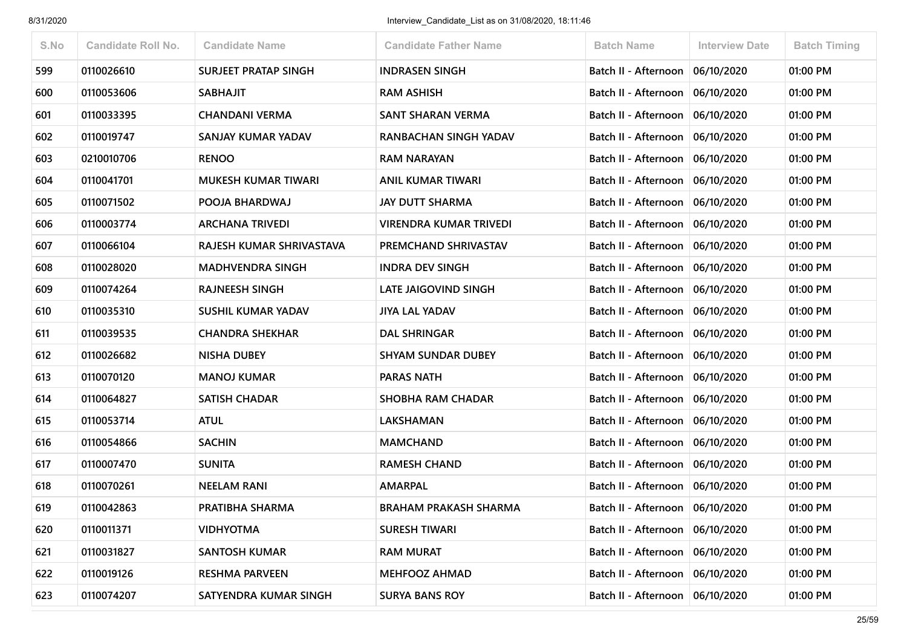| S.No | <b>Candidate Roll No.</b> | <b>Candidate Name</b>       | <b>Candidate Father Name</b>  | <b>Batch Name</b>                 | <b>Interview Date</b> | <b>Batch Timing</b> |
|------|---------------------------|-----------------------------|-------------------------------|-----------------------------------|-----------------------|---------------------|
| 599  | 0110026610                | <b>SURJEET PRATAP SINGH</b> | <b>INDRASEN SINGH</b>         | Batch II - Afternoon   06/10/2020 |                       | 01:00 PM            |
| 600  | 0110053606                | <b>SABHAJIT</b>             | <b>RAM ASHISH</b>             | Batch II - Afternoon              | 06/10/2020            | 01:00 PM            |
| 601  | 0110033395                | <b>CHANDANI VERMA</b>       | <b>SANT SHARAN VERMA</b>      | Batch II - Afternoon              | 06/10/2020            | 01:00 PM            |
| 602  | 0110019747                | SANJAY KUMAR YADAV          | RANBACHAN SINGH YADAV         | Batch II - Afternoon   06/10/2020 |                       | 01:00 PM            |
| 603  | 0210010706                | <b>RENOO</b>                | <b>RAM NARAYAN</b>            | Batch II - Afternoon   06/10/2020 |                       | 01:00 PM            |
| 604  | 0110041701                | MUKESH KUMAR TIWARI         | ANIL KUMAR TIWARI             | Batch II - Afternoon   06/10/2020 |                       | 01:00 PM            |
| 605  | 0110071502                | POOJA BHARDWAJ              | <b>JAY DUTT SHARMA</b>        | Batch II - Afternoon   06/10/2020 |                       | 01:00 PM            |
| 606  | 0110003774                | <b>ARCHANA TRIVEDI</b>      | <b>VIRENDRA KUMAR TRIVEDI</b> | Batch II - Afternoon   06/10/2020 |                       | 01:00 PM            |
| 607  | 0110066104                | RAJESH KUMAR SHRIVASTAVA    | PREMCHAND SHRIVASTAV          | Batch II - Afternoon   06/10/2020 |                       | 01:00 PM            |
| 608  | 0110028020                | <b>MADHVENDRA SINGH</b>     | <b>INDRA DEV SINGH</b>        | Batch II - Afternoon              | 06/10/2020            | 01:00 PM            |
| 609  | 0110074264                | <b>RAJNEESH SINGH</b>       | LATE JAIGOVIND SINGH          | Batch II - Afternoon   06/10/2020 |                       | 01:00 PM            |
| 610  | 0110035310                | <b>SUSHIL KUMAR YADAV</b>   | <b>JIYA LAL YADAV</b>         | Batch II - Afternoon   06/10/2020 |                       | 01:00 PM            |
| 611  | 0110039535                | <b>CHANDRA SHEKHAR</b>      | <b>DAL SHRINGAR</b>           | Batch II - Afternoon   06/10/2020 |                       | 01:00 PM            |
| 612  | 0110026682                | <b>NISHA DUBEY</b>          | <b>SHYAM SUNDAR DUBEY</b>     | Batch II - Afternoon   06/10/2020 |                       | 01:00 PM            |
| 613  | 0110070120                | <b>MANOJ KUMAR</b>          | <b>PARAS NATH</b>             | Batch II - Afternoon   06/10/2020 |                       | 01:00 PM            |
| 614  | 0110064827                | <b>SATISH CHADAR</b>        | <b>SHOBHA RAM CHADAR</b>      | Batch II - Afternoon              | 06/10/2020            | 01:00 PM            |
| 615  | 0110053714                | <b>ATUL</b>                 | LAKSHAMAN                     | Batch II - Afternoon   06/10/2020 |                       | 01:00 PM            |
| 616  | 0110054866                | <b>SACHIN</b>               | <b>MAMCHAND</b>               | Batch II - Afternoon   06/10/2020 |                       | 01:00 PM            |
| 617  | 0110007470                | <b>SUNITA</b>               | <b>RAMESH CHAND</b>           | Batch II - Afternoon   06/10/2020 |                       | 01:00 PM            |
| 618  | 0110070261                | <b>NEELAM RANI</b>          | <b>AMARPAL</b>                | Batch II - Afternoon   06/10/2020 |                       | 01:00 PM            |
| 619  | 0110042863                | PRATIBHA SHARMA             | <b>BRAHAM PRAKASH SHARMA</b>  | Batch II - Afternoon   06/10/2020 |                       | 01:00 PM            |
| 620  | 0110011371                | <b>VIDHYOTMA</b>            | <b>SURESH TIWARI</b>          | Batch II - Afternoon   06/10/2020 |                       | 01:00 PM            |
| 621  | 0110031827                | <b>SANTOSH KUMAR</b>        | <b>RAM MURAT</b>              | Batch II - Afternoon              | 06/10/2020            | 01:00 PM            |
| 622  | 0110019126                | <b>RESHMA PARVEEN</b>       | <b>MEHFOOZ AHMAD</b>          | Batch II - Afternoon   06/10/2020 |                       | 01:00 PM            |
| 623  | 0110074207                | SATYENDRA KUMAR SINGH       | <b>SURYA BANS ROY</b>         | Batch II - Afternoon   06/10/2020 |                       | 01:00 PM            |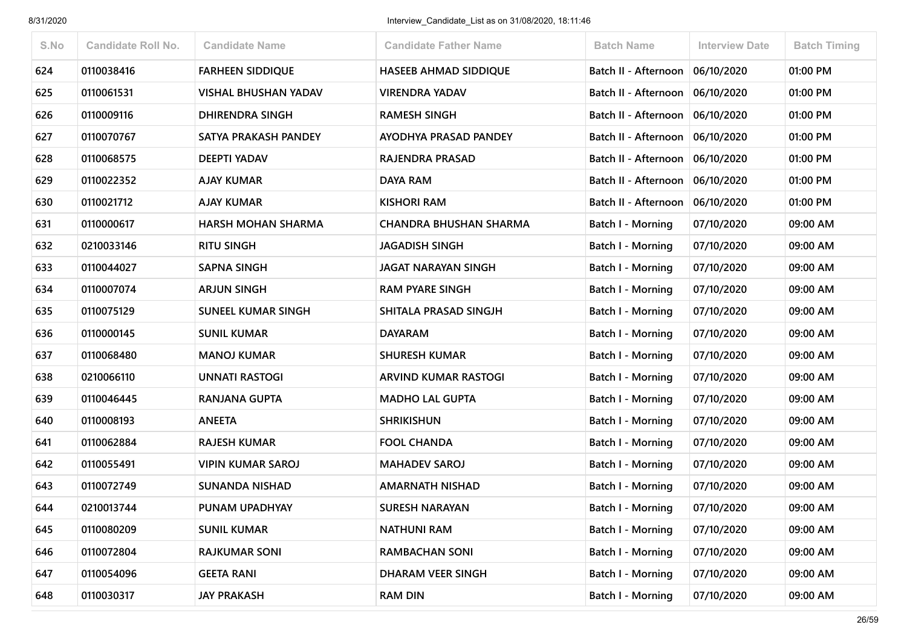| S.No | <b>Candidate Roll No.</b> | <b>Candidate Name</b>       | <b>Candidate Father Name</b>  | <b>Batch Name</b>        | <b>Interview Date</b> | <b>Batch Timing</b> |
|------|---------------------------|-----------------------------|-------------------------------|--------------------------|-----------------------|---------------------|
| 624  | 0110038416                | <b>FARHEEN SIDDIQUE</b>     | <b>HASEEB AHMAD SIDDIQUE</b>  | Batch II - Afternoon     | 06/10/2020            | 01:00 PM            |
| 625  | 0110061531                | <b>VISHAL BHUSHAN YADAV</b> | <b>VIRENDRA YADAV</b>         | Batch II - Afternoon     | 06/10/2020            | 01:00 PM            |
| 626  | 0110009116                | <b>DHIRENDRA SINGH</b>      | <b>RAMESH SINGH</b>           | Batch II - Afternoon     | 06/10/2020            | 01:00 PM            |
| 627  | 0110070767                | SATYA PRAKASH PANDEY        | <b>AYODHYA PRASAD PANDEY</b>  | Batch II - Afternoon     | 06/10/2020            | 01:00 PM            |
| 628  | 0110068575                | <b>DEEPTI YADAV</b>         | <b>RAJENDRA PRASAD</b>        | Batch II - Afternoon     | 06/10/2020            | 01:00 PM            |
| 629  | 0110022352                | <b>AJAY KUMAR</b>           | DAYA RAM                      | Batch II - Afternoon     | 06/10/2020            | 01:00 PM            |
| 630  | 0110021712                | <b>AJAY KUMAR</b>           | <b>KISHORI RAM</b>            | Batch II - Afternoon     | 06/10/2020            | 01:00 PM            |
| 631  | 0110000617                | <b>HARSH MOHAN SHARMA</b>   | <b>CHANDRA BHUSHAN SHARMA</b> | Batch I - Morning        | 07/10/2020            | 09:00 AM            |
| 632  | 0210033146                | <b>RITU SINGH</b>           | <b>JAGADISH SINGH</b>         | <b>Batch I - Morning</b> | 07/10/2020            | 09:00 AM            |
| 633  | 0110044027                | <b>SAPNA SINGH</b>          | JAGAT NARAYAN SINGH           | <b>Batch I - Morning</b> | 07/10/2020            | 09:00 AM            |
| 634  | 0110007074                | <b>ARJUN SINGH</b>          | <b>RAM PYARE SINGH</b>        | Batch I - Morning        | 07/10/2020            | 09:00 AM            |
| 635  | 0110075129                | <b>SUNEEL KUMAR SINGH</b>   | SHITALA PRASAD SINGJH         | Batch I - Morning        | 07/10/2020            | 09:00 AM            |
| 636  | 0110000145                | <b>SUNIL KUMAR</b>          | <b>DAYARAM</b>                | <b>Batch I - Morning</b> | 07/10/2020            | 09:00 AM            |
| 637  | 0110068480                | <b>MANOJ KUMAR</b>          | <b>SHURESH KUMAR</b>          | Batch I - Morning        | 07/10/2020            | 09:00 AM            |
| 638  | 0210066110                | <b>UNNATI RASTOGI</b>       | <b>ARVIND KUMAR RASTOGI</b>   | <b>Batch I - Morning</b> | 07/10/2020            | 09:00 AM            |
| 639  | 0110046445                | RANJANA GUPTA               | <b>MADHO LAL GUPTA</b>        | Batch I - Morning        | 07/10/2020            | 09:00 AM            |
| 640  | 0110008193                | <b>ANEETA</b>               | <b>SHRIKISHUN</b>             | <b>Batch I - Morning</b> | 07/10/2020            | 09:00 AM            |
| 641  | 0110062884                | <b>RAJESH KUMAR</b>         | <b>FOOL CHANDA</b>            | Batch I - Morning        | 07/10/2020            | 09:00 AM            |
| 642  | 0110055491                | <b>VIPIN KUMAR SAROJ</b>    | <b>MAHADEV SAROJ</b>          | Batch I - Morning        | 07/10/2020            | 09:00 AM            |
| 643  | 0110072749                | <b>SUNANDA NISHAD</b>       | <b>AMARNATH NISHAD</b>        | Batch I - Morning        | 07/10/2020            | 09:00 AM            |
| 644  | 0210013744                | PUNAM UPADHYAY              | <b>SURESH NARAYAN</b>         | Batch I - Morning        | 07/10/2020            | 09:00 AM            |
| 645  | 0110080209                | <b>SUNIL KUMAR</b>          | <b>NATHUNI RAM</b>            | Batch I - Morning        | 07/10/2020            | 09:00 AM            |
| 646  | 0110072804                | <b>RAJKUMAR SONI</b>        | <b>RAMBACHAN SONI</b>         | <b>Batch I - Morning</b> | 07/10/2020            | 09:00 AM            |
| 647  | 0110054096                | <b>GEETA RANI</b>           | DHARAM VEER SINGH             | Batch I - Morning        | 07/10/2020            | 09:00 AM            |
| 648  | 0110030317                | <b>JAY PRAKASH</b>          | <b>RAM DIN</b>                | <b>Batch I - Morning</b> | 07/10/2020            | 09:00 AM            |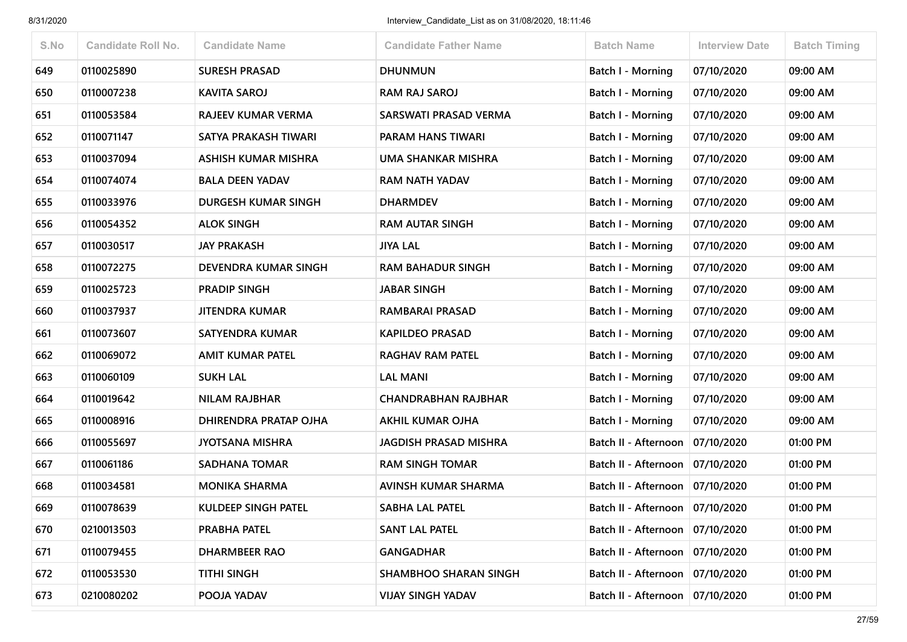| S.No | <b>Candidate Roll No.</b> | <b>Candidate Name</b>       | <b>Candidate Father Name</b> | <b>Batch Name</b>                 | <b>Interview Date</b> | <b>Batch Timing</b> |
|------|---------------------------|-----------------------------|------------------------------|-----------------------------------|-----------------------|---------------------|
| 649  | 0110025890                | <b>SURESH PRASAD</b>        | <b>DHUNMUN</b>               | <b>Batch I - Morning</b>          | 07/10/2020            | 09:00 AM            |
| 650  | 0110007238                | <b>KAVITA SAROJ</b>         | <b>RAM RAJ SAROJ</b>         | Batch I - Morning                 | 07/10/2020            | 09:00 AM            |
| 651  | 0110053584                | RAJEEV KUMAR VERMA          | SARSWATI PRASAD VERMA        | Batch I - Morning                 | 07/10/2020            | 09:00 AM            |
| 652  | 0110071147                | SATYA PRAKASH TIWARI        | PARAM HANS TIWARI            | <b>Batch I - Morning</b>          | 07/10/2020            | 09:00 AM            |
| 653  | 0110037094                | <b>ASHISH KUMAR MISHRA</b>  | UMA SHANKAR MISHRA           | Batch I - Morning                 | 07/10/2020            | 09:00 AM            |
| 654  | 0110074074                | <b>BALA DEEN YADAV</b>      | <b>RAM NATH YADAV</b>        | <b>Batch I - Morning</b>          | 07/10/2020            | 09:00 AM            |
| 655  | 0110033976                | DURGESH KUMAR SINGH         | <b>DHARMDEV</b>              | Batch I - Morning                 | 07/10/2020            | 09:00 AM            |
| 656  | 0110054352                | <b>ALOK SINGH</b>           | <b>RAM AUTAR SINGH</b>       | Batch I - Morning                 | 07/10/2020            | 09:00 AM            |
| 657  | 0110030517                | <b>JAY PRAKASH</b>          | <b>JIYA LAL</b>              | <b>Batch I - Morning</b>          | 07/10/2020            | 09:00 AM            |
| 658  | 0110072275                | <b>DEVENDRA KUMAR SINGH</b> | <b>RAM BAHADUR SINGH</b>     | Batch I - Morning                 | 07/10/2020            | 09:00 AM            |
| 659  | 0110025723                | <b>PRADIP SINGH</b>         | <b>JABAR SINGH</b>           | Batch I - Morning                 | 07/10/2020            | 09:00 AM            |
| 660  | 0110037937                | JITENDRA KUMAR              | <b>RAMBARAI PRASAD</b>       | Batch I - Morning                 | 07/10/2020            | 09:00 AM            |
| 661  | 0110073607                | SATYENDRA KUMAR             | <b>KAPILDEO PRASAD</b>       | Batch I - Morning                 | 07/10/2020            | 09:00 AM            |
| 662  | 0110069072                | <b>AMIT KUMAR PATEL</b>     | <b>RAGHAV RAM PATEL</b>      | <b>Batch I - Morning</b>          | 07/10/2020            | 09:00 AM            |
| 663  | 0110060109                | <b>SUKH LAL</b>             | <b>LAL MANI</b>              | <b>Batch I - Morning</b>          | 07/10/2020            | 09:00 AM            |
| 664  | 0110019642                | <b>NILAM RAJBHAR</b>        | <b>CHANDRABHAN RAJBHAR</b>   | <b>Batch I - Morning</b>          | 07/10/2020            | 09:00 AM            |
| 665  | 0110008916                | DHIRENDRA PRATAP OJHA       | <b>AKHIL KUMAR OJHA</b>      | Batch I - Morning                 | 07/10/2020            | 09:00 AM            |
| 666  | 0110055697                | <b>JYOTSANA MISHRA</b>      | <b>JAGDISH PRASAD MISHRA</b> | Batch II - Afternoon              | 07/10/2020            | 01:00 PM            |
| 667  | 0110061186                | <b>SADHANA TOMAR</b>        | <b>RAM SINGH TOMAR</b>       | Batch II - Afternoon              | 07/10/2020            | 01:00 PM            |
| 668  | 0110034581                | <b>MONIKA SHARMA</b>        | AVINSH KUMAR SHARMA          | Batch II - Afternoon              | 07/10/2020            | 01:00 PM            |
| 669  | 0110078639                | KULDEEP SINGH PATEL         | <b>SABHA LAL PATEL</b>       | Batch II - Afternoon              | 07/10/2020            | 01:00 PM            |
| 670  | 0210013503                | PRABHA PATEL                | <b>SANT LAL PATEL</b>        | Batch II - Afternoon   07/10/2020 |                       | 01:00 PM            |
| 671  | 0110079455                | DHARMBEER RAO               | <b>GANGADHAR</b>             | Batch II - Afternoon              | 07/10/2020            | 01:00 PM            |
| 672  | 0110053530                | <b>TITHI SINGH</b>          | <b>SHAMBHOO SHARAN SINGH</b> | Batch II - Afternoon              | 07/10/2020            | 01:00 PM            |
| 673  | 0210080202                | POOJA YADAV                 | <b>VIJAY SINGH YADAV</b>     | Batch II - Afternoon              | 07/10/2020            | 01:00 PM            |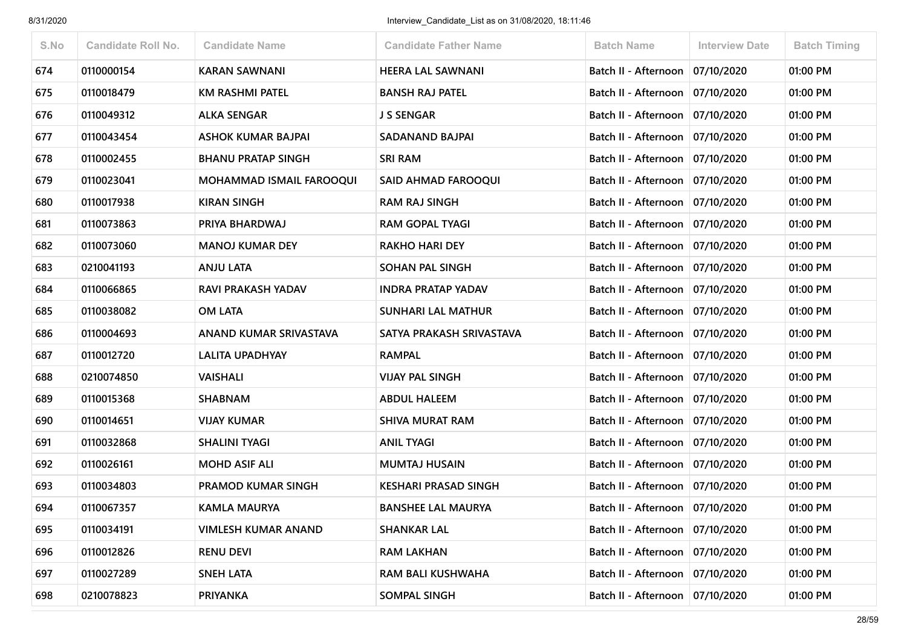| S.No | <b>Candidate Roll No.</b> | <b>Candidate Name</b>           | <b>Candidate Father Name</b> | <b>Batch Name</b>                 | <b>Interview Date</b> | <b>Batch Timing</b> |
|------|---------------------------|---------------------------------|------------------------------|-----------------------------------|-----------------------|---------------------|
| 674  | 0110000154                | <b>KARAN SAWNANI</b>            | <b>HEERA LAL SAWNANI</b>     | Batch II - Afternoon   07/10/2020 |                       | 01:00 PM            |
| 675  | 0110018479                | KM RASHMI PATEL                 | <b>BANSH RAJ PATEL</b>       | Batch II - Afternoon   07/10/2020 |                       | 01:00 PM            |
| 676  | 0110049312                | <b>ALKA SENGAR</b>              | J S SENGAR                   | Batch II - Afternoon              | 07/10/2020            | 01:00 PM            |
| 677  | 0110043454                | ASHOK KUMAR BAJPAI              | <b>SADANAND BAJPAI</b>       | Batch II - Afternoon   07/10/2020 |                       | 01:00 PM            |
| 678  | 0110002455                | <b>BHANU PRATAP SINGH</b>       | <b>SRI RAM</b>               | Batch II - Afternoon   07/10/2020 |                       | 01:00 PM            |
| 679  | 0110023041                | <b>MOHAMMAD ISMAIL FAROOQUI</b> | SAID AHMAD FAROOQUI          | Batch II - Afternoon   07/10/2020 |                       | 01:00 PM            |
| 680  | 0110017938                | <b>KIRAN SINGH</b>              | <b>RAM RAJ SINGH</b>         | Batch II - Afternoon   07/10/2020 |                       | 01:00 PM            |
| 681  | 0110073863                | PRIYA BHARDWAJ                  | RAM GOPAL TYAGI              | Batch II - Afternoon   07/10/2020 |                       | 01:00 PM            |
| 682  | 0110073060                | <b>MANOJ KUMAR DEY</b>          | <b>RAKHO HARI DEY</b>        | Batch II - Afternoon   07/10/2020 |                       | 01:00 PM            |
| 683  | 0210041193                | <b>ANJU LATA</b>                | <b>SOHAN PAL SINGH</b>       | Batch II - Afternoon   07/10/2020 |                       | 01:00 PM            |
| 684  | 0110066865                | RAVI PRAKASH YADAV              | <b>INDRA PRATAP YADAV</b>    | Batch II - Afternoon   07/10/2020 |                       | 01:00 PM            |
| 685  | 0110038082                | <b>OM LATA</b>                  | <b>SUNHARI LAL MATHUR</b>    | Batch II - Afternoon   07/10/2020 |                       | 01:00 PM            |
| 686  | 0110004693                | ANAND KUMAR SRIVASTAVA          | SATYA PRAKASH SRIVASTAVA     | Batch II - Afternoon   07/10/2020 |                       | 01:00 PM            |
| 687  | 0110012720                | <b>LALITA UPADHYAY</b>          | <b>RAMPAL</b>                | Batch II - Afternoon   07/10/2020 |                       | 01:00 PM            |
| 688  | 0210074850                | <b>VAISHALI</b>                 | <b>VIJAY PAL SINGH</b>       | Batch II - Afternoon   07/10/2020 |                       | 01:00 PM            |
| 689  | 0110015368                | <b>SHABNAM</b>                  | <b>ABDUL HALEEM</b>          | Batch II - Afternoon              | 07/10/2020            | 01:00 PM            |
| 690  | 0110014651                | <b>VIJAY KUMAR</b>              | <b>SHIVA MURAT RAM</b>       | Batch II - Afternoon   07/10/2020 |                       | 01:00 PM            |
| 691  | 0110032868                | <b>SHALINI TYAGI</b>            | <b>ANIL TYAGI</b>            | Batch II - Afternoon   07/10/2020 |                       | 01:00 PM            |
| 692  | 0110026161                | <b>MOHD ASIF ALI</b>            | <b>MUMTAJ HUSAIN</b>         | Batch II - Afternoon   07/10/2020 |                       | 01:00 PM            |
| 693  | 0110034803                | <b>PRAMOD KUMAR SINGH</b>       | <b>KESHARI PRASAD SINGH</b>  | Batch II - Afternoon   07/10/2020 |                       | 01:00 PM            |
| 694  | 0110067357                | <b>KAMLA MAURYA</b>             | <b>BANSHEE LAL MAURYA</b>    | Batch II - Afternoon   07/10/2020 |                       | 01:00 PM            |
| 695  | 0110034191                | <b>VIMLESH KUMAR ANAND</b>      | <b>SHANKAR LAL</b>           | Batch II - Afternoon   07/10/2020 |                       | 01:00 PM            |
| 696  | 0110012826                | <b>RENU DEVI</b>                | <b>RAM LAKHAN</b>            | Batch II - Afternoon   07/10/2020 |                       | 01:00 PM            |
| 697  | 0110027289                | <b>SNEH LATA</b>                | RAM BALI KUSHWAHA            | Batch II - Afternoon   07/10/2020 |                       | 01:00 PM            |
| 698  | 0210078823                | <b>PRIYANKA</b>                 | <b>SOMPAL SINGH</b>          | Batch II - Afternoon   07/10/2020 |                       | 01:00 PM            |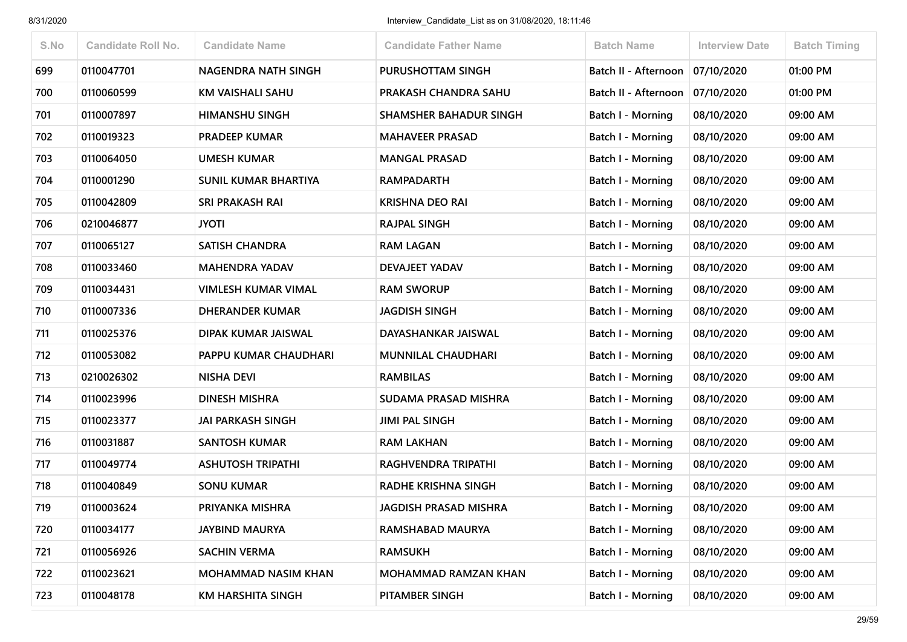| S.No | <b>Candidate Roll No.</b> | <b>Candidate Name</b>       | <b>Candidate Father Name</b>  | <b>Batch Name</b>        | <b>Interview Date</b> | <b>Batch Timing</b> |
|------|---------------------------|-----------------------------|-------------------------------|--------------------------|-----------------------|---------------------|
| 699  | 0110047701                | NAGENDRA NATH SINGH         | PURUSHOTTAM SINGH             | Batch II - Afternoon     | 07/10/2020            | 01:00 PM            |
| 700  | 0110060599                | KM VAISHALI SAHU            | PRAKASH CHANDRA SAHU          | Batch II - Afternoon     | 07/10/2020            | 01:00 PM            |
| 701  | 0110007897                | <b>HIMANSHU SINGH</b>       | <b>SHAMSHER BAHADUR SINGH</b> | <b>Batch I - Morning</b> | 08/10/2020            | 09:00 AM            |
| 702  | 0110019323                | <b>PRADEEP KUMAR</b>        | <b>MAHAVEER PRASAD</b>        | Batch I - Morning        | 08/10/2020            | 09:00 AM            |
| 703  | 0110064050                | <b>UMESH KUMAR</b>          | <b>MANGAL PRASAD</b>          | Batch I - Morning        | 08/10/2020            | 09:00 AM            |
| 704  | 0110001290                | <b>SUNIL KUMAR BHARTIYA</b> | <b>RAMPADARTH</b>             | <b>Batch I - Morning</b> | 08/10/2020            | 09:00 AM            |
| 705  | 0110042809                | SRI PRAKASH RAI             | <b>KRISHNA DEO RAI</b>        | Batch I - Morning        | 08/10/2020            | 09:00 AM            |
| 706  | 0210046877                | <b>JYOTI</b>                | <b>RAJPAL SINGH</b>           | <b>Batch I - Morning</b> | 08/10/2020            | 09:00 AM            |
| 707  | 0110065127                | <b>SATISH CHANDRA</b>       | <b>RAM LAGAN</b>              | <b>Batch I - Morning</b> | 08/10/2020            | 09:00 AM            |
| 708  | 0110033460                | <b>MAHENDRA YADAV</b>       | DEVAJEET YADAV                | Batch I - Morning        | 08/10/2020            | 09:00 AM            |
| 709  | 0110034431                | <b>VIMLESH KUMAR VIMAL</b>  | <b>RAM SWORUP</b>             | Batch I - Morning        | 08/10/2020            | 09:00 AM            |
| 710  | 0110007336                | <b>DHERANDER KUMAR</b>      | <b>JAGDISH SINGH</b>          | Batch I - Morning        | 08/10/2020            | 09:00 AM            |
| 711  | 0110025376                | DIPAK KUMAR JAISWAL         | DAYASHANKAR JAISWAL           | Batch I - Morning        | 08/10/2020            | 09:00 AM            |
| 712  | 0110053082                | PAPPU KUMAR CHAUDHARI       | <b>MUNNILAL CHAUDHARI</b>     | <b>Batch I - Morning</b> | 08/10/2020            | 09:00 AM            |
| 713  | 0210026302                | NISHA DEVI                  | <b>RAMBILAS</b>               | <b>Batch I - Morning</b> | 08/10/2020            | 09:00 AM            |
| 714  | 0110023996                | DINESH MISHRA               | SUDAMA PRASAD MISHRA          | Batch I - Morning        | 08/10/2020            | 09:00 AM            |
| 715  | 0110023377                | <b>JAI PARKASH SINGH</b>    | <b>JIMI PAL SINGH</b>         | Batch I - Morning        | 08/10/2020            | 09:00 AM            |
| 716  | 0110031887                | <b>SANTOSH KUMAR</b>        | <b>RAM LAKHAN</b>             | <b>Batch I - Morning</b> | 08/10/2020            | 09:00 AM            |
| 717  | 0110049774                | <b>ASHUTOSH TRIPATHI</b>    | RAGHVENDRA TRIPATHI           | <b>Batch I - Morning</b> | 08/10/2020            | 09:00 AM            |
| 718  | 0110040849                | <b>SONU KUMAR</b>           | <b>RADHE KRISHNA SINGH</b>    | <b>Batch I - Morning</b> | 08/10/2020            | 09:00 AM            |
| 719  | 0110003624                | PRIYANKA MISHRA             | JAGDISH PRASAD MISHRA         | Batch I - Morning        | 08/10/2020            | 09:00 AM            |
| 720  | 0110034177                | <b>JAYBIND MAURYA</b>       | RAMSHABAD MAURYA              | Batch I - Morning        | 08/10/2020            | 09:00 AM            |
| 721  | 0110056926                | <b>SACHIN VERMA</b>         | <b>RAMSUKH</b>                | Batch I - Morning        | 08/10/2020            | 09:00 AM            |
| 722  | 0110023621                | <b>MOHAMMAD NASIM KHAN</b>  | MOHAMMAD RAMZAN KHAN          | Batch I - Morning        | 08/10/2020            | 09:00 AM            |
| 723  | 0110048178                | <b>KM HARSHITA SINGH</b>    | PITAMBER SINGH                | <b>Batch I - Morning</b> | 08/10/2020            | 09:00 AM            |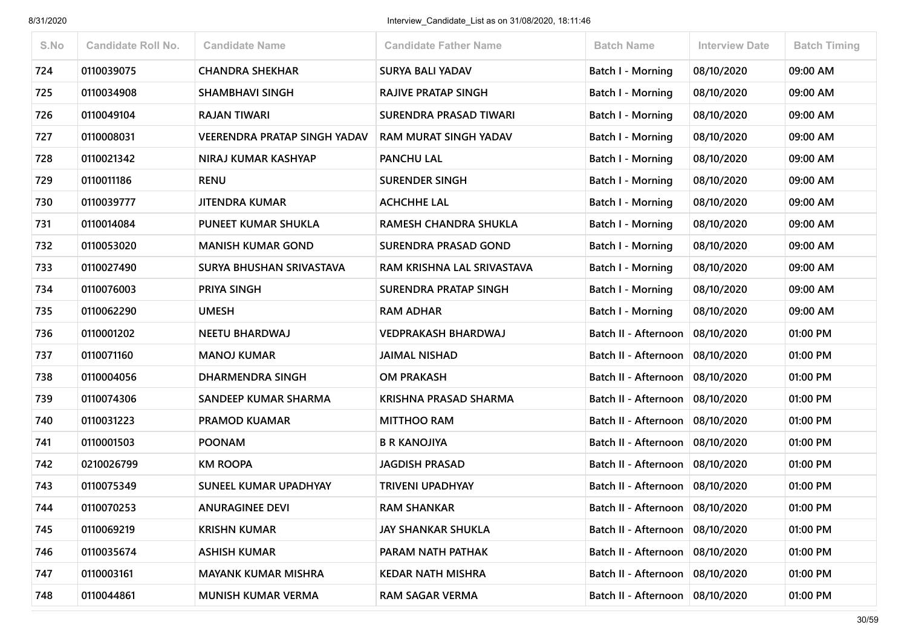| S.No | <b>Candidate Roll No.</b> | <b>Candidate Name</b>               | <b>Candidate Father Name</b> | <b>Batch Name</b>                 | <b>Interview Date</b> | <b>Batch Timing</b> |
|------|---------------------------|-------------------------------------|------------------------------|-----------------------------------|-----------------------|---------------------|
| 724  | 0110039075                | <b>CHANDRA SHEKHAR</b>              | <b>SURYA BALI YADAV</b>      | <b>Batch I - Morning</b>          | 08/10/2020            | 09:00 AM            |
| 725  | 0110034908                | <b>SHAMBHAVI SINGH</b>              | <b>RAJIVE PRATAP SINGH</b>   | Batch I - Morning                 | 08/10/2020            | 09:00 AM            |
| 726  | 0110049104                | <b>RAJAN TIWARI</b>                 | SURENDRA PRASAD TIWARI       | Batch I - Morning                 | 08/10/2020            | 09:00 AM            |
| 727  | 0110008031                | <b>VEERENDRA PRATAP SINGH YADAV</b> | <b>RAM MURAT SINGH YADAV</b> | Batch I - Morning                 | 08/10/2020            | 09:00 AM            |
| 728  | 0110021342                | NIRAJ KUMAR KASHYAP                 | <b>PANCHU LAL</b>            | Batch I - Morning                 | 08/10/2020            | 09:00 AM            |
| 729  | 0110011186                | <b>RENU</b>                         | <b>SURENDER SINGH</b>        | <b>Batch I - Morning</b>          | 08/10/2020            | 09:00 AM            |
| 730  | 0110039777                | <b>JITENDRA KUMAR</b>               | <b>ACHCHHE LAL</b>           | Batch I - Morning                 | 08/10/2020            | 09:00 AM            |
| 731  | 0110014084                | PUNEET KUMAR SHUKLA                 | RAMESH CHANDRA SHUKLA        | Batch I - Morning                 | 08/10/2020            | 09:00 AM            |
| 732  | 0110053020                | <b>MANISH KUMAR GOND</b>            | <b>SURENDRA PRASAD GOND</b>  | <b>Batch I - Morning</b>          | 08/10/2020            | 09:00 AM            |
| 733  | 0110027490                | SURYA BHUSHAN SRIVASTAVA            | RAM KRISHNA LAL SRIVASTAVA   | Batch I - Morning                 | 08/10/2020            | 09:00 AM            |
| 734  | 0110076003                | PRIYA SINGH                         | SURENDRA PRATAP SINGH        | Batch I - Morning                 | 08/10/2020            | 09:00 AM            |
| 735  | 0110062290                | <b>UMESH</b>                        | <b>RAM ADHAR</b>             | <b>Batch I - Morning</b>          | 08/10/2020            | 09:00 AM            |
| 736  | 0110001202                | <b>NEETU BHARDWAJ</b>               | <b>VEDPRAKASH BHARDWAJ</b>   | Batch II - Afternoon              | 08/10/2020            | 01:00 PM            |
| 737  | 0110071160                | <b>MANOJ KUMAR</b>                  | <b>JAIMAL NISHAD</b>         | Batch II - Afternoon              | 08/10/2020            | 01:00 PM            |
| 738  | 0110004056                | DHARMENDRA SINGH                    | <b>OM PRAKASH</b>            | Batch II - Afternoon              | 08/10/2020            | 01:00 PM            |
| 739  | 0110074306                | SANDEEP KUMAR SHARMA                | <b>KRISHNA PRASAD SHARMA</b> | Batch II - Afternoon              | 08/10/2020            | 01:00 PM            |
| 740  | 0110031223                | <b>PRAMOD KUAMAR</b>                | <b>MITTHOO RAM</b>           | Batch II - Afternoon              | 08/10/2020            | 01:00 PM            |
| 741  | 0110001503                | <b>POONAM</b>                       | <b>B R KANOJIYA</b>          | Batch II - Afternoon              | 08/10/2020            | 01:00 PM            |
| 742  | 0210026799                | <b>KM ROOPA</b>                     | <b>JAGDISH PRASAD</b>        | Batch II - Afternoon              | 08/10/2020            | 01:00 PM            |
| 743  | 0110075349                | SUNEEL KUMAR UPADHYAY               | <b>TRIVENI UPADHYAY</b>      | Batch II - Afternoon              | 08/10/2020            | 01:00 PM            |
| 744  | 0110070253                | <b>ANURAGINEE DEVI</b>              | <b>RAM SHANKAR</b>           | Batch II - Afternoon   08/10/2020 |                       | 01:00 PM            |
| 745  | 0110069219                | <b>KRISHN KUMAR</b>                 | <b>JAY SHANKAR SHUKLA</b>    | Batch II - Afternoon   08/10/2020 |                       | 01:00 PM            |
| 746  | 0110035674                | <b>ASHISH KUMAR</b>                 | PARAM NATH PATHAK            | Batch II - Afternoon              | 08/10/2020            | 01:00 PM            |
| 747  | 0110003161                | <b>MAYANK KUMAR MISHRA</b>          | <b>KEDAR NATH MISHRA</b>     | Batch II - Afternoon              | 08/10/2020            | 01:00 PM            |
| 748  | 0110044861                | MUNISH KUMAR VERMA                  | <b>RAM SAGAR VERMA</b>       | Batch II - Afternoon   08/10/2020 |                       | 01:00 PM            |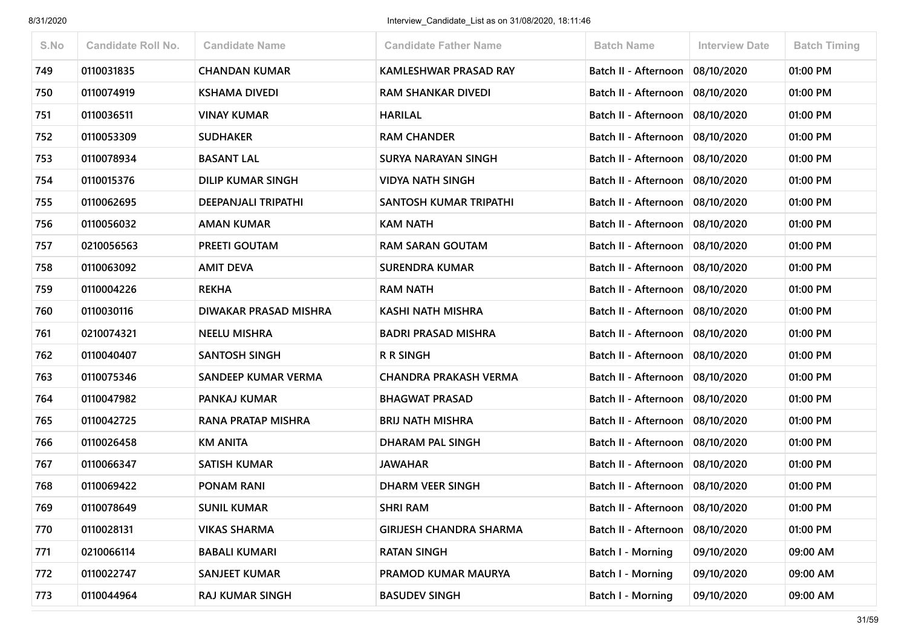| S.No | <b>Candidate Roll No.</b> | <b>Candidate Name</b>      | <b>Candidate Father Name</b>   | <b>Batch Name</b>                 | <b>Interview Date</b> | <b>Batch Timing</b> |
|------|---------------------------|----------------------------|--------------------------------|-----------------------------------|-----------------------|---------------------|
| 749  | 0110031835                | <b>CHANDAN KUMAR</b>       | <b>KAMLESHWAR PRASAD RAY</b>   | Batch II - Afternoon   08/10/2020 |                       | 01:00 PM            |
| 750  | 0110074919                | <b>KSHAMA DIVEDI</b>       | <b>RAM SHANKAR DIVEDI</b>      | Batch II - Afternoon              | 08/10/2020            | 01:00 PM            |
| 751  | 0110036511                | <b>VINAY KUMAR</b>         | <b>HARILAL</b>                 | Batch II - Afternoon   08/10/2020 |                       | 01:00 PM            |
| 752  | 0110053309                | <b>SUDHAKER</b>            | <b>RAM CHANDER</b>             | Batch II - Afternoon   08/10/2020 |                       | 01:00 PM            |
| 753  | 0110078934                | <b>BASANT LAL</b>          | SURYA NARAYAN SINGH            | Batch II - Afternoon              | 08/10/2020            | 01:00 PM            |
| 754  | 0110015376                | <b>DILIP KUMAR SINGH</b>   | <b>VIDYA NATH SINGH</b>        | Batch II - Afternoon   08/10/2020 |                       | 01:00 PM            |
| 755  | 0110062695                | <b>DEEPANJALI TRIPATHI</b> | SANTOSH KUMAR TRIPATHI         | Batch II - Afternoon              | 08/10/2020            | 01:00 PM            |
| 756  | 0110056032                | <b>AMAN KUMAR</b>          | <b>KAM NATH</b>                | Batch II - Afternoon              | 08/10/2020            | 01:00 PM            |
| 757  | 0210056563                | PREETI GOUTAM              | <b>RAM SARAN GOUTAM</b>        | Batch II - Afternoon   08/10/2020 |                       | 01:00 PM            |
| 758  | 0110063092                | <b>AMIT DEVA</b>           | <b>SURENDRA KUMAR</b>          | Batch II - Afternoon              | 08/10/2020            | 01:00 PM            |
| 759  | 0110004226                | <b>REKHA</b>               | <b>RAM NATH</b>                | Batch II - Afternoon   08/10/2020 |                       | 01:00 PM            |
| 760  | 0110030116                | DIWAKAR PRASAD MISHRA      | KASHI NATH MISHRA              | Batch II - Afternoon   08/10/2020 |                       | 01:00 PM            |
| 761  | 0210074321                | <b>NEELU MISHRA</b>        | <b>BADRI PRASAD MISHRA</b>     | Batch II - Afternoon              | 08/10/2020            | 01:00 PM            |
| 762  | 0110040407                | <b>SANTOSH SINGH</b>       | <b>R R SINGH</b>               | Batch II - Afternoon   08/10/2020 |                       | 01:00 PM            |
| 763  | 0110075346                | SANDEEP KUMAR VERMA        | <b>CHANDRA PRAKASH VERMA</b>   | Batch II - Afternoon              | 08/10/2020            | 01:00 PM            |
| 764  | 0110047982                | PANKAJ KUMAR               | <b>BHAGWAT PRASAD</b>          | Batch II - Afternoon              | 08/10/2020            | 01:00 PM            |
| 765  | 0110042725                | RANA PRATAP MISHRA         | <b>BRIJ NATH MISHRA</b>        | Batch II - Afternoon   08/10/2020 |                       | 01:00 PM            |
| 766  | 0110026458                | <b>KM ANITA</b>            | DHARAM PAL SINGH               | Batch II - Afternoon              | 08/10/2020            | 01:00 PM            |
| 767  | 0110066347                | SATISH KUMAR               | <b>JAWAHAR</b>                 | Batch II - Afternoon   08/10/2020 |                       | 01:00 PM            |
| 768  | 0110069422                | PONAM RANI                 | DHARM VEER SINGH               | Batch II - Afternoon   08/10/2020 |                       | 01:00 PM            |
| 769  | 0110078649                | <b>SUNIL KUMAR</b>         | <b>SHRI RAM</b>                | Batch II - Afternoon   08/10/2020 |                       | 01:00 PM            |
| 770  | 0110028131                | <b>VIKAS SHARMA</b>        | <b>GIRIJESH CHANDRA SHARMA</b> | Batch II - Afternoon              | 08/10/2020            | 01:00 PM            |
| 771  | 0210066114                | <b>BABALI KUMARI</b>       | <b>RATAN SINGH</b>             | Batch I - Morning                 | 09/10/2020            | 09:00 AM            |
| 772  | 0110022747                | <b>SANJEET KUMAR</b>       | PRAMOD KUMAR MAURYA            | <b>Batch I - Morning</b>          | 09/10/2020            | 09:00 AM            |
| 773  | 0110044964                | <b>RAJ KUMAR SINGH</b>     | <b>BASUDEV SINGH</b>           | <b>Batch I - Morning</b>          | 09/10/2020            | 09:00 AM            |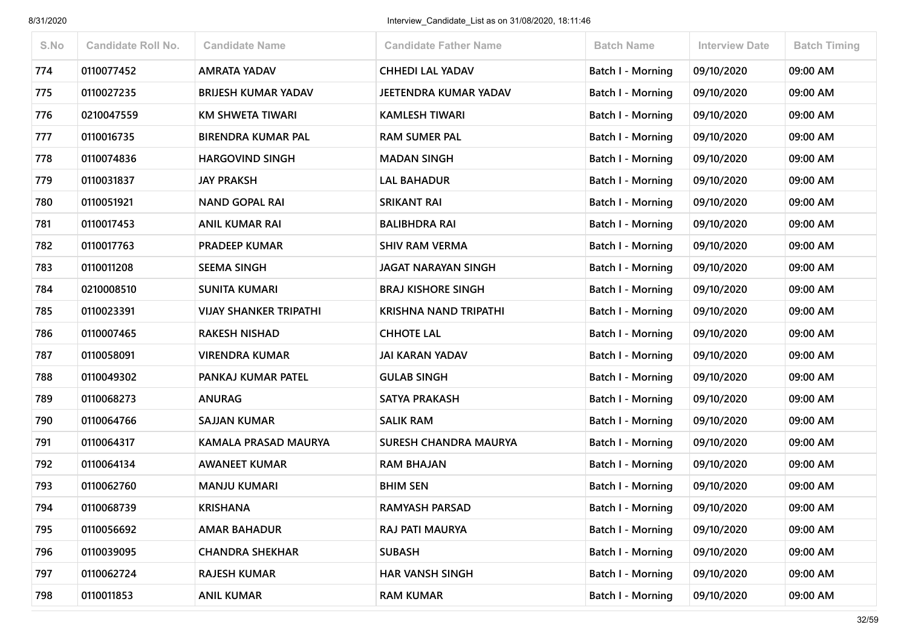| S.No | <b>Candidate Roll No.</b> | <b>Candidate Name</b>         | <b>Candidate Father Name</b> | <b>Batch Name</b>        | <b>Interview Date</b> | <b>Batch Timing</b> |
|------|---------------------------|-------------------------------|------------------------------|--------------------------|-----------------------|---------------------|
| 774  | 0110077452                | <b>AMRATA YADAV</b>           | <b>CHHEDI LAL YADAV</b>      | <b>Batch I - Morning</b> | 09/10/2020            | 09:00 AM            |
| 775  | 0110027235                | <b>BRIJESH KUMAR YADAV</b>    | JEETENDRA KUMAR YADAV        | Batch I - Morning        | 09/10/2020            | 09:00 AM            |
| 776  | 0210047559                | <b>KM SHWETA TIWARI</b>       | <b>KAMLESH TIWARI</b>        | <b>Batch I - Morning</b> | 09/10/2020            | 09:00 AM            |
| 777  | 0110016735                | <b>BIRENDRA KUMAR PAL</b>     | <b>RAM SUMER PAL</b>         | Batch I - Morning        | 09/10/2020            | 09:00 AM            |
| 778  | 0110074836                | <b>HARGOVIND SINGH</b>        | <b>MADAN SINGH</b>           | <b>Batch I - Morning</b> | 09/10/2020            | 09:00 AM            |
| 779  | 0110031837                | <b>JAY PRAKSH</b>             | <b>LAL BAHADUR</b>           | <b>Batch I - Morning</b> | 09/10/2020            | 09:00 AM            |
| 780  | 0110051921                | <b>NAND GOPAL RAI</b>         | <b>SRIKANT RAI</b>           | <b>Batch I - Morning</b> | 09/10/2020            | 09:00 AM            |
| 781  | 0110017453                | <b>ANIL KUMAR RAI</b>         | <b>BALIBHDRA RAI</b>         | Batch I - Morning        | 09/10/2020            | 09:00 AM            |
| 782  | 0110017763                | <b>PRADEEP KUMAR</b>          | <b>SHIV RAM VERMA</b>        | Batch I - Morning        | 09/10/2020            | 09:00 AM            |
| 783  | 0110011208                | <b>SEEMA SINGH</b>            | <b>JAGAT NARAYAN SINGH</b>   | Batch I - Morning        | 09/10/2020            | 09:00 AM            |
| 784  | 0210008510                | <b>SUNITA KUMARI</b>          | <b>BRAJ KISHORE SINGH</b>    | <b>Batch I - Morning</b> | 09/10/2020            | 09:00 AM            |
| 785  | 0110023391                | <b>VIJAY SHANKER TRIPATHI</b> | <b>KRISHNA NAND TRIPATHI</b> | <b>Batch I - Morning</b> | 09/10/2020            | 09:00 AM            |
| 786  | 0110007465                | <b>RAKESH NISHAD</b>          | <b>CHHOTE LAL</b>            | Batch I - Morning        | 09/10/2020            | 09:00 AM            |
| 787  | 0110058091                | <b>VIRENDRA KUMAR</b>         | <b>JAI KARAN YADAV</b>       | <b>Batch I - Morning</b> | 09/10/2020            | 09:00 AM            |
| 788  | 0110049302                | PANKAJ KUMAR PATEL            | <b>GULAB SINGH</b>           | <b>Batch I - Morning</b> | 09/10/2020            | 09:00 AM            |
| 789  | 0110068273                | <b>ANURAG</b>                 | <b>SATYA PRAKASH</b>         | Batch I - Morning        | 09/10/2020            | 09:00 AM            |
| 790  | 0110064766                | <b>SAJJAN KUMAR</b>           | <b>SALIK RAM</b>             | <b>Batch I - Morning</b> | 09/10/2020            | 09:00 AM            |
| 791  | 0110064317                | KAMALA PRASAD MAURYA          | SURESH CHANDRA MAURYA        | <b>Batch I - Morning</b> | 09/10/2020            | 09:00 AM            |
| 792  | 0110064134                | <b>AWANEET KUMAR</b>          | <b>RAM BHAJAN</b>            | <b>Batch I - Morning</b> | 09/10/2020            | 09:00 AM            |
| 793  | 0110062760                | <b>MANJU KUMARI</b>           | <b>BHIM SEN</b>              | <b>Batch I - Morning</b> | 09/10/2020            | 09:00 AM            |
| 794  | 0110068739                | <b>KRISHANA</b>               | <b>RAMYASH PARSAD</b>        | Batch I - Morning        | 09/10/2020            | 09:00 AM            |
| 795  | 0110056692                | <b>AMAR BAHADUR</b>           | RAJ PATI MAURYA              | <b>Batch I - Morning</b> | 09/10/2020            | 09:00 AM            |
| 796  | 0110039095                | <b>CHANDRA SHEKHAR</b>        | <b>SUBASH</b>                | Batch I - Morning        | 09/10/2020            | 09:00 AM            |
| 797  | 0110062724                | <b>RAJESH KUMAR</b>           | <b>HAR VANSH SINGH</b>       | <b>Batch I - Morning</b> | 09/10/2020            | 09:00 AM            |
| 798  | 0110011853                | <b>ANIL KUMAR</b>             | <b>RAM KUMAR</b>             | <b>Batch I - Morning</b> | 09/10/2020            | 09:00 AM            |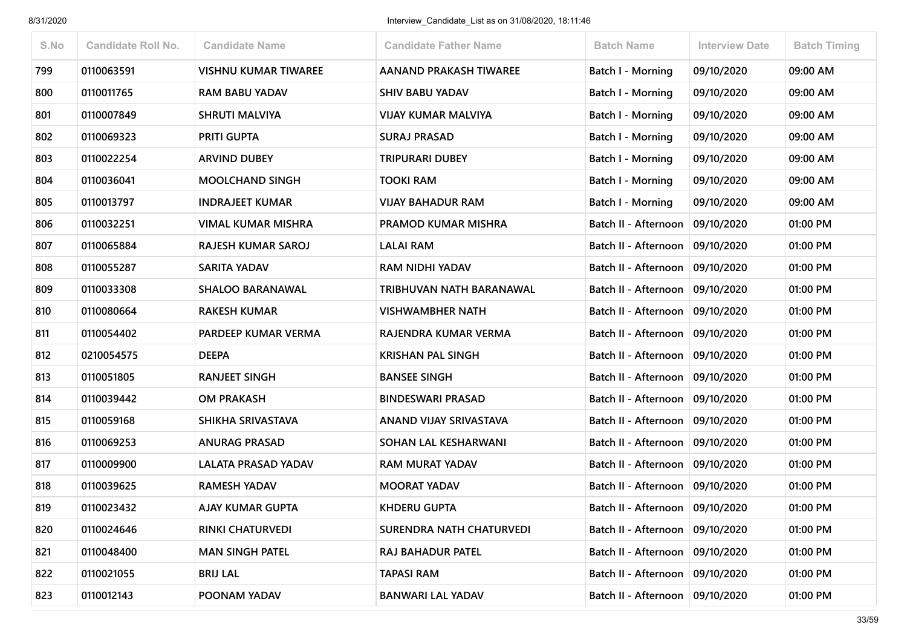| S.No | <b>Candidate Roll No.</b> | <b>Candidate Name</b>       | <b>Candidate Father Name</b>    | <b>Batch Name</b>                 | <b>Interview Date</b> | <b>Batch Timing</b> |
|------|---------------------------|-----------------------------|---------------------------------|-----------------------------------|-----------------------|---------------------|
| 799  | 0110063591                | <b>VISHNU KUMAR TIWAREE</b> | <b>AANAND PRAKASH TIWAREE</b>   | <b>Batch I - Morning</b>          | 09/10/2020            | 09:00 AM            |
| 800  | 0110011765                | <b>RAM BABU YADAV</b>       | <b>SHIV BABU YADAV</b>          | Batch I - Morning                 | 09/10/2020            | 09:00 AM            |
| 801  | 0110007849                | <b>SHRUTI MALVIYA</b>       | <b>VIJAY KUMAR MALVIYA</b>      | <b>Batch I - Morning</b>          | 09/10/2020            | 09:00 AM            |
| 802  | 0110069323                | <b>PRITI GUPTA</b>          | <b>SURAJ PRASAD</b>             | Batch I - Morning                 | 09/10/2020            | 09:00 AM            |
| 803  | 0110022254                | <b>ARVIND DUBEY</b>         | <b>TRIPURARI DUBEY</b>          | <b>Batch I - Morning</b>          | 09/10/2020            | 09:00 AM            |
| 804  | 0110036041                | <b>MOOLCHAND SINGH</b>      | <b>TOOKI RAM</b>                | <b>Batch I - Morning</b>          | 09/10/2020            | 09:00 AM            |
| 805  | 0110013797                | <b>INDRAJEET KUMAR</b>      | <b>VIJAY BAHADUR RAM</b>        | Batch I - Morning                 | 09/10/2020            | 09:00 AM            |
| 806  | 0110032251                | VIMAL KUMAR MISHRA          | PRAMOD KUMAR MISHRA             | Batch II - Afternoon              | 09/10/2020            | 01:00 PM            |
| 807  | 0110065884                | <b>RAJESH KUMAR SAROJ</b>   | <b>LALAI RAM</b>                | Batch II - Afternoon              | 09/10/2020            | 01:00 PM            |
| 808  | 0110055287                | <b>SARITA YADAV</b>         | <b>RAM NIDHI YADAV</b>          | Batch II - Afternoon              | 09/10/2020            | 01:00 PM            |
| 809  | 0110033308                | <b>SHALOO BARANAWAL</b>     | TRIBHUVAN NATH BARANAWAL        | Batch II - Afternoon              | 09/10/2020            | 01:00 PM            |
| 810  | 0110080664                | <b>RAKESH KUMAR</b>         | <b>VISHWAMBHER NATH</b>         | Batch II - Afternoon              | 09/10/2020            | 01:00 PM            |
| 811  | 0110054402                | PARDEEP KUMAR VERMA         | RAJENDRA KUMAR VERMA            | Batch II - Afternoon              | 09/10/2020            | 01:00 PM            |
| 812  | 0210054575                | <b>DEEPA</b>                | <b>KRISHAN PAL SINGH</b>        | Batch II - Afternoon              | 09/10/2020            | 01:00 PM            |
| 813  | 0110051805                | <b>RANJEET SINGH</b>        | <b>BANSEE SINGH</b>             | Batch II - Afternoon              | 09/10/2020            | 01:00 PM            |
| 814  | 0110039442                | <b>OM PRAKASH</b>           | <b>BINDESWARI PRASAD</b>        | Batch II - Afternoon              | 09/10/2020            | 01:00 PM            |
| 815  | 0110059168                | SHIKHA SRIVASTAVA           | ANAND VIJAY SRIVASTAVA          | Batch II - Afternoon              | 09/10/2020            | 01:00 PM            |
| 816  | 0110069253                | <b>ANURAG PRASAD</b>        | SOHAN LAL KESHARWANI            | Batch II - Afternoon              | 09/10/2020            | 01:00 PM            |
| 817  | 0110009900                | LALATA PRASAD YADAV         | <b>RAM MURAT YADAV</b>          | Batch II - Afternoon              | 09/10/2020            | 01:00 PM            |
| 818  | 0110039625                | <b>RAMESH YADAV</b>         | <b>MOORAT YADAV</b>             | Batch II - Afternoon              | 09/10/2020            | 01:00 PM            |
| 819  | 0110023432                | <b>AJAY KUMAR GUPTA</b>     | <b>KHDERU GUPTA</b>             | Batch II - Afternoon              | 09/10/2020            | 01:00 PM            |
| 820  | 0110024646                | <b>RINKI CHATURVEDI</b>     | <b>SURENDRA NATH CHATURVEDI</b> | Batch II - Afternoon   09/10/2020 |                       | 01:00 PM            |
| 821  | 0110048400                | <b>MAN SINGH PATEL</b>      | RAJ BAHADUR PATEL               | Batch II - Afternoon              | 09/10/2020            | 01:00 PM            |
| 822  | 0110021055                | <b>BRIJ LAL</b>             | <b>TAPASI RAM</b>               | Batch II - Afternoon              | 09/10/2020            | 01:00 PM            |
| 823  | 0110012143                | POONAM YADAV                | <b>BANWARI LAL YADAV</b>        | Batch II - Afternoon              | 09/10/2020            | 01:00 PM            |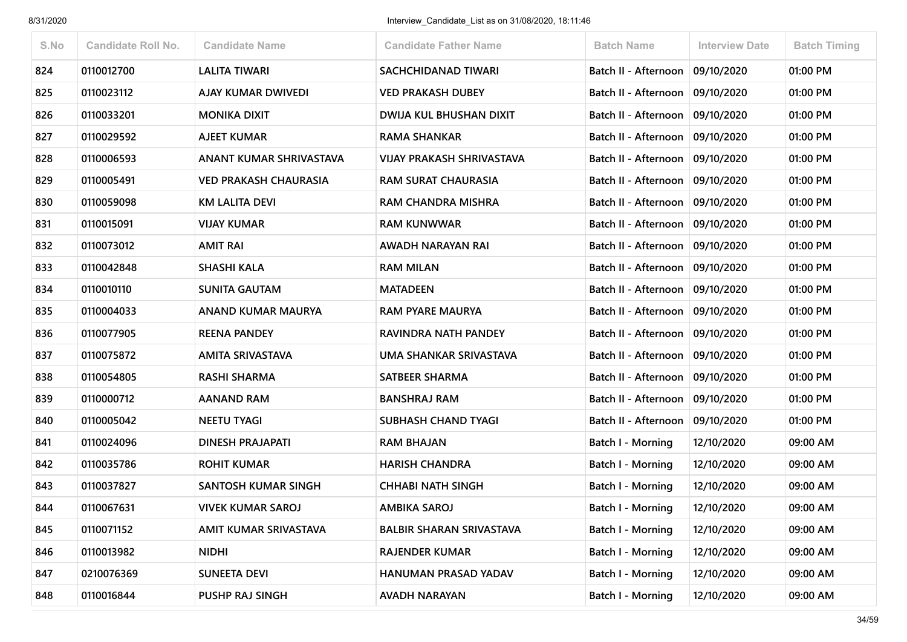| S.No | <b>Candidate Roll No.</b> | <b>Candidate Name</b>        | <b>Candidate Father Name</b>     | <b>Batch Name</b>                 | <b>Interview Date</b> | <b>Batch Timing</b> |
|------|---------------------------|------------------------------|----------------------------------|-----------------------------------|-----------------------|---------------------|
| 824  | 0110012700                | <b>LALITA TIWARI</b>         | <b>SACHCHIDANAD TIWARI</b>       | Batch II - Afternoon   09/10/2020 |                       | 01:00 PM            |
| 825  | 0110023112                | AJAY KUMAR DWIVEDI           | <b>VED PRAKASH DUBEY</b>         | Batch II - Afternoon              | 09/10/2020            | 01:00 PM            |
| 826  | 0110033201                | <b>MONIKA DIXIT</b>          | <b>DWIJA KUL BHUSHAN DIXIT</b>   | Batch II - Afternoon   09/10/2020 |                       | 01:00 PM            |
| 827  | 0110029592                | <b>AJEET KUMAR</b>           | <b>RAMA SHANKAR</b>              | Batch II - Afternoon              | 09/10/2020            | 01:00 PM            |
| 828  | 0110006593                | ANANT KUMAR SHRIVASTAVA      | <b>VIJAY PRAKASH SHRIVASTAVA</b> | Batch II - Afternoon              | 09/10/2020            | 01:00 PM            |
| 829  | 0110005491                | <b>VED PRAKASH CHAURASIA</b> | <b>RAM SURAT CHAURASIA</b>       | Batch II - Afternoon   09/10/2020 |                       | 01:00 PM            |
| 830  | 0110059098                | <b>KM LALITA DEVI</b>        | <b>RAM CHANDRA MISHRA</b>        | Batch II - Afternoon              | 09/10/2020            | 01:00 PM            |
| 831  | 0110015091                | <b>VIJAY KUMAR</b>           | <b>RAM KUNWWAR</b>               | Batch II - Afternoon              | 09/10/2020            | 01:00 PM            |
| 832  | 0110073012                | <b>AMIT RAI</b>              | AWADH NARAYAN RAI                | Batch II - Afternoon   09/10/2020 |                       | 01:00 PM            |
| 833  | 0110042848                | <b>SHASHI KALA</b>           | <b>RAM MILAN</b>                 | Batch II - Afternoon              | 09/10/2020            | 01:00 PM            |
| 834  | 0110010110                | <b>SUNITA GAUTAM</b>         | <b>MATADEEN</b>                  | Batch II - Afternoon   09/10/2020 |                       | 01:00 PM            |
| 835  | 0110004033                | ANAND KUMAR MAURYA           | <b>RAM PYARE MAURYA</b>          | Batch II - Afternoon              | 09/10/2020            | 01:00 PM            |
| 836  | 0110077905                | <b>REENA PANDEY</b>          | RAVINDRA NATH PANDEY             | Batch II - Afternoon              | 09/10/2020            | 01:00 PM            |
| 837  | 0110075872                | AMITA SRIVASTAVA             | UMA SHANKAR SRIVASTAVA           | Batch II - Afternoon   09/10/2020 |                       | 01:00 PM            |
| 838  | 0110054805                | <b>RASHI SHARMA</b>          | SATBEER SHARMA                   | Batch II - Afternoon              | 09/10/2020            | 01:00 PM            |
| 839  | 0110000712                | <b>AANAND RAM</b>            | <b>BANSHRAJ RAM</b>              | Batch II - Afternoon              | 09/10/2020            | 01:00 PM            |
| 840  | 0110005042                | <b>NEETU TYAGI</b>           | <b>SUBHASH CHAND TYAGI</b>       | Batch II - Afternoon   09/10/2020 |                       | 01:00 PM            |
| 841  | 0110024096                | DINESH PRAJAPATI             | RAM BHAJAN                       | Batch I - Morning                 | 12/10/2020            | 09:00 AM            |
| 842  | 0110035786                | <b>ROHIT KUMAR</b>           | <b>HARISH CHANDRA</b>            | <b>Batch I - Morning</b>          | 12/10/2020            | 09:00 AM            |
| 843  | 0110037827                | <b>SANTOSH KUMAR SINGH</b>   | <b>CHHABI NATH SINGH</b>         | Batch I - Morning                 | 12/10/2020            | 09:00 AM            |
| 844  | 0110067631                | <b>VIVEK KUMAR SAROJ</b>     | <b>AMBIKA SAROJ</b>              | Batch I - Morning                 | 12/10/2020            | 09:00 AM            |
| 845  | 0110071152                | AMIT KUMAR SRIVASTAVA        | <b>BALBIR SHARAN SRIVASTAVA</b>  | <b>Batch I - Morning</b>          | 12/10/2020            | 09:00 AM            |
| 846  | 0110013982                | <b>NIDHI</b>                 | RAJENDER KUMAR                   | <b>Batch I - Morning</b>          | 12/10/2020            | 09:00 AM            |
| 847  | 0210076369                | <b>SUNEETA DEVI</b>          | HANUMAN PRASAD YADAV             | <b>Batch I - Morning</b>          | 12/10/2020            | 09:00 AM            |
| 848  | 0110016844                | PUSHP RAJ SINGH              | <b>AVADH NARAYAN</b>             | <b>Batch I - Morning</b>          | 12/10/2020            | 09:00 AM            |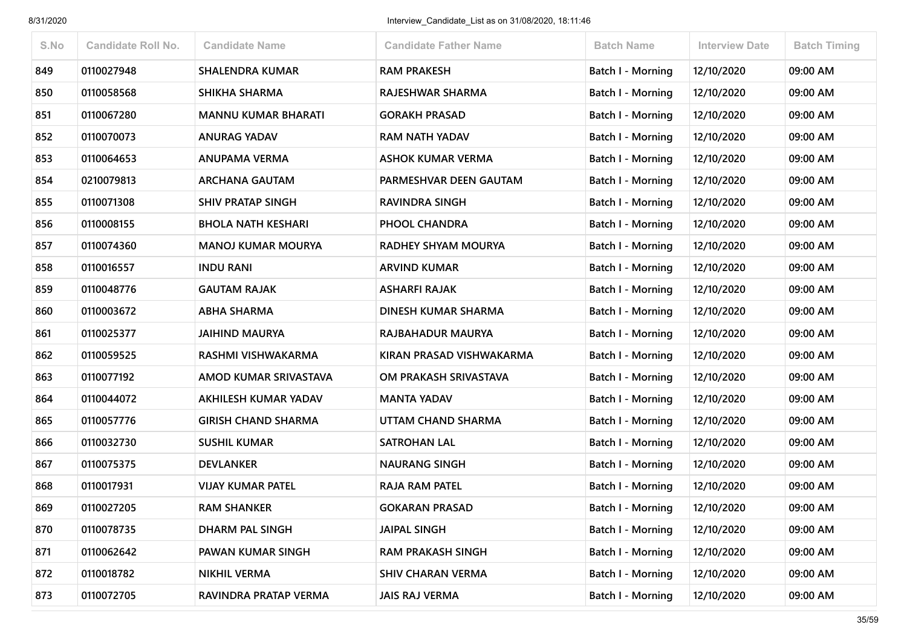| S.No | <b>Candidate Roll No.</b> | <b>Candidate Name</b>      | <b>Candidate Father Name</b> | <b>Batch Name</b>        | <b>Interview Date</b> | <b>Batch Timing</b> |
|------|---------------------------|----------------------------|------------------------------|--------------------------|-----------------------|---------------------|
| 849  | 0110027948                | <b>SHALENDRA KUMAR</b>     | <b>RAM PRAKESH</b>           | <b>Batch I - Morning</b> | 12/10/2020            | 09:00 AM            |
| 850  | 0110058568                | SHIKHA SHARMA              | RAJESHWAR SHARMA             | <b>Batch I - Morning</b> | 12/10/2020            | 09:00 AM            |
| 851  | 0110067280                | <b>MANNU KUMAR BHARATI</b> | <b>GORAKH PRASAD</b>         | Batch I - Morning        | 12/10/2020            | 09:00 AM            |
| 852  | 0110070073                | <b>ANURAG YADAV</b>        | <b>RAM NATH YADAV</b>        | Batch I - Morning        | 12/10/2020            | 09:00 AM            |
| 853  | 0110064653                | <b>ANUPAMA VERMA</b>       | <b>ASHOK KUMAR VERMA</b>     | <b>Batch I - Morning</b> | 12/10/2020            | 09:00 AM            |
| 854  | 0210079813                | <b>ARCHANA GAUTAM</b>      | PARMESHVAR DEEN GAUTAM       | Batch I - Morning        | 12/10/2020            | 09:00 AM            |
| 855  | 0110071308                | <b>SHIV PRATAP SINGH</b>   | <b>RAVINDRA SINGH</b>        | <b>Batch I - Morning</b> | 12/10/2020            | 09:00 AM            |
| 856  | 0110008155                | <b>BHOLA NATH KESHARI</b>  | PHOOL CHANDRA                | Batch I - Morning        | 12/10/2020            | 09:00 AM            |
| 857  | 0110074360                | <b>MANOJ KUMAR MOURYA</b>  | <b>RADHEY SHYAM MOURYA</b>   | <b>Batch I - Morning</b> | 12/10/2020            | 09:00 AM            |
| 858  | 0110016557                | <b>INDU RANI</b>           | <b>ARVIND KUMAR</b>          | Batch I - Morning        | 12/10/2020            | 09:00 AM            |
| 859  | 0110048776                | <b>GAUTAM RAJAK</b>        | <b>ASHARFI RAJAK</b>         | Batch I - Morning        | 12/10/2020            | 09:00 AM            |
| 860  | 0110003672                | <b>ABHA SHARMA</b>         | DINESH KUMAR SHARMA          | Batch I - Morning        | 12/10/2020            | 09:00 AM            |
| 861  | 0110025377                | <b>JAIHIND MAURYA</b>      | <b>RAJBAHADUR MAURYA</b>     | Batch I - Morning        | 12/10/2020            | 09:00 AM            |
| 862  | 0110059525                | RASHMI VISHWAKARMA         | KIRAN PRASAD VISHWAKARMA     | <b>Batch I - Morning</b> | 12/10/2020            | 09:00 AM            |
| 863  | 0110077192                | AMOD KUMAR SRIVASTAVA      | OM PRAKASH SRIVASTAVA        | <b>Batch I - Morning</b> | 12/10/2020            | 09:00 AM            |
| 864  | 0110044072                | AKHILESH KUMAR YADAV       | <b>MANTA YADAV</b>           | Batch I - Morning        | 12/10/2020            | 09:00 AM            |
| 865  | 0110057776                | <b>GIRISH CHAND SHARMA</b> | UTTAM CHAND SHARMA           | <b>Batch I - Morning</b> | 12/10/2020            | 09:00 AM            |
| 866  | 0110032730                | <b>SUSHIL KUMAR</b>        | <b>SATROHAN LAL</b>          | <b>Batch I - Morning</b> | 12/10/2020            | 09:00 AM            |
| 867  | 0110075375                | <b>DEVLANKER</b>           | <b>NAURANG SINGH</b>         | Batch I - Morning        | 12/10/2020            | 09:00 AM            |
| 868  | 0110017931                | <b>VIJAY KUMAR PATEL</b>   | <b>RAJA RAM PATEL</b>        | Batch I - Morning        | 12/10/2020            | 09:00 AM            |
| 869  | 0110027205                | <b>RAM SHANKER</b>         | <b>GOKARAN PRASAD</b>        | Batch I - Morning        | 12/10/2020            | 09:00 AM            |
| 870  | 0110078735                | DHARM PAL SINGH            | <b>JAIPAL SINGH</b>          | <b>Batch I - Morning</b> | 12/10/2020            | 09:00 AM            |
| 871  | 0110062642                | PAWAN KUMAR SINGH          | <b>RAM PRAKASH SINGH</b>     | <b>Batch I - Morning</b> | 12/10/2020            | 09:00 AM            |
| 872  | 0110018782                | <b>NIKHIL VERMA</b>        | <b>SHIV CHARAN VERMA</b>     | Batch I - Morning        | 12/10/2020            | 09:00 AM            |
| 873  | 0110072705                | RAVINDRA PRATAP VERMA      | <b>JAIS RAJ VERMA</b>        | Batch I - Morning        | 12/10/2020            | 09:00 AM            |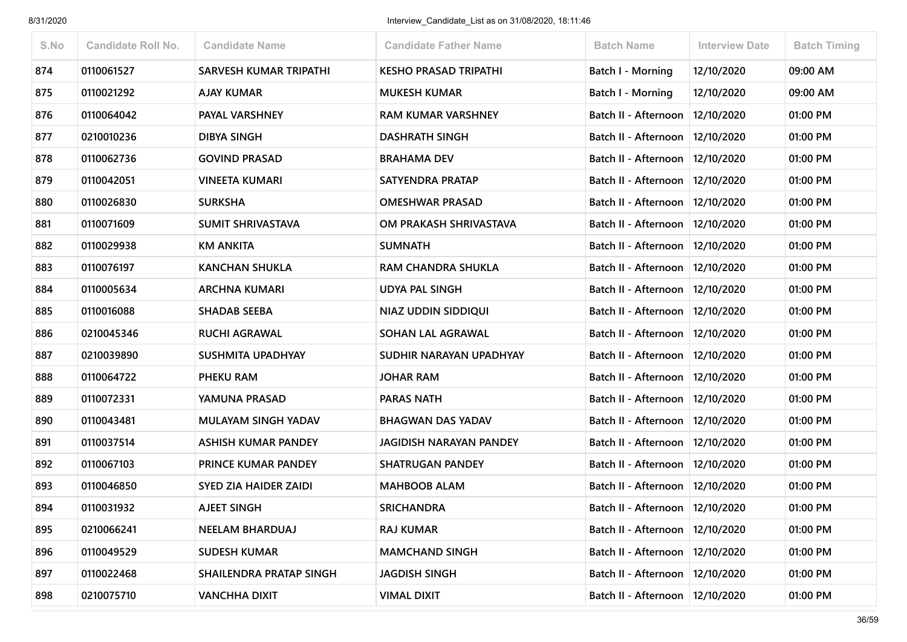| S.No | <b>Candidate Roll No.</b> | <b>Candidate Name</b>        | <b>Candidate Father Name</b> | <b>Batch Name</b>                 | <b>Interview Date</b> | <b>Batch Timing</b> |
|------|---------------------------|------------------------------|------------------------------|-----------------------------------|-----------------------|---------------------|
| 874  | 0110061527                | SARVESH KUMAR TRIPATHI       | <b>KESHO PRASAD TRIPATHI</b> | <b>Batch I - Morning</b>          | 12/10/2020            | 09:00 AM            |
| 875  | 0110021292                | <b>AJAY KUMAR</b>            | <b>MUKESH KUMAR</b>          | Batch I - Morning                 | 12/10/2020            | 09:00 AM            |
| 876  | 0110064042                | PAYAL VARSHNEY               | <b>RAM KUMAR VARSHNEY</b>    | Batch II - Afternoon              | 12/10/2020            | 01:00 PM            |
| 877  | 0210010236                | <b>DIBYA SINGH</b>           | <b>DASHRATH SINGH</b>        | Batch II - Afternoon              | 12/10/2020            | 01:00 PM            |
| 878  | 0110062736                | <b>GOVIND PRASAD</b>         | <b>BRAHAMA DEV</b>           | Batch II - Afternoon              | 12/10/2020            | 01:00 PM            |
| 879  | 0110042051                | <b>VINEETA KUMARI</b>        | SATYENDRA PRATAP             | Batch II - Afternoon              | 12/10/2020            | 01:00 PM            |
| 880  | 0110026830                | <b>SURKSHA</b>               | <b>OMESHWAR PRASAD</b>       | Batch II - Afternoon              | 12/10/2020            | 01:00 PM            |
| 881  | 0110071609                | <b>SUMIT SHRIVASTAVA</b>     | OM PRAKASH SHRIVASTAVA       | Batch II - Afternoon              | 12/10/2020            | 01:00 PM            |
| 882  | 0110029938                | <b>KM ANKITA</b>             | <b>SUMNATH</b>               | Batch II - Afternoon              | 12/10/2020            | 01:00 PM            |
| 883  | 0110076197                | <b>KANCHAN SHUKLA</b>        | <b>RAM CHANDRA SHUKLA</b>    | Batch II - Afternoon              | 12/10/2020            | 01:00 PM            |
| 884  | 0110005634                | <b>ARCHNA KUMARI</b>         | <b>UDYA PAL SINGH</b>        | Batch II - Afternoon              | 12/10/2020            | 01:00 PM            |
| 885  | 0110016088                | <b>SHADAB SEEBA</b>          | NIAZ UDDIN SIDDIQUI          | Batch II - Afternoon              | 12/10/2020            | 01:00 PM            |
| 886  | 0210045346                | <b>RUCHI AGRAWAL</b>         | SOHAN LAL AGRAWAL            | Batch II - Afternoon              | 12/10/2020            | 01:00 PM            |
| 887  | 0210039890                | <b>SUSHMITA UPADHYAY</b>     | SUDHIR NARAYAN UPADHYAY      | Batch II - Afternoon              | 12/10/2020            | 01:00 PM            |
| 888  | 0110064722                | PHEKU RAM                    | <b>JOHAR RAM</b>             | Batch II - Afternoon              | 12/10/2020            | 01:00 PM            |
| 889  | 0110072331                | YAMUNA PRASAD                | <b>PARAS NATH</b>            | Batch II - Afternoon              | 12/10/2020            | 01:00 PM            |
| 890  | 0110043481                | MULAYAM SINGH YADAV          | <b>BHAGWAN DAS YADAV</b>     | Batch II - Afternoon              | 12/10/2020            | 01:00 PM            |
| 891  | 0110037514                | ASHISH KUMAR PANDEY          | JAGIDISH NARAYAN PANDEY      | Batch II - Afternoon              | 12/10/2020            | 01:00 PM            |
| 892  | 0110067103                | PRINCE KUMAR PANDEY          | <b>SHATRUGAN PANDEY</b>      | Batch II - Afternoon              | 12/10/2020            | 01:00 PM            |
| 893  | 0110046850                | <b>SYED ZIA HAIDER ZAIDI</b> | <b>MAHBOOB ALAM</b>          | Batch II - Afternoon              | 12/10/2020            | 01:00 PM            |
| 894  | 0110031932                | <b>AJEET SINGH</b>           | <b>SRICHANDRA</b>            | Batch II - Afternoon   12/10/2020 |                       | 01:00 PM            |
| 895  | 0210066241                | NEELAM BHARDUAJ              | <b>RAJ KUMAR</b>             | Batch II - Afternoon   12/10/2020 |                       | 01:00 PM            |
| 896  | 0110049529                | <b>SUDESH KUMAR</b>          | <b>MAMCHAND SINGH</b>        | Batch II - Afternoon              | 12/10/2020            | 01:00 PM            |
| 897  | 0110022468                | SHAILENDRA PRATAP SINGH      | <b>JAGDISH SINGH</b>         | Batch II - Afternoon              | 12/10/2020            | 01:00 PM            |
| 898  | 0210075710                | <b>VANCHHA DIXIT</b>         | <b>VIMAL DIXIT</b>           | Batch II - Afternoon              | 12/10/2020            | 01:00 PM            |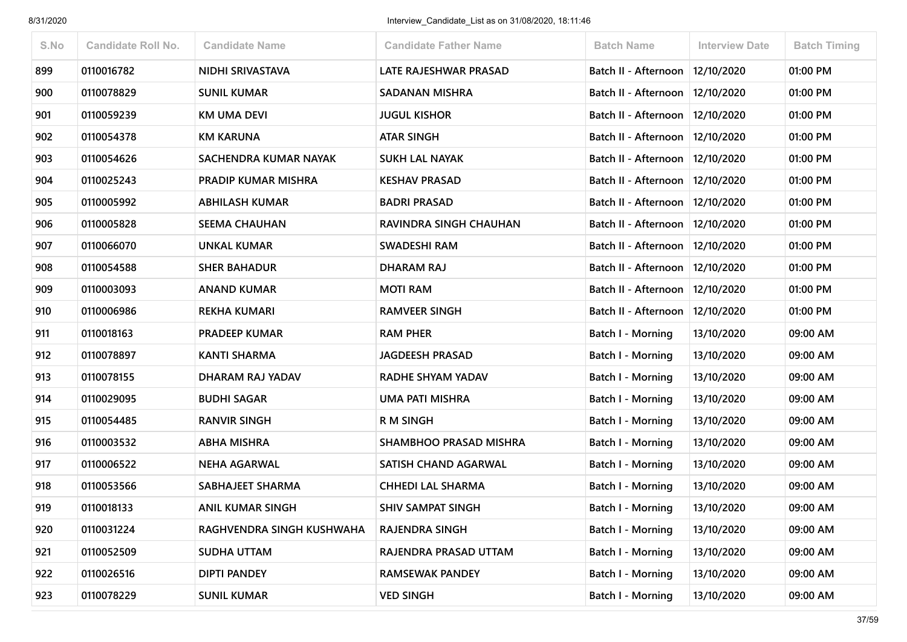| S.No | <b>Candidate Roll No.</b> | <b>Candidate Name</b>      | <b>Candidate Father Name</b> | <b>Batch Name</b>                 | <b>Interview Date</b> | <b>Batch Timing</b> |
|------|---------------------------|----------------------------|------------------------------|-----------------------------------|-----------------------|---------------------|
| 899  | 0110016782                | NIDHI SRIVASTAVA           | LATE RAJESHWAR PRASAD        | Batch II - Afternoon              | 12/10/2020            | 01:00 PM            |
| 900  | 0110078829                | <b>SUNIL KUMAR</b>         | <b>SADANAN MISHRA</b>        | Batch II - Afternoon              | 12/10/2020            | 01:00 PM            |
| 901  | 0110059239                | <b>KM UMA DEVI</b>         | <b>JUGUL KISHOR</b>          | Batch II - Afternoon              | 12/10/2020            | 01:00 PM            |
| 902  | 0110054378                | <b>KM KARUNA</b>           | <b>ATAR SINGH</b>            | Batch II - Afternoon   12/10/2020 |                       | 01:00 PM            |
| 903  | 0110054626                | SACHENDRA KUMAR NAYAK      | <b>SUKH LAL NAYAK</b>        | Batch II - Afternoon              | 12/10/2020            | 01:00 PM            |
| 904  | 0110025243                | <b>PRADIP KUMAR MISHRA</b> | <b>KESHAV PRASAD</b>         | Batch II - Afternoon              | 12/10/2020            | 01:00 PM            |
| 905  | 0110005992                | <b>ABHILASH KUMAR</b>      | <b>BADRI PRASAD</b>          | Batch II - Afternoon              | 12/10/2020            | 01:00 PM            |
| 906  | 0110005828                | <b>SEEMA CHAUHAN</b>       | RAVINDRA SINGH CHAUHAN       | Batch II - Afternoon   12/10/2020 |                       | 01:00 PM            |
| 907  | 0110066070                | <b>UNKAL KUMAR</b>         | <b>SWADESHI RAM</b>          | Batch II - Afternoon              | 12/10/2020            | 01:00 PM            |
| 908  | 0110054588                | <b>SHER BAHADUR</b>        | <b>DHARAM RAJ</b>            | Batch II - Afternoon              | 12/10/2020            | 01:00 PM            |
| 909  | 0110003093                | <b>ANAND KUMAR</b>         | <b>MOTI RAM</b>              | Batch II - Afternoon              | 12/10/2020            | 01:00 PM            |
| 910  | 0110006986                | <b>REKHA KUMARI</b>        | <b>RAMVEER SINGH</b>         | Batch II - Afternoon              | 12/10/2020            | 01:00 PM            |
| 911  | 0110018163                | <b>PRADEEP KUMAR</b>       | <b>RAM PHER</b>              | Batch I - Morning                 | 13/10/2020            | 09:00 AM            |
| 912  | 0110078897                | <b>KANTI SHARMA</b>        | <b>JAGDEESH PRASAD</b>       | Batch I - Morning                 | 13/10/2020            | 09:00 AM            |
| 913  | 0110078155                | DHARAM RAJ YADAV           | RADHE SHYAM YADAV            | Batch I - Morning                 | 13/10/2020            | 09:00 AM            |
| 914  | 0110029095                | <b>BUDHI SAGAR</b>         | <b>UMA PATI MISHRA</b>       | Batch I - Morning                 | 13/10/2020            | 09:00 AM            |
| 915  | 0110054485                | <b>RANVIR SINGH</b>        | <b>RM SINGH</b>              | <b>Batch I - Morning</b>          | 13/10/2020            | 09:00 AM            |
| 916  | 0110003532                | <b>ABHA MISHRA</b>         | SHAMBHOO PRASAD MISHRA       | Batch I - Morning                 | 13/10/2020            | 09:00 AM            |
| 917  | 0110006522                | <b>NEHA AGARWAL</b>        | SATISH CHAND AGARWAL         | Batch I - Morning                 | 13/10/2020            | 09:00 AM            |
| 918  | 0110053566                | SABHAJEET SHARMA           | <b>CHHEDI LAL SHARMA</b>     | Batch I - Morning                 | 13/10/2020            | 09:00 AM            |
| 919  | 0110018133                | <b>ANIL KUMAR SINGH</b>    | <b>SHIV SAMPAT SINGH</b>     | <b>Batch I - Morning</b>          | 13/10/2020            | 09:00 AM            |
| 920  | 0110031224                | RAGHVENDRA SINGH KUSHWAHA  | <b>RAJENDRA SINGH</b>        | Batch I - Morning                 | 13/10/2020            | 09:00 AM            |
| 921  | 0110052509                | <b>SUDHA UTTAM</b>         | RAJENDRA PRASAD UTTAM        | Batch I - Morning                 | 13/10/2020            | 09:00 AM            |
| 922  | 0110026516                | <b>DIPTI PANDEY</b>        | <b>RAMSEWAK PANDEY</b>       | Batch I - Morning                 | 13/10/2020            | 09:00 AM            |
| 923  | 0110078229                | <b>SUNIL KUMAR</b>         | <b>VED SINGH</b>             | Batch I - Morning                 | 13/10/2020            | 09:00 AM            |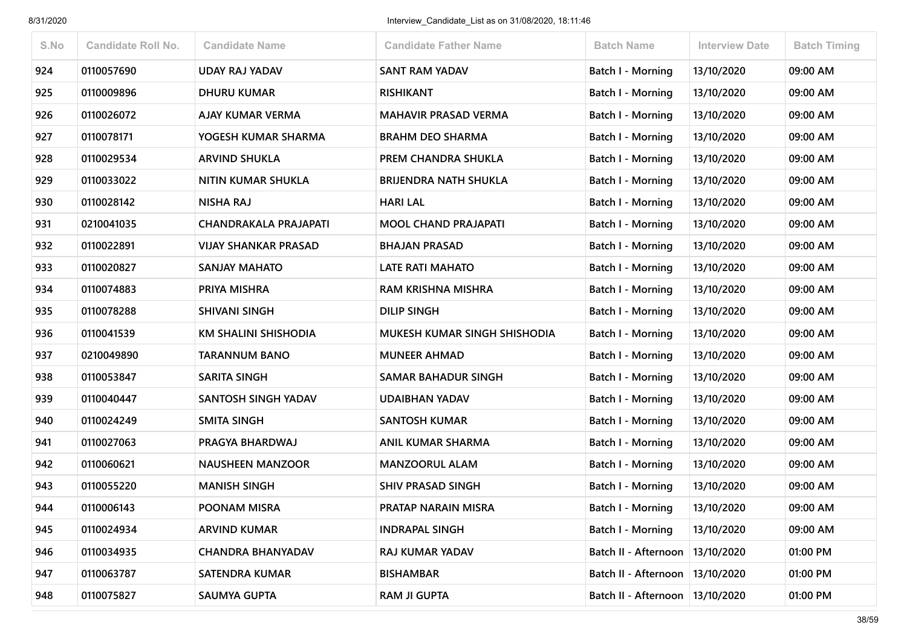| S.No | <b>Candidate Roll No.</b> | <b>Candidate Name</b>        | <b>Candidate Father Name</b> | <b>Batch Name</b>        | <b>Interview Date</b> | <b>Batch Timing</b> |
|------|---------------------------|------------------------------|------------------------------|--------------------------|-----------------------|---------------------|
| 924  | 0110057690                | <b>UDAY RAJ YADAV</b>        | <b>SANT RAM YADAV</b>        | <b>Batch I - Morning</b> | 13/10/2020            | 09:00 AM            |
| 925  | 0110009896                | <b>DHURU KUMAR</b>           | <b>RISHIKANT</b>             | Batch I - Morning        | 13/10/2020            | 09:00 AM            |
| 926  | 0110026072                | <b>AJAY KUMAR VERMA</b>      | <b>MAHAVIR PRASAD VERMA</b>  | Batch I - Morning        | 13/10/2020            | 09:00 AM            |
| 927  | 0110078171                | YOGESH KUMAR SHARMA          | <b>BRAHM DEO SHARMA</b>      | <b>Batch I - Morning</b> | 13/10/2020            | 09:00 AM            |
| 928  | 0110029534                | <b>ARVIND SHUKLA</b>         | PREM CHANDRA SHUKLA          | Batch I - Morning        | 13/10/2020            | 09:00 AM            |
| 929  | 0110033022                | NITIN KUMAR SHUKLA           | <b>BRIJENDRA NATH SHUKLA</b> | <b>Batch I - Morning</b> | 13/10/2020            | 09:00 AM            |
| 930  | 0110028142                | <b>NISHA RAJ</b>             | <b>HARI LAL</b>              | Batch I - Morning        | 13/10/2020            | 09:00 AM            |
| 931  | 0210041035                | <b>CHANDRAKALA PRAJAPATI</b> | <b>MOOL CHAND PRAJAPATI</b>  | <b>Batch I - Morning</b> | 13/10/2020            | 09:00 AM            |
| 932  | 0110022891                | <b>VIJAY SHANKAR PRASAD</b>  | <b>BHAJAN PRASAD</b>         | <b>Batch I - Morning</b> | 13/10/2020            | 09:00 AM            |
| 933  | 0110020827                | <b>SANJAY MAHATO</b>         | <b>LATE RATI MAHATO</b>      | Batch I - Morning        | 13/10/2020            | 09:00 AM            |
| 934  | 0110074883                | PRIYA MISHRA                 | RAM KRISHNA MISHRA           | Batch I - Morning        | 13/10/2020            | 09:00 AM            |
| 935  | 0110078288                | <b>SHIVANI SINGH</b>         | <b>DILIP SINGH</b>           | <b>Batch I - Morning</b> | 13/10/2020            | 09:00 AM            |
| 936  | 0110041539                | <b>KM SHALINI SHISHODIA</b>  | MUKESH KUMAR SINGH SHISHODIA | Batch I - Morning        | 13/10/2020            | 09:00 AM            |
| 937  | 0210049890                | <b>TARANNUM BANO</b>         | <b>MUNEER AHMAD</b>          | <b>Batch I - Morning</b> | 13/10/2020            | 09:00 AM            |
| 938  | 0110053847                | <b>SARITA SINGH</b>          | <b>SAMAR BAHADUR SINGH</b>   | <b>Batch I - Morning</b> | 13/10/2020            | 09:00 AM            |
| 939  | 0110040447                | SANTOSH SINGH YADAV          | <b>UDAIBHAN YADAV</b>        | Batch I - Morning        | 13/10/2020            | 09:00 AM            |
| 940  | 0110024249                | <b>SMITA SINGH</b>           | <b>SANTOSH KUMAR</b>         | Batch I - Morning        | 13/10/2020            | 09:00 AM            |
| 941  | 0110027063                | PRAGYA BHARDWAJ              | <b>ANIL KUMAR SHARMA</b>     | <b>Batch I - Morning</b> | 13/10/2020            | 09:00 AM            |
| 942  | 0110060621                | <b>NAUSHEEN MANZOOR</b>      | <b>MANZOORUL ALAM</b>        | <b>Batch I - Morning</b> | 13/10/2020            | 09:00 AM            |
| 943  | 0110055220                | <b>MANISH SINGH</b>          | <b>SHIV PRASAD SINGH</b>     | <b>Batch I - Morning</b> | 13/10/2020            | 09:00 AM            |
| 944  | 0110006143                | POONAM MISRA                 | PRATAP NARAIN MISRA          | Batch I - Morning        | 13/10/2020            | 09:00 AM            |
| 945  | 0110024934                | <b>ARVIND KUMAR</b>          | <b>INDRAPAL SINGH</b>        | Batch I - Morning        | 13/10/2020            | 09:00 AM            |
| 946  | 0110034935                | <b>CHANDRA BHANYADAV</b>     | RAJ KUMAR YADAV              | Batch II - Afternoon     | 13/10/2020            | 01:00 PM            |
| 947  | 0110063787                | <b>SATENDRA KUMAR</b>        | <b>BISHAMBAR</b>             | Batch II - Afternoon     | 13/10/2020            | 01:00 PM            |
| 948  | 0110075827                | <b>SAUMYA GUPTA</b>          | <b>RAM JI GUPTA</b>          | Batch II - Afternoon     | 13/10/2020            | 01:00 PM            |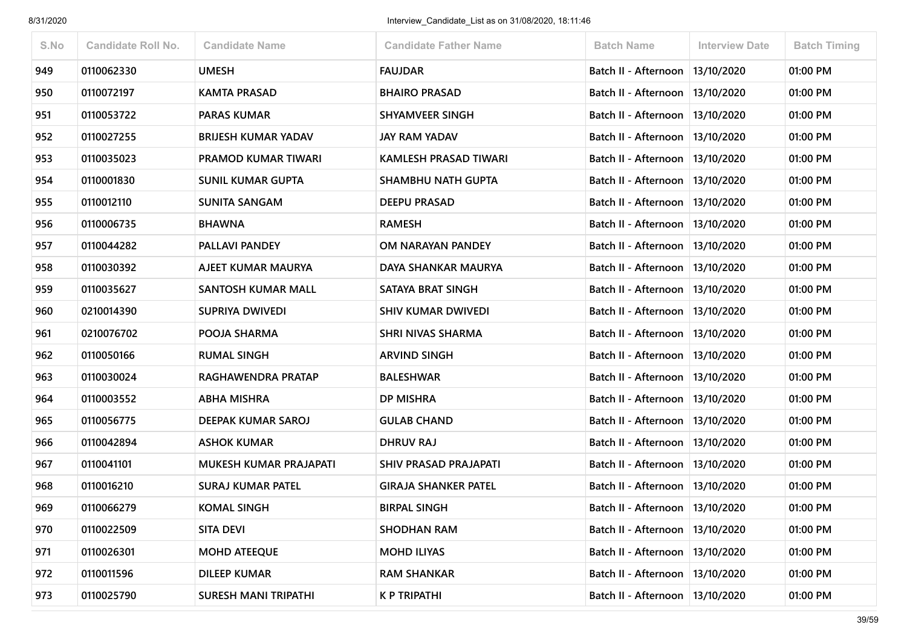| S.No | <b>Candidate Roll No.</b> | <b>Candidate Name</b>       | <b>Candidate Father Name</b> | <b>Batch Name</b>                 | <b>Interview Date</b> | <b>Batch Timing</b> |
|------|---------------------------|-----------------------------|------------------------------|-----------------------------------|-----------------------|---------------------|
| 949  | 0110062330                | <b>UMESH</b>                | <b>FAUJDAR</b>               | Batch II - Afternoon              | 13/10/2020            | 01:00 PM            |
| 950  | 0110072197                | <b>KAMTA PRASAD</b>         | <b>BHAIRO PRASAD</b>         | Batch II - Afternoon              | 13/10/2020            | 01:00 PM            |
| 951  | 0110053722                | <b>PARAS KUMAR</b>          | SHYAMVEER SINGH              | Batch II - Afternoon              | 13/10/2020            | 01:00 PM            |
| 952  | 0110027255                | <b>BRIJESH KUMAR YADAV</b>  | <b>JAY RAM YADAV</b>         | Batch II - Afternoon              | 13/10/2020            | 01:00 PM            |
| 953  | 0110035023                | PRAMOD KUMAR TIWARI         | <b>KAMLESH PRASAD TIWARI</b> | Batch II - Afternoon              | 13/10/2020            | 01:00 PM            |
| 954  | 0110001830                | <b>SUNIL KUMAR GUPTA</b>    | <b>SHAMBHU NATH GUPTA</b>    | Batch II - Afternoon   13/10/2020 |                       | 01:00 PM            |
| 955  | 0110012110                | <b>SUNITA SANGAM</b>        | <b>DEEPU PRASAD</b>          | Batch II - Afternoon              | 13/10/2020            | 01:00 PM            |
| 956  | 0110006735                | <b>BHAWNA</b>               | <b>RAMESH</b>                | Batch II - Afternoon              | 13/10/2020            | 01:00 PM            |
| 957  | 0110044282                | PALLAVI PANDEY              | OM NARAYAN PANDEY            | Batch II - Afternoon   13/10/2020 |                       | 01:00 PM            |
| 958  | 0110030392                | AJEET KUMAR MAURYA          | DAYA SHANKAR MAURYA          | Batch II - Afternoon              | 13/10/2020            | 01:00 PM            |
| 959  | 0110035627                | <b>SANTOSH KUMAR MALL</b>   | SATAYA BRAT SINGH            | Batch II - Afternoon   13/10/2020 |                       | 01:00 PM            |
| 960  | 0210014390                | SUPRIYA DWIVEDI             | <b>SHIV KUMAR DWIVEDI</b>    | Batch II - Afternoon              | 13/10/2020            | 01:00 PM            |
| 961  | 0210076702                | POOJA SHARMA                | <b>SHRI NIVAS SHARMA</b>     | Batch II - Afternoon              | 13/10/2020            | 01:00 PM            |
| 962  | 0110050166                | <b>RUMAL SINGH</b>          | <b>ARVIND SINGH</b>          | Batch II - Afternoon   13/10/2020 |                       | 01:00 PM            |
| 963  | 0110030024                | RAGHAWENDRA PRATAP          | <b>BALESHWAR</b>             | Batch II - Afternoon              | 13/10/2020            | 01:00 PM            |
| 964  | 0110003552                | <b>ABHA MISHRA</b>          | <b>DP MISHRA</b>             | Batch II - Afternoon              | 13/10/2020            | 01:00 PM            |
| 965  | 0110056775                | DEEPAK KUMAR SAROJ          | <b>GULAB CHAND</b>           | Batch II - Afternoon   13/10/2020 |                       | 01:00 PM            |
| 966  | 0110042894                | <b>ASHOK KUMAR</b>          | <b>DHRUV RAJ</b>             | Batch II - Afternoon              | 13/10/2020            | 01:00 PM            |
| 967  | 0110041101                | MUKESH KUMAR PRAJAPATI      | <b>SHIV PRASAD PRAJAPATI</b> | Batch II - Afternoon   13/10/2020 |                       | 01:00 PM            |
| 968  | 0110016210                | <b>SURAJ KUMAR PATEL</b>    | <b>GIRAJA SHANKER PATEL</b>  | Batch II - Afternoon              | 13/10/2020            | 01:00 PM            |
| 969  | 0110066279                | <b>KOMAL SINGH</b>          | <b>BIRPAL SINGH</b>          | Batch II - Afternoon   13/10/2020 |                       | 01:00 PM            |
| 970  | 0110022509                | <b>SITA DEVI</b>            | <b>SHODHAN RAM</b>           | Batch II - Afternoon   13/10/2020 |                       | 01:00 PM            |
| 971  | 0110026301                | <b>MOHD ATEEQUE</b>         | <b>MOHD ILIYAS</b>           | Batch II - Afternoon   13/10/2020 |                       | 01:00 PM            |
| 972  | 0110011596                | <b>DILEEP KUMAR</b>         | <b>RAM SHANKAR</b>           | Batch II - Afternoon              | 13/10/2020            | 01:00 PM            |
| 973  | 0110025790                | <b>SURESH MANI TRIPATHI</b> | <b>K P TRIPATHI</b>          | Batch II - Afternoon              | 13/10/2020            | 01:00 PM            |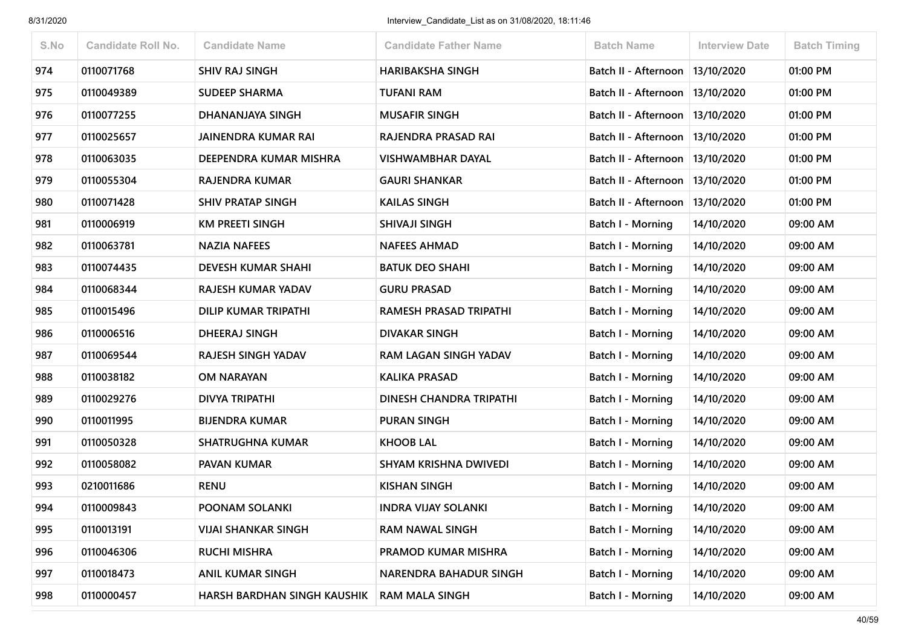| S.No | <b>Candidate Roll No.</b> | <b>Candidate Name</b>       | <b>Candidate Father Name</b>  | <b>Batch Name</b>        | <b>Interview Date</b> | <b>Batch Timing</b> |
|------|---------------------------|-----------------------------|-------------------------------|--------------------------|-----------------------|---------------------|
| 974  | 0110071768                | <b>SHIV RAJ SINGH</b>       | <b>HARIBAKSHA SINGH</b>       | Batch II - Afternoon     | 13/10/2020            | 01:00 PM            |
| 975  | 0110049389                | <b>SUDEEP SHARMA</b>        | <b>TUFANI RAM</b>             | Batch II - Afternoon     | 13/10/2020            | 01:00 PM            |
| 976  | 0110077255                | DHANANJAYA SINGH            | <b>MUSAFIR SINGH</b>          | Batch II - Afternoon     | 13/10/2020            | 01:00 PM            |
| 977  | 0110025657                | <b>JAINENDRA KUMAR RAI</b>  | RAJENDRA PRASAD RAI           | Batch II - Afternoon     | 13/10/2020            | 01:00 PM            |
| 978  | 0110063035                | DEEPENDRA KUMAR MISHRA      | <b>VISHWAMBHAR DAYAL</b>      | Batch II - Afternoon     | 13/10/2020            | 01:00 PM            |
| 979  | 0110055304                | <b>RAJENDRA KUMAR</b>       | <b>GAURI SHANKAR</b>          | Batch II - Afternoon     | 13/10/2020            | 01:00 PM            |
| 980  | 0110071428                | <b>SHIV PRATAP SINGH</b>    | <b>KAILAS SINGH</b>           | Batch II - Afternoon     | 13/10/2020            | 01:00 PM            |
| 981  | 0110006919                | <b>KM PREETI SINGH</b>      | SHIVAJI SINGH                 | <b>Batch I - Morning</b> | 14/10/2020            | 09:00 AM            |
| 982  | 0110063781                | <b>NAZIA NAFEES</b>         | <b>NAFEES AHMAD</b>           | Batch I - Morning        | 14/10/2020            | 09:00 AM            |
| 983  | 0110074435                | <b>DEVESH KUMAR SHAHI</b>   | <b>BATUK DEO SHAHI</b>        | Batch I - Morning        | 14/10/2020            | 09:00 AM            |
| 984  | 0110068344                | RAJESH KUMAR YADAV          | <b>GURU PRASAD</b>            | Batch I - Morning        | 14/10/2020            | 09:00 AM            |
| 985  | 0110015496                | <b>DILIP KUMAR TRIPATHI</b> | RAMESH PRASAD TRIPATHI        | <b>Batch I - Morning</b> | 14/10/2020            | 09:00 AM            |
| 986  | 0110006516                | <b>DHEERAJ SINGH</b>        | <b>DIVAKAR SINGH</b>          | Batch I - Morning        | 14/10/2020            | 09:00 AM            |
| 987  | 0110069544                | RAJESH SINGH YADAV          | RAM LAGAN SINGH YADAV         | <b>Batch I - Morning</b> | 14/10/2020            | 09:00 AM            |
| 988  | 0110038182                | <b>OM NARAYAN</b>           | <b>KALIKA PRASAD</b>          | <b>Batch I - Morning</b> | 14/10/2020            | 09:00 AM            |
| 989  | 0110029276                | <b>DIVYA TRIPATHI</b>       | DINESH CHANDRA TRIPATHI       | <b>Batch I - Morning</b> | 14/10/2020            | 09:00 AM            |
| 990  | 0110011995                | <b>BIJENDRA KUMAR</b>       | <b>PURAN SINGH</b>            | Batch I - Morning        | 14/10/2020            | 09:00 AM            |
| 991  | 0110050328                | <b>SHATRUGHNA KUMAR</b>     | <b>KHOOB LAL</b>              | <b>Batch I - Morning</b> | 14/10/2020            | 09:00 AM            |
| 992  | 0110058082                | PAVAN KUMAR                 | SHYAM KRISHNA DWIVEDI         | <b>Batch I - Morning</b> | 14/10/2020            | 09:00 AM            |
| 993  | 0210011686                | <b>RENU</b>                 | <b>KISHAN SINGH</b>           | <b>Batch I - Morning</b> | 14/10/2020            | 09:00 AM            |
| 994  | 0110009843                | POONAM SOLANKI              | <b>INDRA VIJAY SOLANKI</b>    | Batch I - Morning        | 14/10/2020            | 09:00 AM            |
| 995  | 0110013191                | <b>VIJAI SHANKAR SINGH</b>  | <b>RAM NAWAL SINGH</b>        | Batch I - Morning        | 14/10/2020            | 09:00 AM            |
| 996  | 0110046306                | <b>RUCHI MISHRA</b>         | PRAMOD KUMAR MISHRA           | Batch I - Morning        | 14/10/2020            | 09:00 AM            |
| 997  | 0110018473                | <b>ANIL KUMAR SINGH</b>     | <b>NARENDRA BAHADUR SINGH</b> | Batch I - Morning        | 14/10/2020            | 09:00 AM            |
| 998  | 0110000457                | HARSH BARDHAN SINGH KAUSHIK | <b>RAM MALA SINGH</b>         | <b>Batch I - Morning</b> | 14/10/2020            | 09:00 AM            |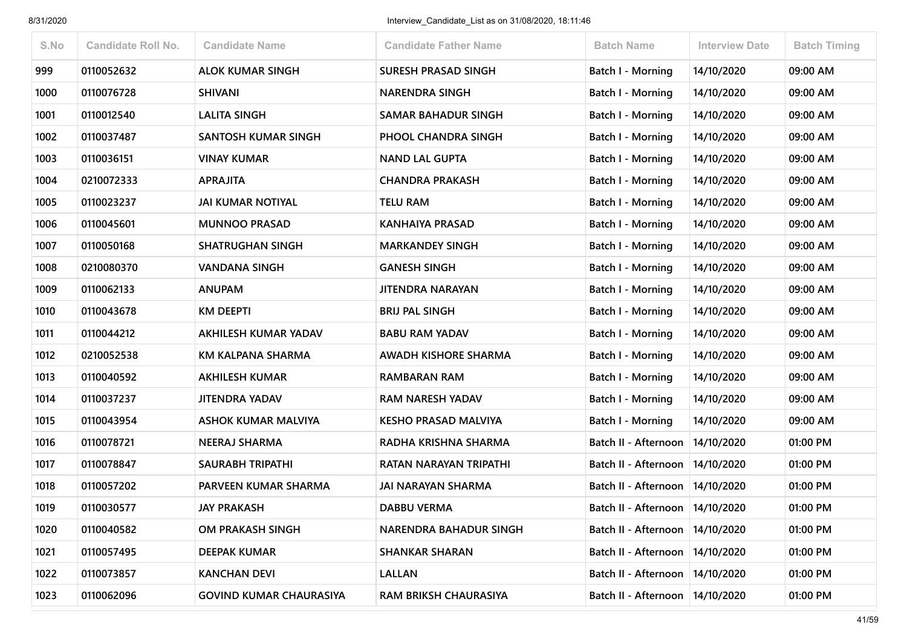| S.No | <b>Candidate Roll No.</b> | <b>Candidate Name</b>          | <b>Candidate Father Name</b>  | <b>Batch Name</b>                 | <b>Interview Date</b> | <b>Batch Timing</b> |
|------|---------------------------|--------------------------------|-------------------------------|-----------------------------------|-----------------------|---------------------|
| 999  | 0110052632                | <b>ALOK KUMAR SINGH</b>        | <b>SURESH PRASAD SINGH</b>    | <b>Batch I - Morning</b>          | 14/10/2020            | 09:00 AM            |
| 1000 | 0110076728                | <b>SHIVANI</b>                 | <b>NARENDRA SINGH</b>         | Batch I - Morning                 | 14/10/2020            | 09:00 AM            |
| 1001 | 0110012540                | LALITA SINGH                   | <b>SAMAR BAHADUR SINGH</b>    | Batch I - Morning                 | 14/10/2020            | 09:00 AM            |
| 1002 | 0110037487                | SANTOSH KUMAR SINGH            | PHOOL CHANDRA SINGH           | <b>Batch I - Morning</b>          | 14/10/2020            | 09:00 AM            |
| 1003 | 0110036151                | <b>VINAY KUMAR</b>             | <b>NAND LAL GUPTA</b>         | Batch I - Morning                 | 14/10/2020            | 09:00 AM            |
| 1004 | 0210072333                | <b>APRAJITA</b>                | <b>CHANDRA PRAKASH</b>        | <b>Batch I - Morning</b>          | 14/10/2020            | 09:00 AM            |
| 1005 | 0110023237                | <b>JAI KUMAR NOTIYAL</b>       | <b>TELU RAM</b>               | Batch I - Morning                 | 14/10/2020            | 09:00 AM            |
| 1006 | 0110045601                | <b>MUNNOO PRASAD</b>           | <b>KANHAIYA PRASAD</b>        | Batch I - Morning                 | 14/10/2020            | 09:00 AM            |
| 1007 | 0110050168                | <b>SHATRUGHAN SINGH</b>        | <b>MARKANDEY SINGH</b>        | <b>Batch I - Morning</b>          | 14/10/2020            | 09:00 AM            |
| 1008 | 0210080370                | VANDANA SINGH                  | <b>GANESH SINGH</b>           | Batch I - Morning                 | 14/10/2020            | 09:00 AM            |
| 1009 | 0110062133                | <b>ANUPAM</b>                  | <b>JITENDRA NARAYAN</b>       | Batch I - Morning                 | 14/10/2020            | 09:00 AM            |
| 1010 | 0110043678                | <b>KM DEEPTI</b>               | <b>BRIJ PAL SINGH</b>         | Batch I - Morning                 | 14/10/2020            | 09:00 AM            |
| 1011 | 0110044212                | AKHILESH KUMAR YADAV           | <b>BABU RAM YADAV</b>         | Batch I - Morning                 | 14/10/2020            | 09:00 AM            |
| 1012 | 0210052538                | KM KALPANA SHARMA              | <b>AWADH KISHORE SHARMA</b>   | <b>Batch I - Morning</b>          | 14/10/2020            | 09:00 AM            |
| 1013 | 0110040592                | <b>AKHILESH KUMAR</b>          | RAMBARAN RAM                  | <b>Batch I - Morning</b>          | 14/10/2020            | 09:00 AM            |
| 1014 | 0110037237                | <b>JITENDRA YADAV</b>          | <b>RAM NARESH YADAV</b>       | <b>Batch I - Morning</b>          | 14/10/2020            | 09:00 AM            |
| 1015 | 0110043954                | <b>ASHOK KUMAR MALVIYA</b>     | <b>KESHO PRASAD MALVIYA</b>   | Batch I - Morning                 | 14/10/2020            | 09:00 AM            |
| 1016 | 0110078721                | <b>NEERAJ SHARMA</b>           | RADHA KRISHNA SHARMA          | Batch II - Afternoon              | 14/10/2020            | 01:00 PM            |
| 1017 | 0110078847                | <b>SAURABH TRIPATHI</b>        | RATAN NARAYAN TRIPATHI        | Batch II - Afternoon              | 14/10/2020            | 01:00 PM            |
| 1018 | 0110057202                | PARVEEN KUMAR SHARMA           | <b>JAI NARAYAN SHARMA</b>     | Batch II - Afternoon              | 14/10/2020            | 01:00 PM            |
| 1019 | 0110030577                | <b>JAY PRAKASH</b>             | <b>DABBU VERMA</b>            | Batch II - Afternoon              | 14/10/2020            | 01:00 PM            |
| 1020 | 0110040582                | OM PRAKASH SINGH               | <b>NARENDRA BAHADUR SINGH</b> | Batch II - Afternoon   14/10/2020 |                       | 01:00 PM            |
| 1021 | 0110057495                | <b>DEEPAK KUMAR</b>            | <b>SHANKAR SHARAN</b>         | Batch II - Afternoon              | 14/10/2020            | 01:00 PM            |
| 1022 | 0110073857                | <b>KANCHAN DEVI</b>            | <b>LALLAN</b>                 | Batch II - Afternoon              | 14/10/2020            | 01:00 PM            |
| 1023 | 0110062096                | <b>GOVIND KUMAR CHAURASIYA</b> | RAM BRIKSH CHAURASIYA         | Batch II - Afternoon              | 14/10/2020            | 01:00 PM            |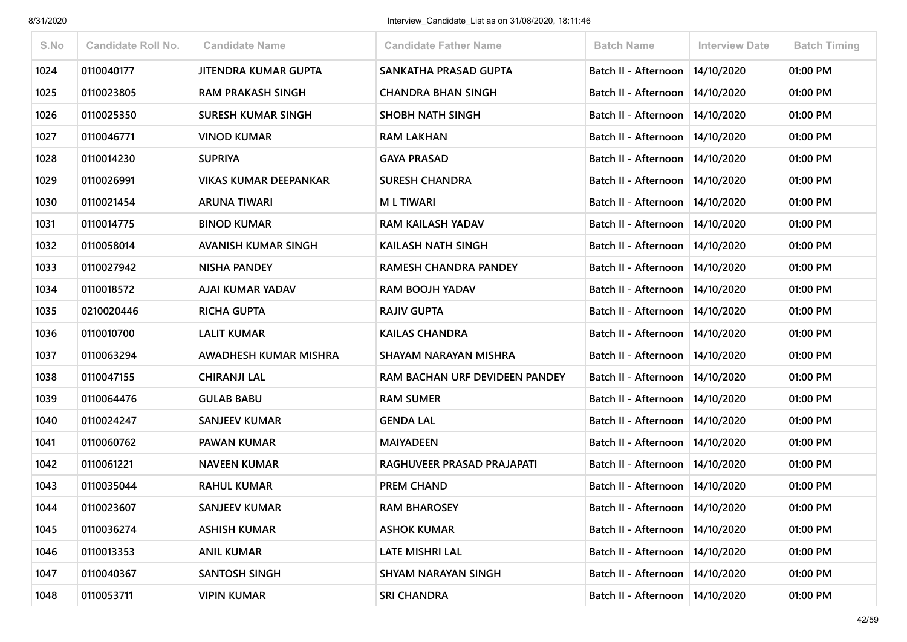| S.No | <b>Candidate Roll No.</b> | <b>Candidate Name</b>        | <b>Candidate Father Name</b>   | <b>Batch Name</b>                 | Interview Date | <b>Batch Timing</b> |
|------|---------------------------|------------------------------|--------------------------------|-----------------------------------|----------------|---------------------|
| 1024 | 0110040177                | <b>JITENDRA KUMAR GUPTA</b>  | SANKATHA PRASAD GUPTA          | Batch II - Afternoon              | 14/10/2020     | 01:00 PM            |
| 1025 | 0110023805                | <b>RAM PRAKASH SINGH</b>     | <b>CHANDRA BHAN SINGH</b>      | Batch II - Afternoon              | 14/10/2020     | 01:00 PM            |
| 1026 | 0110025350                | <b>SURESH KUMAR SINGH</b>    | <b>SHOBH NATH SINGH</b>        | Batch II - Afternoon              | 14/10/2020     | 01:00 PM            |
| 1027 | 0110046771                | <b>VINOD KUMAR</b>           | <b>RAM LAKHAN</b>              | Batch II - Afternoon              | 14/10/2020     | 01:00 PM            |
| 1028 | 0110014230                | <b>SUPRIYA</b>               | <b>GAYA PRASAD</b>             | Batch II - Afternoon   14/10/2020 |                | 01:00 PM            |
| 1029 | 0110026991                | <b>VIKAS KUMAR DEEPANKAR</b> | <b>SURESH CHANDRA</b>          | Batch II - Afternoon              | 14/10/2020     | 01:00 PM            |
| 1030 | 0110021454                | <b>ARUNA TIWARI</b>          | <b>ML TIWARI</b>               | Batch II - Afternoon              | 14/10/2020     | 01:00 PM            |
| 1031 | 0110014775                | <b>BINOD KUMAR</b>           | <b>RAM KAILASH YADAV</b>       | Batch II - Afternoon   14/10/2020 |                | 01:00 PM            |
| 1032 | 0110058014                | <b>AVANISH KUMAR SINGH</b>   | KAILASH NATH SINGH             | Batch II - Afternoon              | 14/10/2020     | 01:00 PM            |
| 1033 | 0110027942                | <b>NISHA PANDEY</b>          | RAMESH CHANDRA PANDEY          | Batch II - Afternoon              | 14/10/2020     | 01:00 PM            |
| 1034 | 0110018572                | AJAI KUMAR YADAV             | <b>RAM BOOJH YADAV</b>         | Batch II - Afternoon   14/10/2020 |                | 01:00 PM            |
| 1035 | 0210020446                | <b>RICHA GUPTA</b>           | <b>RAJIV GUPTA</b>             | Batch II - Afternoon              | 14/10/2020     | 01:00 PM            |
| 1036 | 0110010700                | <b>LALIT KUMAR</b>           | <b>KAILAS CHANDRA</b>          | Batch II - Afternoon              | 14/10/2020     | 01:00 PM            |
| 1037 | 0110063294                | AWADHESH KUMAR MISHRA        | SHAYAM NARAYAN MISHRA          | Batch II - Afternoon              | 14/10/2020     | 01:00 PM            |
| 1038 | 0110047155                | <b>CHIRANJI LAL</b>          | RAM BACHAN URF DEVIDEEN PANDEY | Batch II - Afternoon              | 14/10/2020     | 01:00 PM            |
| 1039 | 0110064476                | <b>GULAB BABU</b>            | <b>RAM SUMER</b>               | Batch II - Afternoon              | 14/10/2020     | 01:00 PM            |
| 1040 | 0110024247                | <b>SANJEEV KUMAR</b>         | <b>GENDA LAL</b>               | Batch II - Afternoon              | 14/10/2020     | 01:00 PM            |
| 1041 | 0110060762                | <b>PAWAN KUMAR</b>           | <b>MAIYADEEN</b>               | Batch II - Afternoon              | 14/10/2020     | 01:00 PM            |
| 1042 | 0110061221                | <b>NAVEEN KUMAR</b>          | RAGHUVEER PRASAD PRAJAPATI     | Batch II - Afternoon   14/10/2020 |                | 01:00 PM            |
| 1043 | 0110035044                | <b>RAHUL KUMAR</b>           | <b>PREM CHAND</b>              | Batch II - Afternoon              | 14/10/2020     | 01:00 PM            |
| 1044 | 0110023607                | <b>SANJEEV KUMAR</b>         | <b>RAM BHAROSEY</b>            | Batch II - Afternoon   14/10/2020 |                | 01:00 PM            |
| 1045 | 0110036274                | <b>ASHISH KUMAR</b>          | <b>ASHOK KUMAR</b>             | Batch II - Afternoon   14/10/2020 |                | 01:00 PM            |
| 1046 | 0110013353                | <b>ANIL KUMAR</b>            | LATE MISHRI LAL                | Batch II - Afternoon              | 14/10/2020     | 01:00 PM            |
| 1047 | 0110040367                | <b>SANTOSH SINGH</b>         | <b>SHYAM NARAYAN SINGH</b>     | Batch II - Afternoon   14/10/2020 |                | 01:00 PM            |
| 1048 | 0110053711                | <b>VIPIN KUMAR</b>           | <b>SRI CHANDRA</b>             | Batch II - Afternoon   14/10/2020 |                | 01:00 PM            |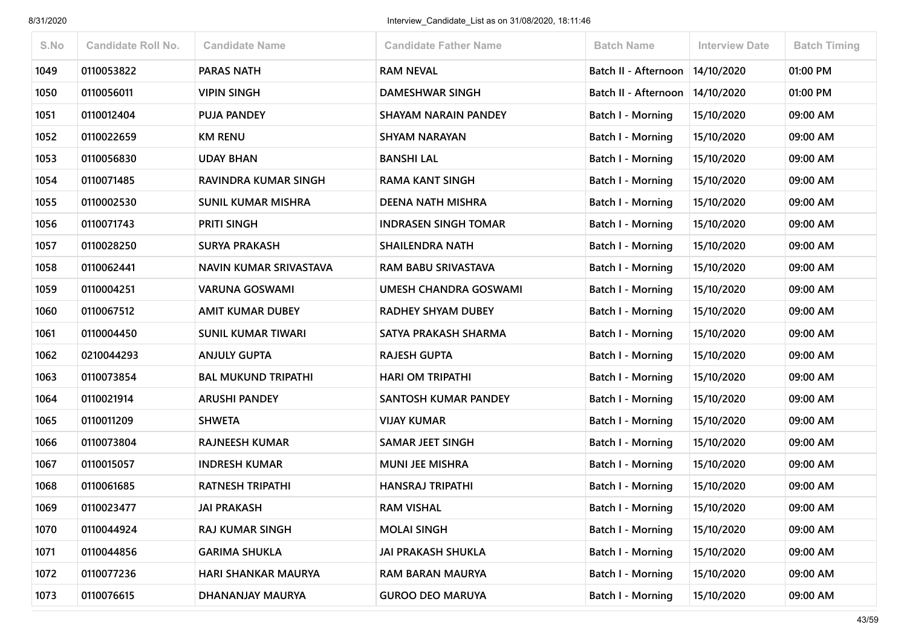| S.No | <b>Candidate Roll No.</b> | <b>Candidate Name</b>      | <b>Candidate Father Name</b> | <b>Batch Name</b>        | <b>Interview Date</b> | <b>Batch Timing</b> |
|------|---------------------------|----------------------------|------------------------------|--------------------------|-----------------------|---------------------|
| 1049 | 0110053822                | <b>PARAS NATH</b>          | <b>RAM NEVAL</b>             | Batch II - Afternoon     | 14/10/2020            | 01:00 PM            |
| 1050 | 0110056011                | VIPIN SINGH                | <b>DAMESHWAR SINGH</b>       | Batch II - Afternoon     | 14/10/2020            | 01:00 PM            |
| 1051 | 0110012404                | <b>PUJA PANDEY</b>         | <b>SHAYAM NARAIN PANDEY</b>  | <b>Batch I - Morning</b> | 15/10/2020            | 09:00 AM            |
| 1052 | 0110022659                | <b>KM RENU</b>             | <b>SHYAM NARAYAN</b>         | Batch I - Morning        | 15/10/2020            | 09:00 AM            |
| 1053 | 0110056830                | <b>UDAY BHAN</b>           | <b>BANSHI LAL</b>            | <b>Batch I - Morning</b> | 15/10/2020            | 09:00 AM            |
| 1054 | 0110071485                | RAVINDRA KUMAR SINGH       | <b>RAMA KANT SINGH</b>       | <b>Batch I - Morning</b> | 15/10/2020            | 09:00 AM            |
| 1055 | 0110002530                | <b>SUNIL KUMAR MISHRA</b>  | DEENA NATH MISHRA            | Batch I - Morning        | 15/10/2020            | 09:00 AM            |
| 1056 | 0110071743                | PRITI SINGH                | <b>INDRASEN SINGH TOMAR</b>  | Batch I - Morning        | 15/10/2020            | 09:00 AM            |
| 1057 | 0110028250                | <b>SURYA PRAKASH</b>       | <b>SHAILENDRA NATH</b>       | Batch I - Morning        | 15/10/2020            | 09:00 AM            |
| 1058 | 0110062441                | NAVIN KUMAR SRIVASTAVA     | <b>RAM BABU SRIVASTAVA</b>   | Batch I - Morning        | 15/10/2020            | 09:00 AM            |
| 1059 | 0110004251                | <b>VARUNA GOSWAMI</b>      | <b>UMESH CHANDRA GOSWAMI</b> | <b>Batch I - Morning</b> | 15/10/2020            | 09:00 AM            |
| 1060 | 0110067512                | <b>AMIT KUMAR DUBEY</b>    | <b>RADHEY SHYAM DUBEY</b>    | <b>Batch I - Morning</b> | 15/10/2020            | 09:00 AM            |
| 1061 | 0110004450                | <b>SUNIL KUMAR TIWARI</b>  | SATYA PRAKASH SHARMA         | Batch I - Morning        | 15/10/2020            | 09:00 AM            |
| 1062 | 0210044293                | <b>ANJULY GUPTA</b>        | <b>RAJESH GUPTA</b>          | Batch I - Morning        | 15/10/2020            | 09:00 AM            |
| 1063 | 0110073854                | <b>BAL MUKUND TRIPATHI</b> | <b>HARI OM TRIPATHI</b>      | Batch I - Morning        | 15/10/2020            | 09:00 AM            |
| 1064 | 0110021914                | <b>ARUSHI PANDEY</b>       | SANTOSH KUMAR PANDEY         | Batch I - Morning        | 15/10/2020            | 09:00 AM            |
| 1065 | 0110011209                | <b>SHWETA</b>              | <b>VIJAY KUMAR</b>           | <b>Batch I - Morning</b> | 15/10/2020            | 09:00 AM            |
| 1066 | 0110073804                | <b>RAJNEESH KUMAR</b>      | <b>SAMAR JEET SINGH</b>      | Batch I - Morning        | 15/10/2020            | 09:00 AM            |
| 1067 | 0110015057                | <b>INDRESH KUMAR</b>       | <b>MUNI JEE MISHRA</b>       | <b>Batch I - Morning</b> | 15/10/2020            | 09:00 AM            |
| 1068 | 0110061685                | <b>RATNESH TRIPATHI</b>    | <b>HANSRAJ TRIPATHI</b>      | Batch I - Morning        | 15/10/2020            | 09:00 AM            |
| 1069 | 0110023477                | <b>JAI PRAKASH</b>         | <b>RAM VISHAL</b>            | Batch I - Morning        | 15/10/2020            | 09:00 AM            |
| 1070 | 0110044924                | RAJ KUMAR SINGH            | <b>MOLAI SINGH</b>           | Batch I - Morning        | 15/10/2020            | 09:00 AM            |
| 1071 | 0110044856                | <b>GARIMA SHUKLA</b>       | <b>JAI PRAKASH SHUKLA</b>    | Batch I - Morning        | 15/10/2020            | 09:00 AM            |
| 1072 | 0110077236                | <b>HARI SHANKAR MAURYA</b> | <b>RAM BARAN MAURYA</b>      | <b>Batch I - Morning</b> | 15/10/2020            | 09:00 AM            |
| 1073 | 0110076615                | DHANANJAY MAURYA           | <b>GUROO DEO MARUYA</b>      | <b>Batch I - Morning</b> | 15/10/2020            | 09:00 AM            |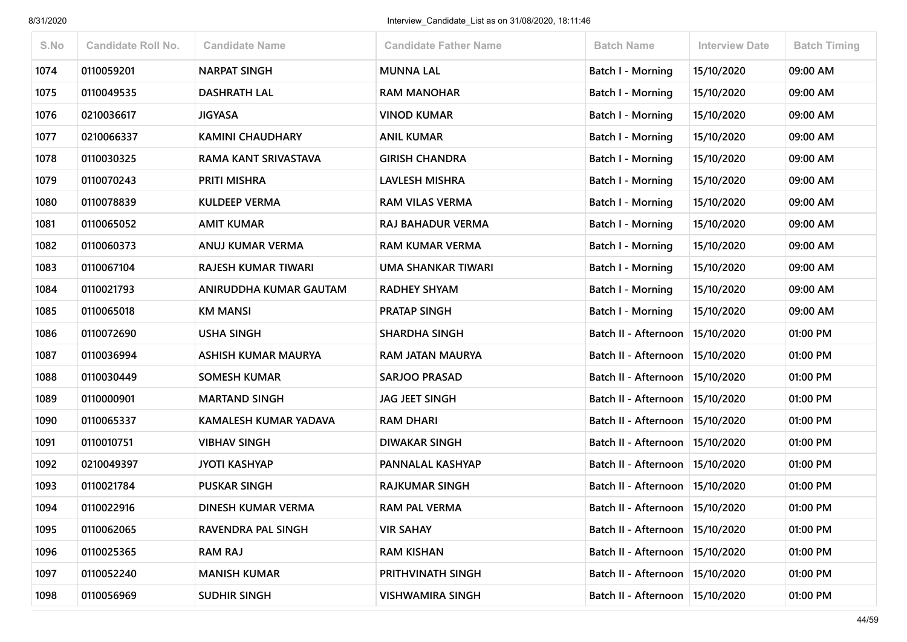| S.No | <b>Candidate Roll No.</b> | <b>Candidate Name</b>        | <b>Candidate Father Name</b> | <b>Batch Name</b>                 | <b>Interview Date</b> | <b>Batch Timing</b> |
|------|---------------------------|------------------------------|------------------------------|-----------------------------------|-----------------------|---------------------|
| 1074 | 0110059201                | <b>NARPAT SINGH</b>          | <b>MUNNA LAL</b>             | Batch I - Morning                 | 15/10/2020            | 09:00 AM            |
| 1075 | 0110049535                | <b>DASHRATH LAL</b>          | <b>RAM MANOHAR</b>           | <b>Batch I - Morning</b>          | 15/10/2020            | 09:00 AM            |
| 1076 | 0210036617                | <b>JIGYASA</b>               | VINOD KUMAR                  | <b>Batch I - Morning</b>          | 15/10/2020            | 09:00 AM            |
| 1077 | 0210066337                | <b>KAMINI CHAUDHARY</b>      | <b>ANIL KUMAR</b>            | <b>Batch I - Morning</b>          | 15/10/2020            | 09:00 AM            |
| 1078 | 0110030325                | RAMA KANT SRIVASTAVA         | <b>GIRISH CHANDRA</b>        | Batch I - Morning                 | 15/10/2020            | 09:00 AM            |
| 1079 | 0110070243                | PRITI MISHRA                 | <b>LAVLESH MISHRA</b>        | Batch I - Morning                 | 15/10/2020            | 09:00 AM            |
| 1080 | 0110078839                | <b>KULDEEP VERMA</b>         | <b>RAM VILAS VERMA</b>       | Batch I - Morning                 | 15/10/2020            | 09:00 AM            |
| 1081 | 0110065052                | <b>AMIT KUMAR</b>            | RAJ BAHADUR VERMA            | <b>Batch I - Morning</b>          | 15/10/2020            | 09:00 AM            |
| 1082 | 0110060373                | ANUJ KUMAR VERMA             | <b>RAM KUMAR VERMA</b>       | Batch I - Morning                 | 15/10/2020            | 09:00 AM            |
| 1083 | 0110067104                | RAJESH KUMAR TIWARI          | UMA SHANKAR TIWARI           | Batch I - Morning                 | 15/10/2020            | 09:00 AM            |
| 1084 | 0110021793                | ANIRUDDHA KUMAR GAUTAM       | <b>RADHEY SHYAM</b>          | Batch I - Morning                 | 15/10/2020            | 09:00 AM            |
| 1085 | 0110065018                | <b>KM MANSI</b>              | <b>PRATAP SINGH</b>          | <b>Batch I - Morning</b>          | 15/10/2020            | 09:00 AM            |
| 1086 | 0110072690                | <b>USHA SINGH</b>            | <b>SHARDHA SINGH</b>         | Batch II - Afternoon              | 15/10/2020            | 01:00 PM            |
| 1087 | 0110036994                | <b>ASHISH KUMAR MAURYA</b>   | RAM JATAN MAURYA             | Batch II - Afternoon   15/10/2020 |                       | 01:00 PM            |
| 1088 | 0110030449                | <b>SOMESH KUMAR</b>          | <b>SARJOO PRASAD</b>         | Batch II - Afternoon              | 15/10/2020            | 01:00 PM            |
| 1089 | 0110000901                | <b>MARTAND SINGH</b>         | <b>JAG JEET SINGH</b>        | Batch II - Afternoon              | 15/10/2020            | 01:00 PM            |
| 1090 | 0110065337                | <b>KAMALESH KUMAR YADAVA</b> | <b>RAM DHARI</b>             | Batch II - Afternoon              | 15/10/2020            | 01:00 PM            |
| 1091 | 0110010751                | <b>VIBHAV SINGH</b>          | <b>DIWAKAR SINGH</b>         | Batch II - Afternoon   15/10/2020 |                       | 01:00 PM            |
| 1092 | 0210049397                | <b>JYOTI KASHYAP</b>         | PANNALAL KASHYAP             | Batch II - Afternoon   15/10/2020 |                       | 01:00 PM            |
| 1093 | 0110021784                | <b>PUSKAR SINGH</b>          | <b>RAJKUMAR SINGH</b>        | Batch II - Afternoon              | 15/10/2020            | 01:00 PM            |
| 1094 | 0110022916                | <b>DINESH KUMAR VERMA</b>    | <b>RAM PAL VERMA</b>         | Batch II - Afternoon   15/10/2020 |                       | 01:00 PM            |
| 1095 | 0110062065                | RAVENDRA PAL SINGH           | <b>VIR SAHAY</b>             | Batch II - Afternoon   15/10/2020 |                       | 01:00 PM            |
| 1096 | 0110025365                | <b>RAM RAJ</b>               | <b>RAM KISHAN</b>            | Batch II - Afternoon              | 15/10/2020            | 01:00 PM            |
| 1097 | 0110052240                | <b>MANISH KUMAR</b>          | PRITHVINATH SINGH            | Batch II - Afternoon              | 15/10/2020            | 01:00 PM            |
| 1098 | 0110056969                | <b>SUDHIR SINGH</b>          | <b>VISHWAMIRA SINGH</b>      | Batch II - Afternoon              | 15/10/2020            | 01:00 PM            |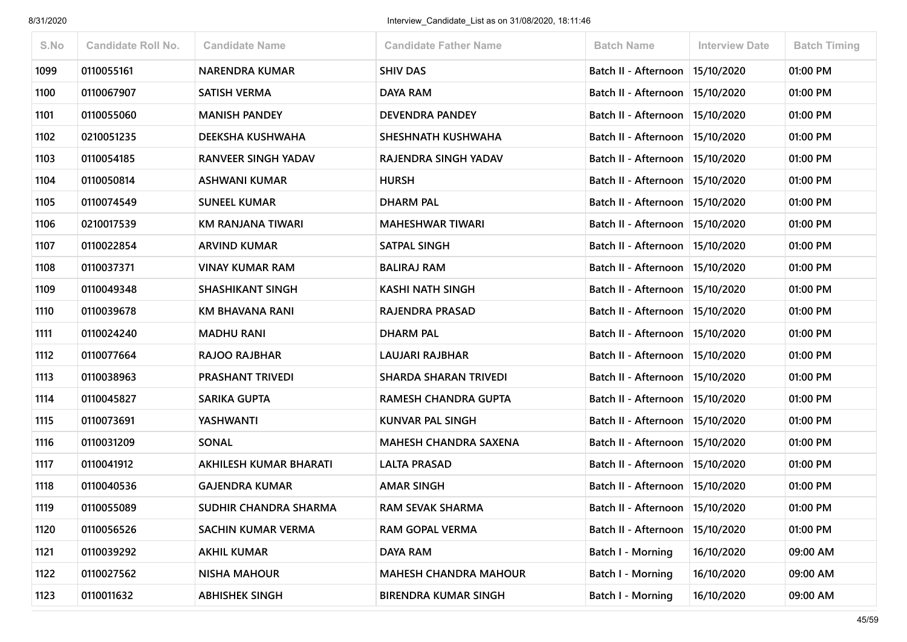| S.No | <b>Candidate Roll No.</b> | <b>Candidate Name</b>   | <b>Candidate Father Name</b> | <b>Batch Name</b>        | <b>Interview Date</b> | <b>Batch Timing</b> |
|------|---------------------------|-------------------------|------------------------------|--------------------------|-----------------------|---------------------|
| 1099 | 0110055161                | <b>NARENDRA KUMAR</b>   | <b>SHIV DAS</b>              | Batch II - Afternoon     | 15/10/2020            | 01:00 PM            |
| 1100 | 0110067907                | <b>SATISH VERMA</b>     | DAYA RAM                     | Batch II - Afternoon     | 15/10/2020            | 01:00 PM            |
| 1101 | 0110055060                | <b>MANISH PANDEY</b>    | <b>DEVENDRA PANDEY</b>       | Batch II - Afternoon     | 15/10/2020            | 01:00 PM            |
| 1102 | 0210051235                | DEEKSHA KUSHWAHA        | SHESHNATH KUSHWAHA           | Batch II - Afternoon     | 15/10/2020            | 01:00 PM            |
| 1103 | 0110054185                | RANVEER SINGH YADAV     | RAJENDRA SINGH YADAV         | Batch II - Afternoon     | 15/10/2020            | 01:00 PM            |
| 1104 | 0110050814                | <b>ASHWANI KUMAR</b>    | <b>HURSH</b>                 | Batch II - Afternoon     | 15/10/2020            | 01:00 PM            |
| 1105 | 0110074549                | <b>SUNEEL KUMAR</b>     | <b>DHARM PAL</b>             | Batch II - Afternoon     | 15/10/2020            | 01:00 PM            |
| 1106 | 0210017539                | KM RANJANA TIWARI       | <b>MAHESHWAR TIWARI</b>      | Batch II - Afternoon     | 15/10/2020            | 01:00 PM            |
| 1107 | 0110022854                | <b>ARVIND KUMAR</b>     | <b>SATPAL SINGH</b>          | Batch II - Afternoon     | 15/10/2020            | 01:00 PM            |
| 1108 | 0110037371                | <b>VINAY KUMAR RAM</b>  | <b>BALIRAJ RAM</b>           | Batch II - Afternoon     | 15/10/2020            | 01:00 PM            |
| 1109 | 0110049348                | <b>SHASHIKANT SINGH</b> | <b>KASHI NATH SINGH</b>      | Batch II - Afternoon     | 15/10/2020            | 01:00 PM            |
| 1110 | 0110039678                | KM BHAVANA RANI         | <b>RAJENDRA PRASAD</b>       | Batch II - Afternoon     | 15/10/2020            | 01:00 PM            |
| 1111 | 0110024240                | <b>MADHU RANI</b>       | <b>DHARM PAL</b>             | Batch II - Afternoon     | 15/10/2020            | 01:00 PM            |
| 1112 | 0110077664                | <b>RAJOO RAJBHAR</b>    | <b>LAUJARI RAJBHAR</b>       | Batch II - Afternoon     | 15/10/2020            | 01:00 PM            |
| 1113 | 0110038963                | <b>PRASHANT TRIVEDI</b> | <b>SHARDA SHARAN TRIVEDI</b> | Batch II - Afternoon     | 15/10/2020            | 01:00 PM            |
| 1114 | 0110045827                | SARIKA GUPTA            | RAMESH CHANDRA GUPTA         | Batch II - Afternoon     | 15/10/2020            | 01:00 PM            |
| 1115 | 0110073691                | YASHWANTI               | <b>KUNVAR PAL SINGH</b>      | Batch II - Afternoon     | 15/10/2020            | 01:00 PM            |
| 1116 | 0110031209                | <b>SONAL</b>            | <b>MAHESH CHANDRA SAXENA</b> | Batch II - Afternoon     | 15/10/2020            | 01:00 PM            |
| 1117 | 0110041912                | AKHILESH KUMAR BHARATI  | LALTA PRASAD                 | Batch II - Afternoon     | 15/10/2020            | 01:00 PM            |
| 1118 | 0110040536                | <b>GAJENDRA KUMAR</b>   | <b>AMAR SINGH</b>            | Batch II - Afternoon     | 15/10/2020            | 01:00 PM            |
| 1119 | 0110055089                | SUDHIR CHANDRA SHARMA   | <b>RAM SEVAK SHARMA</b>      | Batch II - Afternoon     | 15/10/2020            | 01:00 PM            |
| 1120 | 0110056526                | SACHIN KUMAR VERMA      | <b>RAM GOPAL VERMA</b>       | Batch II - Afternoon     | 15/10/2020            | 01:00 PM            |
| 1121 | 0110039292                | <b>AKHIL KUMAR</b>      | DAYA RAM                     | Batch I - Morning        | 16/10/2020            | 09:00 AM            |
| 1122 | 0110027562                | <b>NISHA MAHOUR</b>     | <b>MAHESH CHANDRA MAHOUR</b> | Batch I - Morning        | 16/10/2020            | 09:00 AM            |
| 1123 | 0110011632                | <b>ABHISHEK SINGH</b>   | <b>BIRENDRA KUMAR SINGH</b>  | <b>Batch I - Morning</b> | 16/10/2020            | 09:00 AM            |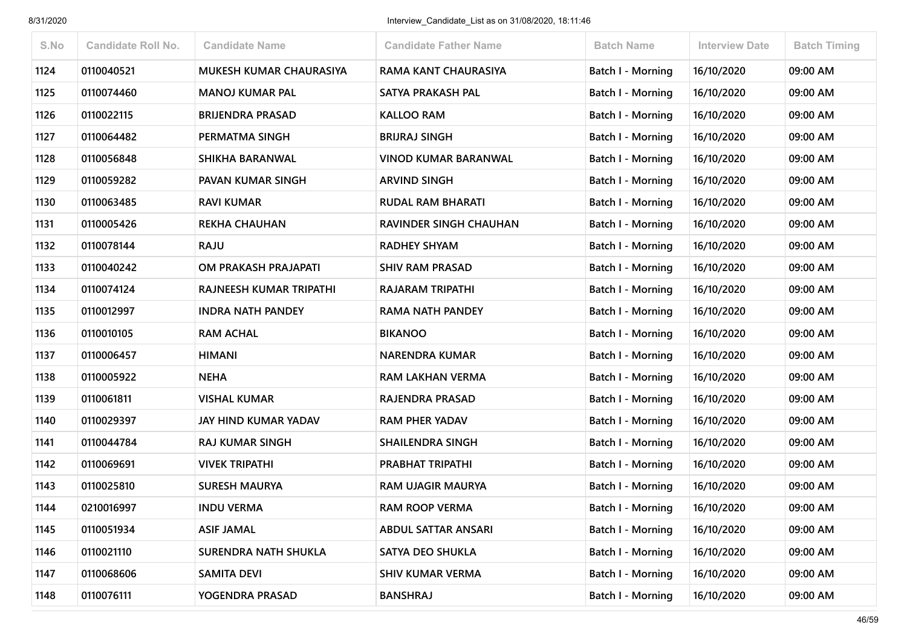| S.No | <b>Candidate Roll No.</b> | <b>Candidate Name</b>       | <b>Candidate Father Name</b>  | <b>Batch Name</b>        | <b>Interview Date</b> | <b>Batch Timing</b> |
|------|---------------------------|-----------------------------|-------------------------------|--------------------------|-----------------------|---------------------|
| 1124 | 0110040521                | MUKESH KUMAR CHAURASIYA     | RAMA KANT CHAURASIYA          | <b>Batch I - Morning</b> | 16/10/2020            | 09:00 AM            |
| 1125 | 0110074460                | <b>MANOJ KUMAR PAL</b>      | SATYA PRAKASH PAL             | Batch I - Morning        | 16/10/2020            | 09:00 AM            |
| 1126 | 0110022115                | <b>BRIJENDRA PRASAD</b>     | <b>KALLOO RAM</b>             | <b>Batch I - Morning</b> | 16/10/2020            | 09:00 AM            |
| 1127 | 0110064482                | PERMATMA SINGH              | <b>BRIJRAJ SINGH</b>          | Batch I - Morning        | 16/10/2020            | 09:00 AM            |
| 1128 | 0110056848                | SHIKHA BARANWAL             | <b>VINOD KUMAR BARANWAL</b>   | <b>Batch I - Morning</b> | 16/10/2020            | 09:00 AM            |
| 1129 | 0110059282                | PAVAN KUMAR SINGH           | <b>ARVIND SINGH</b>           | <b>Batch I - Morning</b> | 16/10/2020            | 09:00 AM            |
| 1130 | 0110063485                | <b>RAVI KUMAR</b>           | <b>RUDAL RAM BHARATI</b>      | Batch I - Morning        | 16/10/2020            | 09:00 AM            |
| 1131 | 0110005426                | <b>REKHA CHAUHAN</b>        | <b>RAVINDER SINGH CHAUHAN</b> | Batch I - Morning        | 16/10/2020            | 09:00 AM            |
| 1132 | 0110078144                | <b>RAJU</b>                 | <b>RADHEY SHYAM</b>           | <b>Batch I - Morning</b> | 16/10/2020            | 09:00 AM            |
| 1133 | 0110040242                | OM PRAKASH PRAJAPATI        | <b>SHIV RAM PRASAD</b>        | Batch I - Morning        | 16/10/2020            | 09:00 AM            |
| 1134 | 0110074124                | RAJNEESH KUMAR TRIPATHI     | <b>RAJARAM TRIPATHI</b>       | <b>Batch I - Morning</b> | 16/10/2020            | 09:00 AM            |
| 1135 | 0110012997                | <b>INDRA NATH PANDEY</b>    | <b>RAMA NATH PANDEY</b>       | <b>Batch I - Morning</b> | 16/10/2020            | 09:00 AM            |
| 1136 | 0110010105                | <b>RAM ACHAL</b>            | <b>BIKANOO</b>                | Batch I - Morning        | 16/10/2020            | 09:00 AM            |
| 1137 | 0110006457                | <b>HIMANI</b>               | <b>NARENDRA KUMAR</b>         | Batch I - Morning        | 16/10/2020            | 09:00 AM            |
| 1138 | 0110005922                | <b>NEHA</b>                 | <b>RAM LAKHAN VERMA</b>       | <b>Batch I - Morning</b> | 16/10/2020            | 09:00 AM            |
| 1139 | 0110061811                | <b>VISHAL KUMAR</b>         | RAJENDRA PRASAD               | <b>Batch I - Morning</b> | 16/10/2020            | 09:00 AM            |
| 1140 | 0110029397                | JAY HIND KUMAR YADAV        | <b>RAM PHER YADAV</b>         | <b>Batch I - Morning</b> | 16/10/2020            | 09:00 AM            |
| 1141 | 0110044784                | <b>RAJ KUMAR SINGH</b>      | <b>SHAILENDRA SINGH</b>       | Batch I - Morning        | 16/10/2020            | 09:00 AM            |
| 1142 | 0110069691                | <b>VIVEK TRIPATHI</b>       | PRABHAT TRIPATHI              | <b>Batch I - Morning</b> | 16/10/2020            | 09:00 AM            |
| 1143 | 0110025810                | <b>SURESH MAURYA</b>        | <b>RAM UJAGIR MAURYA</b>      | Batch I - Morning        | 16/10/2020            | 09:00 AM            |
| 1144 | 0210016997                | <b>INDU VERMA</b>           | <b>RAM ROOP VERMA</b>         | Batch I - Morning        | 16/10/2020            | 09:00 AM            |
| 1145 | 0110051934                | <b>ASIF JAMAL</b>           | <b>ABDUL SATTAR ANSARI</b>    | Batch I - Morning        | 16/10/2020            | 09:00 AM            |
| 1146 | 0110021110                | <b>SURENDRA NATH SHUKLA</b> | SATYA DEO SHUKLA              | Batch I - Morning        | 16/10/2020            | 09:00 AM            |
| 1147 | 0110068606                | <b>SAMITA DEVI</b>          | <b>SHIV KUMAR VERMA</b>       | Batch I - Morning        | 16/10/2020            | 09:00 AM            |
| 1148 | 0110076111                | YOGENDRA PRASAD             | <b>BANSHRAJ</b>               | Batch I - Morning        | 16/10/2020            | 09:00 AM            |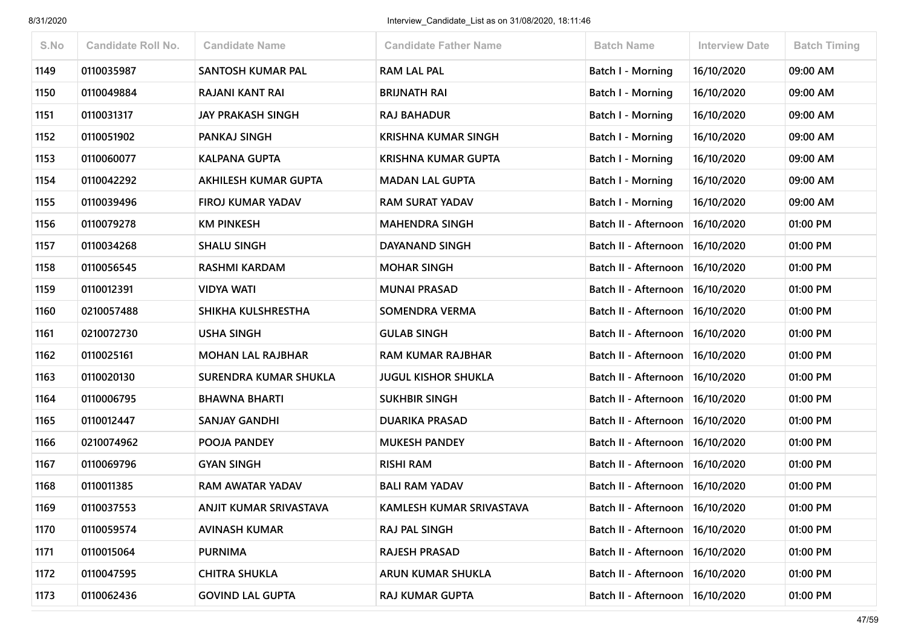| S.No | <b>Candidate Roll No.</b> | <b>Candidate Name</b>       | <b>Candidate Father Name</b> | <b>Batch Name</b>                 | <b>Interview Date</b> | <b>Batch Timing</b> |
|------|---------------------------|-----------------------------|------------------------------|-----------------------------------|-----------------------|---------------------|
| 1149 | 0110035987                | SANTOSH KUMAR PAL           | <b>RAM LAL PAL</b>           | <b>Batch I - Morning</b>          | 16/10/2020            | 09:00 AM            |
| 1150 | 0110049884                | <b>RAJANI KANT RAI</b>      | <b>BRIJNATH RAI</b>          | <b>Batch I - Morning</b>          | 16/10/2020            | 09:00 AM            |
| 1151 | 0110031317                | <b>JAY PRAKASH SINGH</b>    | <b>RAJ BAHADUR</b>           | Batch I - Morning                 | 16/10/2020            | 09:00 AM            |
| 1152 | 0110051902                | <b>PANKAJ SINGH</b>         | <b>KRISHNA KUMAR SINGH</b>   | Batch I - Morning                 | 16/10/2020            | 09:00 AM            |
| 1153 | 0110060077                | <b>KALPANA GUPTA</b>        | <b>KRISHNA KUMAR GUPTA</b>   | Batch I - Morning                 | 16/10/2020            | 09:00 AM            |
| 1154 | 0110042292                | <b>AKHILESH KUMAR GUPTA</b> | <b>MADAN LAL GUPTA</b>       | <b>Batch I - Morning</b>          | 16/10/2020            | 09:00 AM            |
| 1155 | 0110039496                | <b>FIROJ KUMAR YADAV</b>    | <b>RAM SURAT YADAV</b>       | <b>Batch I - Morning</b>          | 16/10/2020            | 09:00 AM            |
| 1156 | 0110079278                | <b>KM PINKESH</b>           | <b>MAHENDRA SINGH</b>        | Batch II - Afternoon              | 16/10/2020            | 01:00 PM            |
| 1157 | 0110034268                | <b>SHALU SINGH</b>          | <b>DAYANAND SINGH</b>        | Batch II - Afternoon              | 16/10/2020            | 01:00 PM            |
| 1158 | 0110056545                | <b>RASHMI KARDAM</b>        | <b>MOHAR SINGH</b>           | Batch II - Afternoon              | 16/10/2020            | 01:00 PM            |
| 1159 | 0110012391                | <b>VIDYA WATI</b>           | <b>MUNAI PRASAD</b>          | Batch II - Afternoon              | 16/10/2020            | 01:00 PM            |
| 1160 | 0210057488                | SHIKHA KULSHRESTHA          | SOMENDRA VERMA               | Batch II - Afternoon              | 16/10/2020            | 01:00 PM            |
| 1161 | 0210072730                | <b>USHA SINGH</b>           | <b>GULAB SINGH</b>           | Batch II - Afternoon              | 16/10/2020            | 01:00 PM            |
| 1162 | 0110025161                | <b>MOHAN LAL RAJBHAR</b>    | <b>RAM KUMAR RAJBHAR</b>     | Batch II - Afternoon              | 16/10/2020            | 01:00 PM            |
| 1163 | 0110020130                | SURENDRA KUMAR SHUKLA       | <b>JUGUL KISHOR SHUKLA</b>   | Batch II - Afternoon              | 16/10/2020            | 01:00 PM            |
| 1164 | 0110006795                | <b>BHAWNA BHARTI</b>        | <b>SUKHBIR SINGH</b>         | Batch II - Afternoon              | 16/10/2020            | 01:00 PM            |
| 1165 | 0110012447                | <b>SANJAY GANDHI</b>        | <b>DUARIKA PRASAD</b>        | Batch II - Afternoon              | 16/10/2020            | 01:00 PM            |
| 1166 | 0210074962                | POOJA PANDEY                | <b>MUKESH PANDEY</b>         | Batch II - Afternoon              | 16/10/2020            | 01:00 PM            |
| 1167 | 0110069796                | <b>GYAN SINGH</b>           | <b>RISHI RAM</b>             | Batch II - Afternoon              | 16/10/2020            | 01:00 PM            |
| 1168 | 0110011385                | <b>RAM AWATAR YADAV</b>     | <b>BALI RAM YADAV</b>        | Batch II - Afternoon              | 16/10/2020            | 01:00 PM            |
| 1169 | 0110037553                | ANJIT KUMAR SRIVASTAVA      | KAMLESH KUMAR SRIVASTAVA     | Batch II - Afternoon   16/10/2020 |                       | 01:00 PM            |
| 1170 | 0110059574                | <b>AVINASH KUMAR</b>        | RAJ PAL SINGH                | Batch II - Afternoon   16/10/2020 |                       | 01:00 PM            |
| 1171 | 0110015064                | <b>PURNIMA</b>              | <b>RAJESH PRASAD</b>         | Batch II - Afternoon              | 16/10/2020            | 01:00 PM            |
| 1172 | 0110047595                | <b>CHITRA SHUKLA</b>        | ARUN KUMAR SHUKLA            | Batch II - Afternoon              | 16/10/2020            | 01:00 PM            |
| 1173 | 0110062436                | <b>GOVIND LAL GUPTA</b>     | <b>RAJ KUMAR GUPTA</b>       | Batch II - Afternoon   16/10/2020 |                       | 01:00 PM            |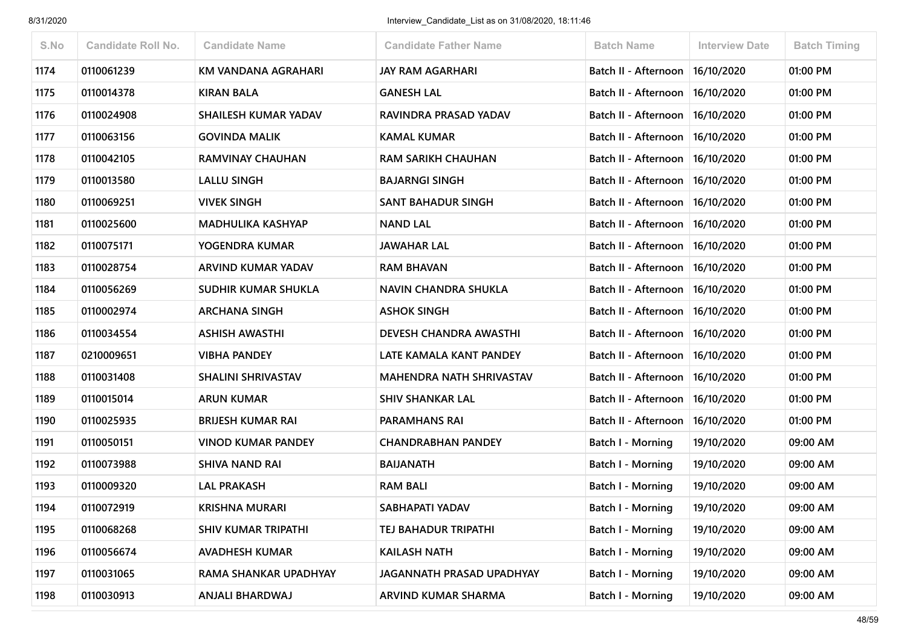| S.No | <b>Candidate Roll No.</b> | <b>Candidate Name</b>      | <b>Candidate Father Name</b>    | <b>Batch Name</b>                 | <b>Interview Date</b> | <b>Batch Timing</b> |
|------|---------------------------|----------------------------|---------------------------------|-----------------------------------|-----------------------|---------------------|
| 1174 | 0110061239                | KM VANDANA AGRAHARI        | <b>JAY RAM AGARHARI</b>         | Batch II - Afternoon              | 16/10/2020            | 01:00 PM            |
| 1175 | 0110014378                | <b>KIRAN BALA</b>          | <b>GANESH LAL</b>               | Batch II - Afternoon              | 16/10/2020            | 01:00 PM            |
| 1176 | 0110024908                | SHAILESH KUMAR YADAV       | RAVINDRA PRASAD YADAV           | Batch II - Afternoon              | 16/10/2020            | 01:00 PM            |
| 1177 | 0110063156                | <b>GOVINDA MALIK</b>       | <b>KAMAL KUMAR</b>              | Batch II - Afternoon              | 16/10/2020            | 01:00 PM            |
| 1178 | 0110042105                | RAMVINAY CHAUHAN           | <b>RAM SARIKH CHAUHAN</b>       | Batch II - Afternoon              | 16/10/2020            | 01:00 PM            |
| 1179 | 0110013580                | <b>LALLU SINGH</b>         | <b>BAJARNGI SINGH</b>           | Batch II - Afternoon   16/10/2020 |                       | 01:00 PM            |
| 1180 | 0110069251                | <b>VIVEK SINGH</b>         | <b>SANT BAHADUR SINGH</b>       | Batch II - Afternoon              | 16/10/2020            | 01:00 PM            |
| 1181 | 0110025600                | <b>MADHULIKA KASHYAP</b>   | <b>NAND LAL</b>                 | Batch II - Afternoon              | 16/10/2020            | 01:00 PM            |
| 1182 | 0110075171                | YOGENDRA KUMAR             | <b>JAWAHAR LAL</b>              | Batch II - Afternoon   16/10/2020 |                       | 01:00 PM            |
| 1183 | 0110028754                | ARVIND KUMAR YADAV         | <b>RAM BHAVAN</b>               | Batch II - Afternoon              | 16/10/2020            | 01:00 PM            |
| 1184 | 0110056269                | SUDHIR KUMAR SHUKLA        | <b>NAVIN CHANDRA SHUKLA</b>     | Batch II - Afternoon              | 16/10/2020            | 01:00 PM            |
| 1185 | 0110002974                | <b>ARCHANA SINGH</b>       | <b>ASHOK SINGH</b>              | Batch II - Afternoon              | 16/10/2020            | 01:00 PM            |
| 1186 | 0110034554                | <b>ASHISH AWASTHI</b>      | DEVESH CHANDRA AWASTHI          | Batch II - Afternoon              | 16/10/2020            | 01:00 PM            |
| 1187 | 0210009651                | <b>VIBHA PANDEY</b>        | LATE KAMALA KANT PANDEY         | Batch II - Afternoon   16/10/2020 |                       | 01:00 PM            |
| 1188 | 0110031408                | <b>SHALINI SHRIVASTAV</b>  | <b>MAHENDRA NATH SHRIVASTAV</b> | Batch II - Afternoon              | 16/10/2020            | 01:00 PM            |
| 1189 | 0110015014                | <b>ARUN KUMAR</b>          | <b>SHIV SHANKAR LAL</b>         | Batch II - Afternoon              | 16/10/2020            | 01:00 PM            |
| 1190 | 0110025935                | <b>BRIJESH KUMAR RAI</b>   | <b>PARAMHANS RAI</b>            | Batch II - Afternoon              | 16/10/2020            | 01:00 PM            |
| 1191 | 0110050151                | <b>VINOD KUMAR PANDEY</b>  | <b>CHANDRABHAN PANDEY</b>       | Batch I - Morning                 | 19/10/2020            | 09:00 AM            |
| 1192 | 0110073988                | <b>SHIVA NAND RAI</b>      | <b>BAIJANATH</b>                | Batch I - Morning                 | 19/10/2020            | 09:00 AM            |
| 1193 | 0110009320                | <b>LAL PRAKASH</b>         | <b>RAM BALI</b>                 | <b>Batch I - Morning</b>          | 19/10/2020            | 09:00 AM            |
| 1194 | 0110072919                | <b>KRISHNA MURARI</b>      | SABHAPATI YADAV                 | Batch I - Morning                 | 19/10/2020            | 09:00 AM            |
| 1195 | 0110068268                | <b>SHIV KUMAR TRIPATHI</b> | TEJ BAHADUR TRIPATHI            | Batch I - Morning                 | 19/10/2020            | 09:00 AM            |
| 1196 | 0110056674                | <b>AVADHESH KUMAR</b>      | <b>KAILASH NATH</b>             | Batch I - Morning                 | 19/10/2020            | 09:00 AM            |
| 1197 | 0110031065                | RAMA SHANKAR UPADHYAY      | JAGANNATH PRASAD UPADHYAY       | <b>Batch I - Morning</b>          | 19/10/2020            | 09:00 AM            |
| 1198 | 0110030913                | ANJALI BHARDWAJ            | ARVIND KUMAR SHARMA             | Batch I - Morning                 | 19/10/2020            | 09:00 AM            |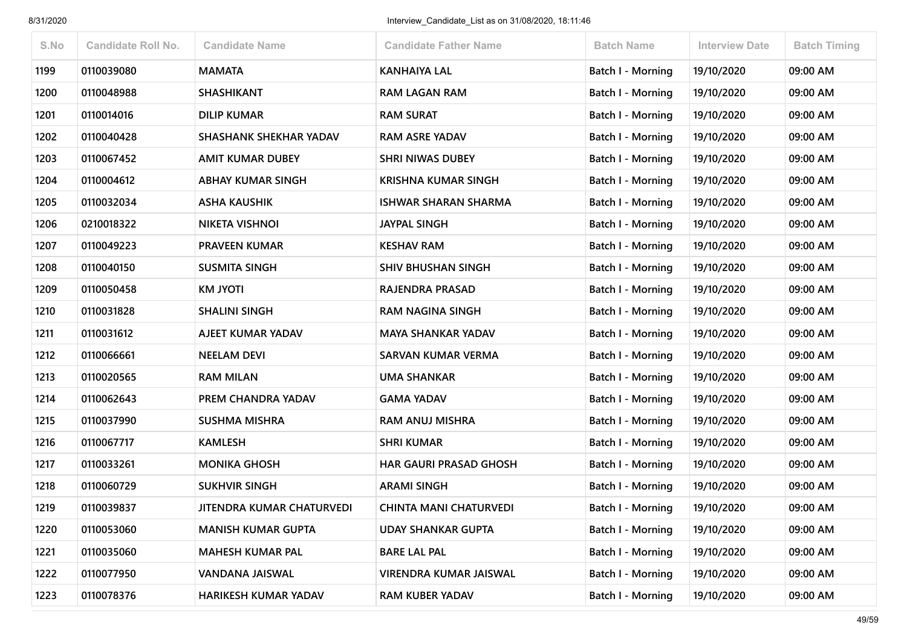| S.No | <b>Candidate Roll No.</b> | <b>Candidate Name</b>            | <b>Candidate Father Name</b>  | <b>Batch Name</b>        | <b>Interview Date</b> | <b>Batch Timing</b> |
|------|---------------------------|----------------------------------|-------------------------------|--------------------------|-----------------------|---------------------|
| 1199 | 0110039080                | <b>MAMATA</b>                    | <b>KANHAIYA LAL</b>           | <b>Batch I - Morning</b> | 19/10/2020            | 09:00 AM            |
| 1200 | 0110048988                | <b>SHASHIKANT</b>                | <b>RAM LAGAN RAM</b>          | <b>Batch I - Morning</b> | 19/10/2020            | 09:00 AM            |
| 1201 | 0110014016                | DILIP KUMAR                      | <b>RAM SURAT</b>              | Batch I - Morning        | 19/10/2020            | 09:00 AM            |
| 1202 | 0110040428                | <b>SHASHANK SHEKHAR YADAV</b>    | <b>RAM ASRE YADAV</b>         | <b>Batch I - Morning</b> | 19/10/2020            | 09:00 AM            |
| 1203 | 0110067452                | <b>AMIT KUMAR DUBEY</b>          | <b>SHRI NIWAS DUBEY</b>       | Batch I - Morning        | 19/10/2020            | 09:00 AM            |
| 1204 | 0110004612                | <b>ABHAY KUMAR SINGH</b>         | <b>KRISHNA KUMAR SINGH</b>    | <b>Batch I - Morning</b> | 19/10/2020            | 09:00 AM            |
| 1205 | 0110032034                | <b>ASHA KAUSHIK</b>              | <b>ISHWAR SHARAN SHARMA</b>   | Batch I - Morning        | 19/10/2020            | 09:00 AM            |
| 1206 | 0210018322                | <b>NIKETA VISHNOI</b>            | <b>JAYPAL SINGH</b>           | <b>Batch I - Morning</b> | 19/10/2020            | 09:00 AM            |
| 1207 | 0110049223                | <b>PRAVEEN KUMAR</b>             | <b>KESHAV RAM</b>             | <b>Batch I - Morning</b> | 19/10/2020            | 09:00 AM            |
| 1208 | 0110040150                | <b>SUSMITA SINGH</b>             | <b>SHIV BHUSHAN SINGH</b>     | Batch I - Morning        | 19/10/2020            | 09:00 AM            |
| 1209 | 0110050458                | <b>KM JYOTI</b>                  | RAJENDRA PRASAD               | Batch I - Morning        | 19/10/2020            | 09:00 AM            |
| 1210 | 0110031828                | <b>SHALINI SINGH</b>             | <b>RAM NAGINA SINGH</b>       | <b>Batch I - Morning</b> | 19/10/2020            | 09:00 AM            |
| 1211 | 0110031612                | AJEET KUMAR YADAV                | <b>MAYA SHANKAR YADAV</b>     | <b>Batch I - Morning</b> | 19/10/2020            | 09:00 AM            |
| 1212 | 0110066661                | <b>NEELAM DEVI</b>               | SARVAN KUMAR VERMA            | <b>Batch I - Morning</b> | 19/10/2020            | 09:00 AM            |
| 1213 | 0110020565                | <b>RAM MILAN</b>                 | <b>UMA SHANKAR</b>            | <b>Batch I - Morning</b> | 19/10/2020            | 09:00 AM            |
| 1214 | 0110062643                | PREM CHANDRA YADAV               | <b>GAMA YADAV</b>             | <b>Batch I - Morning</b> | 19/10/2020            | 09:00 AM            |
| 1215 | 0110037990                | <b>SUSHMA MISHRA</b>             | <b>RAM ANUJ MISHRA</b>        | Batch I - Morning        | 19/10/2020            | 09:00 AM            |
| 1216 | 0110067717                | <b>KAMLESH</b>                   | <b>SHRI KUMAR</b>             | <b>Batch I - Morning</b> | 19/10/2020            | 09:00 AM            |
| 1217 | 0110033261                | <b>MONIKA GHOSH</b>              | <b>HAR GAURI PRASAD GHOSH</b> | <b>Batch I - Morning</b> | 19/10/2020            | 09:00 AM            |
| 1218 | 0110060729                | <b>SUKHVIR SINGH</b>             | <b>ARAMI SINGH</b>            | <b>Batch I - Morning</b> | 19/10/2020            | 09:00 AM            |
| 1219 | 0110039837                | <b>JITENDRA KUMAR CHATURVEDI</b> | <b>CHINTA MANI CHATURVEDI</b> | Batch I - Morning        | 19/10/2020            | 09:00 AM            |
| 1220 | 0110053060                | <b>MANISH KUMAR GUPTA</b>        | <b>UDAY SHANKAR GUPTA</b>     | <b>Batch I - Morning</b> | 19/10/2020            | 09:00 AM            |
| 1221 | 0110035060                | <b>MAHESH KUMAR PAL</b>          | <b>BARE LAL PAL</b>           | Batch I - Morning        | 19/10/2020            | 09:00 AM            |
| 1222 | 0110077950                | VANDANA JAISWAL                  | <b>VIRENDRA KUMAR JAISWAL</b> | Batch I - Morning        | 19/10/2020            | 09:00 AM            |
| 1223 | 0110078376                | HARIKESH KUMAR YADAV             | <b>RAM KUBER YADAV</b>        | <b>Batch I - Morning</b> | 19/10/2020            | 09:00 AM            |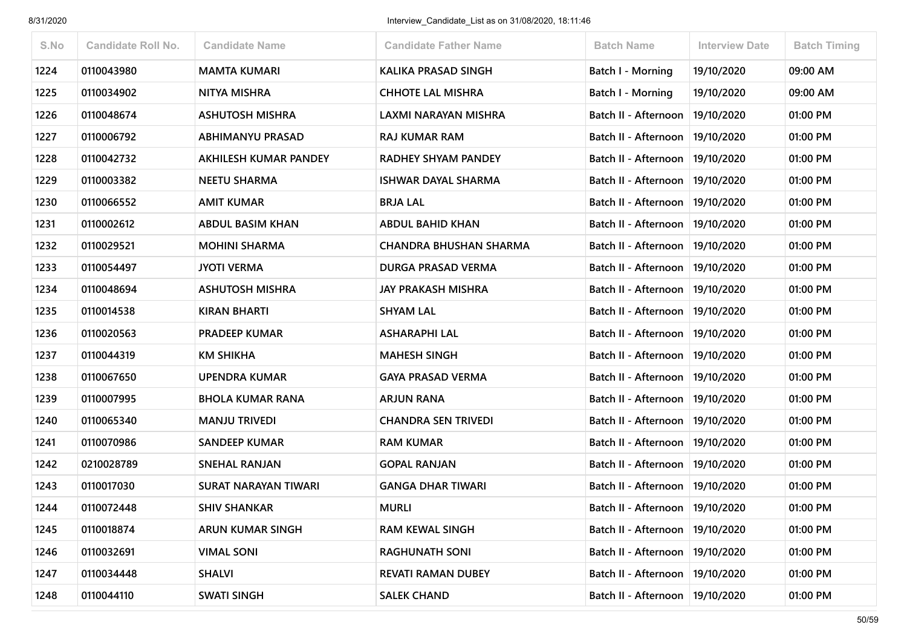| S.No | <b>Candidate Roll No.</b> | <b>Candidate Name</b>       | <b>Candidate Father Name</b>  | <b>Batch Name</b>                 | <b>Interview Date</b> | <b>Batch Timing</b> |
|------|---------------------------|-----------------------------|-------------------------------|-----------------------------------|-----------------------|---------------------|
| 1224 | 0110043980                | <b>MAMTA KUMARI</b>         | <b>KALIKA PRASAD SINGH</b>    | Batch I - Morning                 | 19/10/2020            | 09:00 AM            |
| 1225 | 0110034902                | NITYA MISHRA                | <b>CHHOTE LAL MISHRA</b>      | Batch I - Morning                 | 19/10/2020            | 09:00 AM            |
| 1226 | 0110048674                | <b>ASHUTOSH MISHRA</b>      | LAXMI NARAYAN MISHRA          | Batch II - Afternoon              | 19/10/2020            | 01:00 PM            |
| 1227 | 0110006792                | <b>ABHIMANYU PRASAD</b>     | <b>RAJ KUMAR RAM</b>          | Batch II - Afternoon              | 19/10/2020            | 01:00 PM            |
| 1228 | 0110042732                | AKHILESH KUMAR PANDEY       | <b>RADHEY SHYAM PANDEY</b>    | Batch II - Afternoon              | 19/10/2020            | 01:00 PM            |
| 1229 | 0110003382                | <b>NEETU SHARMA</b>         | <b>ISHWAR DAYAL SHARMA</b>    | Batch II - Afternoon              | 19/10/2020            | 01:00 PM            |
| 1230 | 0110066552                | <b>AMIT KUMAR</b>           | <b>BRJA LAL</b>               | Batch II - Afternoon              | 19/10/2020            | 01:00 PM            |
| 1231 | 0110002612                | <b>ABDUL BASIM KHAN</b>     | <b>ABDUL BAHID KHAN</b>       | Batch II - Afternoon              | 19/10/2020            | 01:00 PM            |
| 1232 | 0110029521                | <b>MOHINI SHARMA</b>        | <b>CHANDRA BHUSHAN SHARMA</b> | Batch II - Afternoon              | 19/10/2020            | 01:00 PM            |
| 1233 | 0110054497                | <b>JYOTI VERMA</b>          | <b>DURGA PRASAD VERMA</b>     | Batch II - Afternoon              | 19/10/2020            | 01:00 PM            |
| 1234 | 0110048694                | <b>ASHUTOSH MISHRA</b>      | <b>JAY PRAKASH MISHRA</b>     | Batch II - Afternoon              | 19/10/2020            | 01:00 PM            |
| 1235 | 0110014538                | <b>KIRAN BHARTI</b>         | <b>SHYAM LAL</b>              | Batch II - Afternoon              | 19/10/2020            | 01:00 PM            |
| 1236 | 0110020563                | <b>PRADEEP KUMAR</b>        | <b>ASHARAPHI LAL</b>          | Batch II - Afternoon              | 19/10/2020            | 01:00 PM            |
| 1237 | 0110044319                | <b>KM SHIKHA</b>            | <b>MAHESH SINGH</b>           | Batch II - Afternoon   19/10/2020 |                       | 01:00 PM            |
| 1238 | 0110067650                | <b>UPENDRA KUMAR</b>        | <b>GAYA PRASAD VERMA</b>      | Batch II - Afternoon              | 19/10/2020            | 01:00 PM            |
| 1239 | 0110007995                | <b>BHOLA KUMAR RANA</b>     | <b>ARJUN RANA</b>             | Batch II - Afternoon              | 19/10/2020            | 01:00 PM            |
| 1240 | 0110065340                | <b>MANJU TRIVEDI</b>        | <b>CHANDRA SEN TRIVEDI</b>    | Batch II - Afternoon              | 19/10/2020            | 01:00 PM            |
| 1241 | 0110070986                | <b>SANDEEP KUMAR</b>        | <b>RAM KUMAR</b>              | Batch II - Afternoon   19/10/2020 |                       | 01:00 PM            |
| 1242 | 0210028789                | <b>SNEHAL RANJAN</b>        | <b>GOPAL RANJAN</b>           | Batch II - Afternoon              | 19/10/2020            | 01:00 PM            |
| 1243 | 0110017030                | <b>SURAT NARAYAN TIWARI</b> | <b>GANGA DHAR TIWARI</b>      | Batch II - Afternoon   19/10/2020 |                       | 01:00 PM            |
| 1244 | 0110072448                | <b>SHIV SHANKAR</b>         | <b>MURLI</b>                  | Batch II - Afternoon   19/10/2020 |                       | 01:00 PM            |
| 1245 | 0110018874                | ARUN KUMAR SINGH            | <b>RAM KEWAL SINGH</b>        | Batch II - Afternoon   19/10/2020 |                       | 01:00 PM            |
| 1246 | 0110032691                | <b>VIMAL SONI</b>           | <b>RAGHUNATH SONI</b>         | Batch II - Afternoon   19/10/2020 |                       | 01:00 PM            |
| 1247 | 0110034448                | <b>SHALVI</b>               | <b>REVATI RAMAN DUBEY</b>     | Batch II - Afternoon              | 19/10/2020            | 01:00 PM            |
| 1248 | 0110044110                | <b>SWATI SINGH</b>          | <b>SALEK CHAND</b>            | Batch II - Afternoon   19/10/2020 |                       | 01:00 PM            |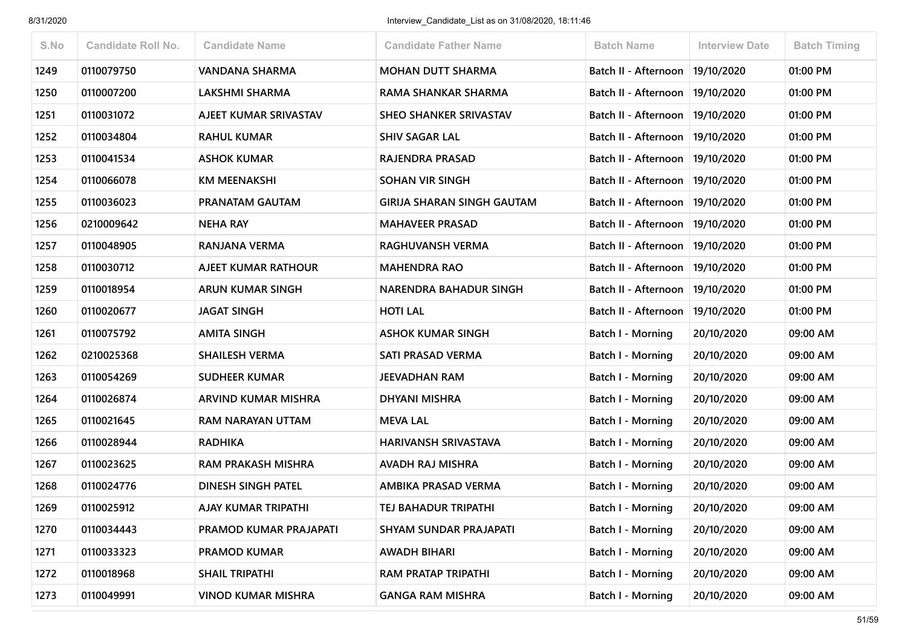| S.No | <b>Candidate Roll No.</b> | <b>Candidate Name</b>     | <b>Candidate Father Name</b>      | <b>Batch Name</b>                 | <b>Interview Date</b> | <b>Batch Timing</b> |
|------|---------------------------|---------------------------|-----------------------------------|-----------------------------------|-----------------------|---------------------|
| 1249 | 0110079750                | VANDANA SHARMA            | <b>MOHAN DUTT SHARMA</b>          | Batch II - Afternoon              | 19/10/2020            | 01:00 PM            |
| 1250 | 0110007200                | <b>LAKSHMI SHARMA</b>     | <b>RAMA SHANKAR SHARMA</b>        | Batch II - Afternoon              | 19/10/2020            | 01:00 PM            |
| 1251 | 0110031072                | AJEET KUMAR SRIVASTAV     | <b>SHEO SHANKER SRIVASTAV</b>     | Batch II - Afternoon              | 19/10/2020            | 01:00 PM            |
| 1252 | 0110034804                | <b>RAHUL KUMAR</b>        | <b>SHIV SAGAR LAL</b>             | Batch II - Afternoon   19/10/2020 |                       | 01:00 PM            |
| 1253 | 0110041534                | <b>ASHOK KUMAR</b>        | RAJENDRA PRASAD                   | Batch II - Afternoon              | 19/10/2020            | 01:00 PM            |
| 1254 | 0110066078                | <b>KM MEENAKSHI</b>       | <b>SOHAN VIR SINGH</b>            | Batch II - Afternoon   19/10/2020 |                       | 01:00 PM            |
| 1255 | 0110036023                | PRANATAM GAUTAM           | <b>GIRIJA SHARAN SINGH GAUTAM</b> | Batch II - Afternoon              | 19/10/2020            | 01:00 PM            |
| 1256 | 0210009642                | <b>NEHA RAY</b>           | <b>MAHAVEER PRASAD</b>            | Batch II - Afternoon              | 19/10/2020            | 01:00 PM            |
| 1257 | 0110048905                | RANJANA VERMA             | RAGHUVANSH VERMA                  | Batch II - Afternoon   19/10/2020 |                       | 01:00 PM            |
| 1258 | 0110030712                | AJEET KUMAR RATHOUR       | <b>MAHENDRA RAO</b>               | Batch II - Afternoon              | 19/10/2020            | 01:00 PM            |
| 1259 | 0110018954                | <b>ARUN KUMAR SINGH</b>   | NARENDRA BAHADUR SINGH            | <b>Batch II - Afternoon</b>       | 19/10/2020            | 01:00 PM            |
| 1260 | 0110020677                | <b>JAGAT SINGH</b>        | <b>HOTI LAL</b>                   | Batch II - Afternoon              | 19/10/2020            | 01:00 PM            |
| 1261 | 0110075792                | <b>AMITA SINGH</b>        | <b>ASHOK KUMAR SINGH</b>          | Batch I - Morning                 | 20/10/2020            | 09:00 AM            |
| 1262 | 0210025368                | <b>SHAILESH VERMA</b>     | SATI PRASAD VERMA                 | <b>Batch I - Morning</b>          | 20/10/2020            | 09:00 AM            |
| 1263 | 0110054269                | <b>SUDHEER KUMAR</b>      | <b>JEEVADHAN RAM</b>              | Batch I - Morning                 | 20/10/2020            | 09:00 AM            |
| 1264 | 0110026874                | ARVIND KUMAR MISHRA       | <b>DHYANI MISHRA</b>              | Batch I - Morning                 | 20/10/2020            | 09:00 AM            |
| 1265 | 0110021645                | RAM NARAYAN UTTAM         | <b>MEVA LAL</b>                   | <b>Batch I - Morning</b>          | 20/10/2020            | 09:00 AM            |
| 1266 | 0110028944                | <b>RADHIKA</b>            | HARIVANSH SRIVASTAVA              | Batch I - Morning                 | 20/10/2020            | 09:00 AM            |
| 1267 | 0110023625                | <b>RAM PRAKASH MISHRA</b> | AVADH RAJ MISHRA                  | Batch I - Morning                 | 20/10/2020            | 09:00 AM            |
| 1268 | 0110024776                | <b>DINESH SINGH PATEL</b> | AMBIKA PRASAD VERMA               | <b>Batch I - Morning</b>          | 20/10/2020            | 09:00 AM            |
| 1269 | 0110025912                | AJAY KUMAR TRIPATHI       | TEJ BAHADUR TRIPATHI              | Batch I - Morning                 | 20/10/2020            | 09:00 AM            |
| 1270 | 0110034443                | PRAMOD KUMAR PRAJAPATI    | SHYAM SUNDAR PRAJAPATI            | Batch I - Morning                 | 20/10/2020            | 09:00 AM            |
| 1271 | 0110033323                | <b>PRAMOD KUMAR</b>       | <b>AWADH BIHARI</b>               | Batch I - Morning                 | 20/10/2020            | 09:00 AM            |
| 1272 | 0110018968                | <b>SHAIL TRIPATHI</b>     | RAM PRATAP TRIPATHI               | <b>Batch I - Morning</b>          | 20/10/2020            | 09:00 AM            |
| 1273 | 0110049991                | <b>VINOD KUMAR MISHRA</b> | <b>GANGA RAM MISHRA</b>           | Batch I - Morning                 | 20/10/2020            | 09:00 AM            |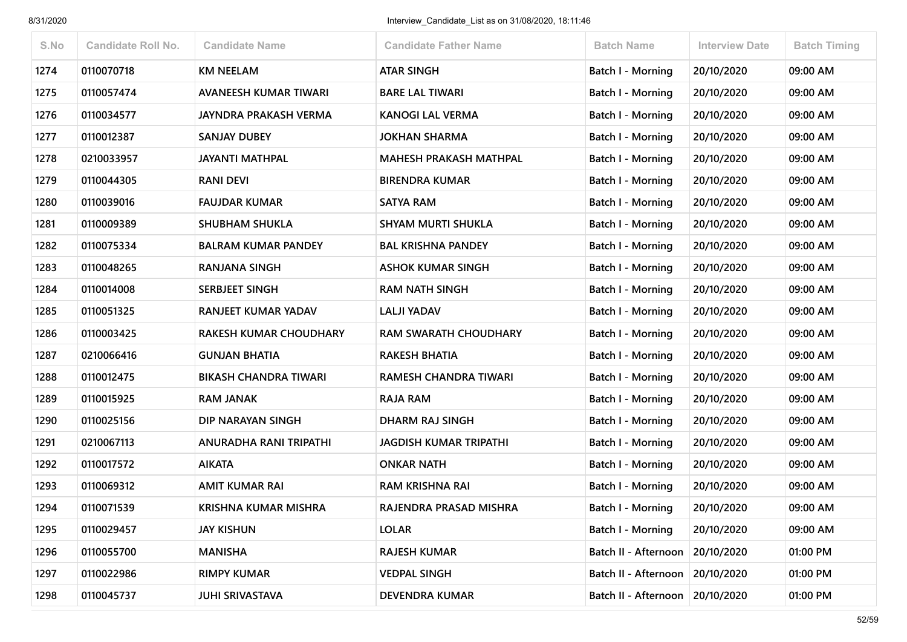| S.No | <b>Candidate Roll No.</b> | <b>Candidate Name</b>         | <b>Candidate Father Name</b>  | <b>Batch Name</b>        | <b>Interview Date</b> | <b>Batch Timing</b> |
|------|---------------------------|-------------------------------|-------------------------------|--------------------------|-----------------------|---------------------|
| 1274 | 0110070718                | <b>KM NEELAM</b>              | <b>ATAR SINGH</b>             | <b>Batch I - Morning</b> | 20/10/2020            | 09:00 AM            |
| 1275 | 0110057474                | AVANEESH KUMAR TIWARI         | <b>BARE LAL TIWARI</b>        | Batch I - Morning        | 20/10/2020            | 09:00 AM            |
| 1276 | 0110034577                | <b>JAYNDRA PRAKASH VERMA</b>  | <b>KANOGI LAL VERMA</b>       | Batch I - Morning        | 20/10/2020            | 09:00 AM            |
| 1277 | 0110012387                | <b>SANJAY DUBEY</b>           | <b>JOKHAN SHARMA</b>          | Batch I - Morning        | 20/10/2020            | 09:00 AM            |
| 1278 | 0210033957                | <b>JAYANTI MATHPAL</b>        | <b>MAHESH PRAKASH MATHPAL</b> | Batch I - Morning        | 20/10/2020            | 09:00 AM            |
| 1279 | 0110044305                | <b>RANI DEVI</b>              | <b>BIRENDRA KUMAR</b>         | <b>Batch I - Morning</b> | 20/10/2020            | 09:00 AM            |
| 1280 | 0110039016                | <b>FAUJDAR KUMAR</b>          | <b>SATYA RAM</b>              | Batch I - Morning        | 20/10/2020            | 09:00 AM            |
| 1281 | 0110009389                | <b>SHUBHAM SHUKLA</b>         | <b>SHYAM MURTI SHUKLA</b>     | Batch I - Morning        | 20/10/2020            | 09:00 AM            |
| 1282 | 0110075334                | <b>BALRAM KUMAR PANDEY</b>    | <b>BAL KRISHNA PANDEY</b>     | <b>Batch I - Morning</b> | 20/10/2020            | 09:00 AM            |
| 1283 | 0110048265                | <b>RANJANA SINGH</b>          | <b>ASHOK KUMAR SINGH</b>      | Batch I - Morning        | 20/10/2020            | 09:00 AM            |
| 1284 | 0110014008                | <b>SERBJEET SINGH</b>         | <b>RAM NATH SINGH</b>         | <b>Batch I - Morning</b> | 20/10/2020            | 09:00 AM            |
| 1285 | 0110051325                | RANJEET KUMAR YADAV           | <b>LALJI YADAV</b>            | <b>Batch I - Morning</b> | 20/10/2020            | 09:00 AM            |
| 1286 | 0110003425                | <b>RAKESH KUMAR CHOUDHARY</b> | <b>RAM SWARATH CHOUDHARY</b>  | Batch I - Morning        | 20/10/2020            | 09:00 AM            |
| 1287 | 0210066416                | <b>GUNJAN BHATIA</b>          | <b>RAKESH BHATIA</b>          | Batch I - Morning        | 20/10/2020            | 09:00 AM            |
| 1288 | 0110012475                | <b>BIKASH CHANDRA TIWARI</b>  | RAMESH CHANDRA TIWARI         | Batch I - Morning        | 20/10/2020            | 09:00 AM            |
| 1289 | 0110015925                | <b>RAM JANAK</b>              | RAJA RAM                      | Batch I - Morning        | 20/10/2020            | 09:00 AM            |
| 1290 | 0110025156                | DIP NARAYAN SINGH             | <b>DHARM RAJ SINGH</b>        | <b>Batch I - Morning</b> | 20/10/2020            | 09:00 AM            |
| 1291 | 0210067113                | ANURADHA RANI TRIPATHI        | <b>JAGDISH KUMAR TRIPATHI</b> | Batch I - Morning        | 20/10/2020            | 09:00 AM            |
| 1292 | 0110017572                | <b>AIKATA</b>                 | <b>ONKAR NATH</b>             | <b>Batch I - Morning</b> | 20/10/2020            | 09:00 AM            |
| 1293 | 0110069312                | <b>AMIT KUMAR RAI</b>         | <b>RAM KRISHNA RAI</b>        | Batch I - Morning        | 20/10/2020            | 09:00 AM            |
| 1294 | 0110071539                | KRISHNA KUMAR MISHRA          | RAJENDRA PRASAD MISHRA        | Batch I - Morning        | 20/10/2020            | 09:00 AM            |
| 1295 | 0110029457                | <b>JAY KISHUN</b>             | <b>LOLAR</b>                  | <b>Batch I - Morning</b> | 20/10/2020            | 09:00 AM            |
| 1296 | 0110055700                | <b>MANISHA</b>                | <b>RAJESH KUMAR</b>           | Batch II - Afternoon     | 20/10/2020            | 01:00 PM            |
| 1297 | 0110022986                | <b>RIMPY KUMAR</b>            | <b>VEDPAL SINGH</b>           | Batch II - Afternoon     | 20/10/2020            | 01:00 PM            |
| 1298 | 0110045737                | <b>JUHI SRIVASTAVA</b>        | <b>DEVENDRA KUMAR</b>         | Batch II - Afternoon     | 20/10/2020            | 01:00 PM            |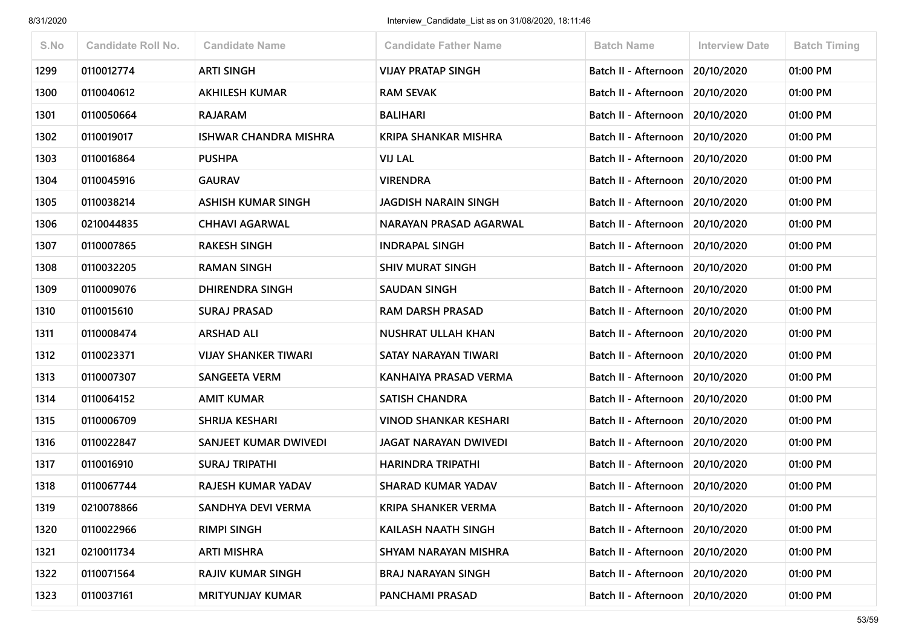| S.No | <b>Candidate Roll No.</b> | <b>Candidate Name</b>        | <b>Candidate Father Name</b> | <b>Batch Name</b>                 | <b>Interview Date</b> | <b>Batch Timing</b> |
|------|---------------------------|------------------------------|------------------------------|-----------------------------------|-----------------------|---------------------|
| 1299 | 0110012774                | <b>ARTI SINGH</b>            | <b>VIJAY PRATAP SINGH</b>    | Batch II - Afternoon              | 20/10/2020            | 01:00 PM            |
| 1300 | 0110040612                | <b>AKHILESH KUMAR</b>        | <b>RAM SEVAK</b>             | Batch II - Afternoon              | 20/10/2020            | 01:00 PM            |
| 1301 | 0110050664                | <b>RAJARAM</b>               | <b>BALIHARI</b>              | Batch II - Afternoon              | 20/10/2020            | 01:00 PM            |
| 1302 | 0110019017                | <b>ISHWAR CHANDRA MISHRA</b> | <b>KRIPA SHANKAR MISHRA</b>  | Batch II - Afternoon   20/10/2020 |                       | 01:00 PM            |
| 1303 | 0110016864                | <b>PUSHPA</b>                | <b>VIJ LAL</b>               | Batch II - Afternoon              | 20/10/2020            | 01:00 PM            |
| 1304 | 0110045916                | <b>GAURAV</b>                | <b>VIRENDRA</b>              | Batch II - Afternoon              | 20/10/2020            | 01:00 PM            |
| 1305 | 0110038214                | <b>ASHISH KUMAR SINGH</b>    | <b>JAGDISH NARAIN SINGH</b>  | Batch II - Afternoon              | 20/10/2020            | 01:00 PM            |
| 1306 | 0210044835                | <b>CHHAVI AGARWAL</b>        | NARAYAN PRASAD AGARWAL       | Batch II - Afternoon 20/10/2020   |                       | 01:00 PM            |
| 1307 | 0110007865                | <b>RAKESH SINGH</b>          | <b>INDRAPAL SINGH</b>        | Batch II - Afternoon              | 20/10/2020            | 01:00 PM            |
| 1308 | 0110032205                | <b>RAMAN SINGH</b>           | <b>SHIV MURAT SINGH</b>      | Batch II - Afternoon              | 20/10/2020            | 01:00 PM            |
| 1309 | 0110009076                | <b>DHIRENDRA SINGH</b>       | <b>SAUDAN SINGH</b>          | Batch II - Afternoon              | 20/10/2020            | 01:00 PM            |
| 1310 | 0110015610                | <b>SURAJ PRASAD</b>          | <b>RAM DARSH PRASAD</b>      | Batch II - Afternoon   20/10/2020 |                       | 01:00 PM            |
| 1311 | 0110008474                | <b>ARSHAD ALI</b>            | <b>NUSHRAT ULLAH KHAN</b>    | Batch II - Afternoon              | 20/10/2020            | 01:00 PM            |
| 1312 | 0110023371                | <b>VIJAY SHANKER TIWARI</b>  | SATAY NARAYAN TIWARI         | Batch II - Afternoon 20/10/2020   |                       | 01:00 PM            |
| 1313 | 0110007307                | <b>SANGEETA VERM</b>         | KANHAIYA PRASAD VERMA        | Batch II - Afternoon              | 20/10/2020            | 01:00 PM            |
| 1314 | 0110064152                | <b>AMIT KUMAR</b>            | <b>SATISH CHANDRA</b>        | Batch II - Afternoon              | 20/10/2020            | 01:00 PM            |
| 1315 | 0110006709                | SHRIJA KESHARI               | <b>VINOD SHANKAR KESHARI</b> | Batch II - Afternoon 20/10/2020   |                       | 01:00 PM            |
| 1316 | 0110022847                | SANJEET KUMAR DWIVEDI        | JAGAT NARAYAN DWIVEDI        | Batch II - Afternoon   20/10/2020 |                       | 01:00 PM            |
| 1317 | 0110016910                | <b>SURAJ TRIPATHI</b>        | <b>HARINDRA TRIPATHI</b>     | Batch II - Afternoon              | 20/10/2020            | 01:00 PM            |
| 1318 | 0110067744                | <b>RAJESH KUMAR YADAV</b>    | <b>SHARAD KUMAR YADAV</b>    | Batch II - Afternoon   20/10/2020 |                       | 01:00 PM            |
| 1319 | 0210078866                | SANDHYA DEVI VERMA           | <b>KRIPA SHANKER VERMA</b>   | Batch II - Afternoon   20/10/2020 |                       | 01:00 PM            |
| 1320 | 0110022966                | <b>RIMPI SINGH</b>           | KAILASH NAATH SINGH          | Batch II - Afternoon              | 20/10/2020            | 01:00 PM            |
| 1321 | 0210011734                | <b>ARTI MISHRA</b>           | SHYAM NARAYAN MISHRA         | Batch II - Afternoon              | 20/10/2020            | 01:00 PM            |
| 1322 | 0110071564                | <b>RAJIV KUMAR SINGH</b>     | <b>BRAJ NARAYAN SINGH</b>    | Batch II - Afternoon              | 20/10/2020            | 01:00 PM            |
| 1323 | 0110037161                | <b>MRITYUNJAY KUMAR</b>      | PANCHAMI PRASAD              | Batch II - Afternoon 20/10/2020   |                       | 01:00 PM            |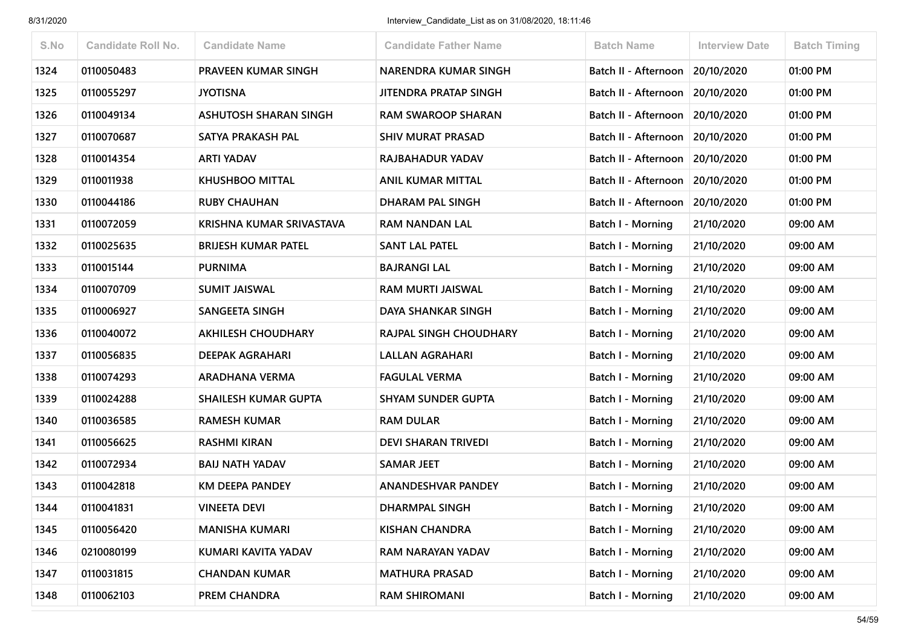| S.No | <b>Candidate Roll No.</b> | <b>Candidate Name</b>       | <b>Candidate Father Name</b>  | <b>Batch Name</b>        | <b>Interview Date</b> | <b>Batch Timing</b> |
|------|---------------------------|-----------------------------|-------------------------------|--------------------------|-----------------------|---------------------|
| 1324 | 0110050483                | <b>PRAVEEN KUMAR SINGH</b>  | NARENDRA KUMAR SINGH          | Batch II - Afternoon     | 20/10/2020            | 01:00 PM            |
| 1325 | 0110055297                | <b>JYOTISNA</b>             | <b>JITENDRA PRATAP SINGH</b>  | Batch II - Afternoon     | 20/10/2020            | 01:00 PM            |
| 1326 | 0110049134                | ASHUTOSH SHARAN SINGH       | <b>RAM SWAROOP SHARAN</b>     | Batch II - Afternoon     | 20/10/2020            | 01:00 PM            |
| 1327 | 0110070687                | SATYA PRAKASH PAL           | <b>SHIV MURAT PRASAD</b>      | Batch II - Afternoon     | 20/10/2020            | 01:00 PM            |
| 1328 | 0110014354                | <b>ARTI YADAV</b>           | <b>RAJBAHADUR YADAV</b>       | Batch II - Afternoon     | 20/10/2020            | 01:00 PM            |
| 1329 | 0110011938                | <b>KHUSHBOO MITTAL</b>      | <b>ANIL KUMAR MITTAL</b>      | Batch II - Afternoon     | 20/10/2020            | 01:00 PM            |
| 1330 | 0110044186                | <b>RUBY CHAUHAN</b>         | DHARAM PAL SINGH              | Batch II - Afternoon     | 20/10/2020            | 01:00 PM            |
| 1331 | 0110072059                | KRISHNA KUMAR SRIVASTAVA    | <b>RAM NANDAN LAL</b>         | Batch I - Morning        | 21/10/2020            | 09:00 AM            |
| 1332 | 0110025635                | <b>BRIJESH KUMAR PATEL</b>  | <b>SANT LAL PATEL</b>         | <b>Batch I - Morning</b> | 21/10/2020            | 09:00 AM            |
| 1333 | 0110015144                | <b>PURNIMA</b>              | <b>BAJRANGI LAL</b>           | <b>Batch I - Morning</b> | 21/10/2020            | 09:00 AM            |
| 1334 | 0110070709                | <b>SUMIT JAISWAL</b>        | <b>RAM MURTI JAISWAL</b>      | Batch I - Morning        | 21/10/2020            | 09:00 AM            |
| 1335 | 0110006927                | <b>SANGEETA SINGH</b>       | <b>DAYA SHANKAR SINGH</b>     | Batch I - Morning        | 21/10/2020            | 09:00 AM            |
| 1336 | 0110040072                | <b>AKHILESH CHOUDHARY</b>   | <b>RAJPAL SINGH CHOUDHARY</b> | <b>Batch I - Morning</b> | 21/10/2020            | 09:00 AM            |
| 1337 | 0110056835                | <b>DEEPAK AGRAHARI</b>      | <b>LALLAN AGRAHARI</b>        | Batch I - Morning        | 21/10/2020            | 09:00 AM            |
| 1338 | 0110074293                | <b>ARADHANA VERMA</b>       | <b>FAGULAL VERMA</b>          | <b>Batch I - Morning</b> | 21/10/2020            | 09:00 AM            |
| 1339 | 0110024288                | <b>SHAILESH KUMAR GUPTA</b> | <b>SHYAM SUNDER GUPTA</b>     | Batch I - Morning        | 21/10/2020            | 09:00 AM            |
| 1340 | 0110036585                | <b>RAMESH KUMAR</b>         | <b>RAM DULAR</b>              | <b>Batch I - Morning</b> | 21/10/2020            | 09:00 AM            |
| 1341 | 0110056625                | <b>RASHMI KIRAN</b>         | <b>DEVI SHARAN TRIVEDI</b>    | Batch I - Morning        | 21/10/2020            | 09:00 AM            |
| 1342 | 0110072934                | <b>BAIJ NATH YADAV</b>      | <b>SAMAR JEET</b>             | Batch I - Morning        | 21/10/2020            | 09:00 AM            |
| 1343 | 0110042818                | <b>KM DEEPA PANDEY</b>      | <b>ANANDESHVAR PANDEY</b>     | <b>Batch I - Morning</b> | 21/10/2020            | 09:00 AM            |
| 1344 | 0110041831                | <b>VINEETA DEVI</b>         | DHARMPAL SINGH                | <b>Batch I - Morning</b> | 21/10/2020            | 09:00 AM            |
| 1345 | 0110056420                | <b>MANISHA KUMARI</b>       | <b>KISHAN CHANDRA</b>         | <b>Batch I - Morning</b> | 21/10/2020            | 09:00 AM            |
| 1346 | 0210080199                | KUMARI KAVITA YADAV         | RAM NARAYAN YADAV             | <b>Batch I - Morning</b> | 21/10/2020            | 09:00 AM            |
| 1347 | 0110031815                | <b>CHANDAN KUMAR</b>        | <b>MATHURA PRASAD</b>         | Batch I - Morning        | 21/10/2020            | 09:00 AM            |
| 1348 | 0110062103                | PREM CHANDRA                | <b>RAM SHIROMANI</b>          | <b>Batch I - Morning</b> | 21/10/2020            | 09:00 AM            |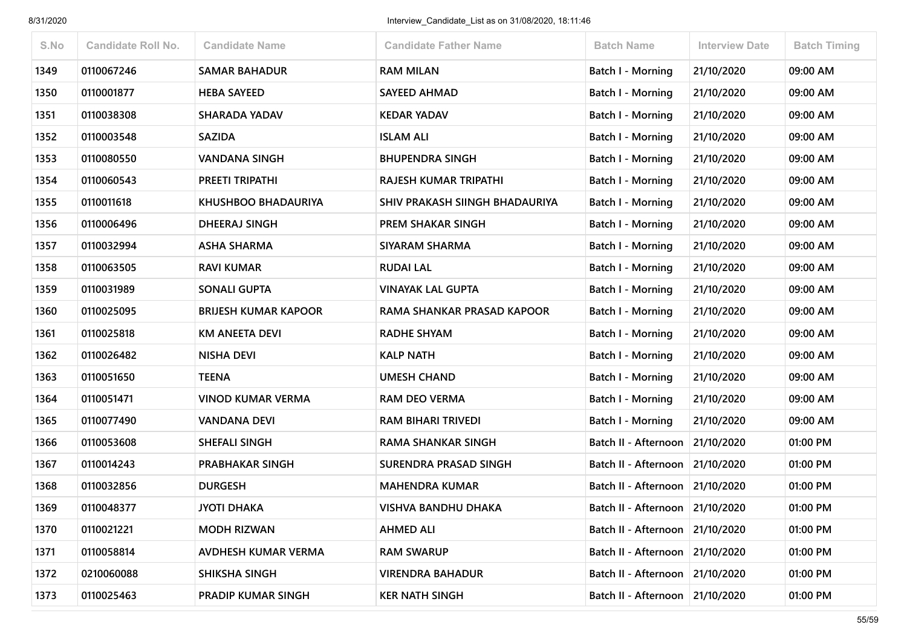| S.No | <b>Candidate Roll No.</b> | <b>Candidate Name</b>       | <b>Candidate Father Name</b>   | <b>Batch Name</b>                 | <b>Interview Date</b> | <b>Batch Timing</b> |
|------|---------------------------|-----------------------------|--------------------------------|-----------------------------------|-----------------------|---------------------|
| 1349 | 0110067246                | <b>SAMAR BAHADUR</b>        | <b>RAM MILAN</b>               | <b>Batch I - Morning</b>          | 21/10/2020            | 09:00 AM            |
| 1350 | 0110001877                | <b>HEBA SAYEED</b>          | <b>SAYEED AHMAD</b>            | Batch I - Morning                 | 21/10/2020            | 09:00 AM            |
| 1351 | 0110038308                | <b>SHARADA YADAV</b>        | <b>KEDAR YADAV</b>             | Batch I - Morning                 | 21/10/2020            | 09:00 AM            |
| 1352 | 0110003548                | <b>SAZIDA</b>               | <b>ISLAM ALI</b>               | Batch I - Morning                 | 21/10/2020            | 09:00 AM            |
| 1353 | 0110080550                | <b>VANDANA SINGH</b>        | <b>BHUPENDRA SINGH</b>         | <b>Batch I - Morning</b>          | 21/10/2020            | 09:00 AM            |
| 1354 | 0110060543                | PREETI TRIPATHI             | RAJESH KUMAR TRIPATHI          | <b>Batch I - Morning</b>          | 21/10/2020            | 09:00 AM            |
| 1355 | 0110011618                | <b>KHUSHBOO BHADAURIYA</b>  | SHIV PRAKASH SIINGH BHADAURIYA | Batch I - Morning                 | 21/10/2020            | 09:00 AM            |
| 1356 | 0110006496                | DHEERAJ SINGH               | PREM SHAKAR SINGH              | Batch I - Morning                 | 21/10/2020            | 09:00 AM            |
| 1357 | 0110032994                | <b>ASHA SHARMA</b>          | <b>SIYARAM SHARMA</b>          | Batch I - Morning                 | 21/10/2020            | 09:00 AM            |
| 1358 | 0110063505                | <b>RAVI KUMAR</b>           | <b>RUDAI LAL</b>               | Batch I - Morning                 | 21/10/2020            | 09:00 AM            |
| 1359 | 0110031989                | <b>SONALI GUPTA</b>         | <b>VINAYAK LAL GUPTA</b>       | <b>Batch I - Morning</b>          | 21/10/2020            | 09:00 AM            |
| 1360 | 0110025095                | <b>BRIJESH KUMAR KAPOOR</b> | RAMA SHANKAR PRASAD KAPOOR     | <b>Batch I - Morning</b>          | 21/10/2020            | 09:00 AM            |
| 1361 | 0110025818                | <b>KM ANEETA DEVI</b>       | <b>RADHE SHYAM</b>             | Batch I - Morning                 | 21/10/2020            | 09:00 AM            |
| 1362 | 0110026482                | <b>NISHA DEVI</b>           | <b>KALP NATH</b>               | Batch I - Morning                 | 21/10/2020            | 09:00 AM            |
| 1363 | 0110051650                | <b>TEENA</b>                | <b>UMESH CHAND</b>             | Batch I - Morning                 | 21/10/2020            | 09:00 AM            |
| 1364 | 0110051471                | VINOD KUMAR VERMA           | RAM DEO VERMA                  | Batch I - Morning                 | 21/10/2020            | 09:00 AM            |
| 1365 | 0110077490                | <b>VANDANA DEVI</b>         | <b>RAM BIHARI TRIVEDI</b>      | <b>Batch I - Morning</b>          | 21/10/2020            | 09:00 AM            |
| 1366 | 0110053608                | <b>SHEFALI SINGH</b>        | <b>RAMA SHANKAR SINGH</b>      | Batch II - Afternoon              | 21/10/2020            | 01:00 PM            |
| 1367 | 0110014243                | <b>PRABHAKAR SINGH</b>      | SURENDRA PRASAD SINGH          | Batch II - Afternoon   21/10/2020 |                       | 01:00 PM            |
| 1368 | 0110032856                | <b>DURGESH</b>              | <b>MAHENDRA KUMAR</b>          | Batch II - Afternoon              | 21/10/2020            | 01:00 PM            |
| 1369 | 0110048377                | <b>JYOTI DHAKA</b>          | <b>VISHVA BANDHU DHAKA</b>     | Batch II - Afternoon 21/10/2020   |                       | 01:00 PM            |
| 1370 | 0110021221                | <b>MODH RIZWAN</b>          | <b>AHMED ALI</b>               | Batch II - Afternoon 21/10/2020   |                       | 01:00 PM            |
| 1371 | 0110058814                | AVDHESH KUMAR VERMA         | <b>RAM SWARUP</b>              | Batch II - Afternoon 21/10/2020   |                       | 01:00 PM            |
| 1372 | 0210060088                | <b>SHIKSHA SINGH</b>        | <b>VIRENDRA BAHADUR</b>        | Batch II - Afternoon 21/10/2020   |                       | 01:00 PM            |
| 1373 | 0110025463                | PRADIP KUMAR SINGH          | <b>KER NATH SINGH</b>          | Batch II - Afternoon              | 21/10/2020            | 01:00 PM            |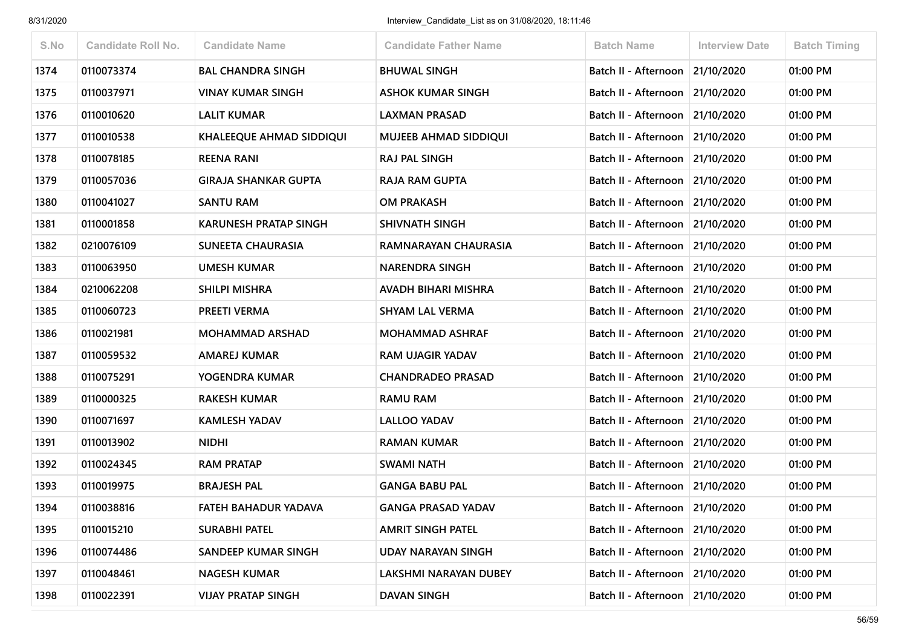| S.No | <b>Candidate Roll No.</b> | <b>Candidate Name</b>           | <b>Candidate Father Name</b> | <b>Batch Name</b>                 | <b>Interview Date</b> | <b>Batch Timing</b> |
|------|---------------------------|---------------------------------|------------------------------|-----------------------------------|-----------------------|---------------------|
| 1374 | 0110073374                | <b>BAL CHANDRA SINGH</b>        | <b>BHUWAL SINGH</b>          | Batch II - Afternoon 21/10/2020   |                       | 01:00 PM            |
| 1375 | 0110037971                | VINAY KUMAR SINGH               | <b>ASHOK KUMAR SINGH</b>     | Batch II - Afternoon 21/10/2020   |                       | 01:00 PM            |
| 1376 | 0110010620                | <b>LALIT KUMAR</b>              | <b>LAXMAN PRASAD</b>         | Batch II - Afternoon              | 21/10/2020            | 01:00 PM            |
| 1377 | 0110010538                | <b>KHALEEQUE AHMAD SIDDIQUI</b> | <b>MUJEEB AHMAD SIDDIQUI</b> | Batch II - Afternoon 21/10/2020   |                       | 01:00 PM            |
| 1378 | 0110078185                | <b>REENA RANI</b>               | RAJ PAL SINGH                | Batch II - Afternoon 21/10/2020   |                       | 01:00 PM            |
| 1379 | 0110057036                | <b>GIRAJA SHANKAR GUPTA</b>     | RAJA RAM GUPTA               | Batch II - Afternoon 21/10/2020   |                       | 01:00 PM            |
| 1380 | 0110041027                | <b>SANTU RAM</b>                | <b>OM PRAKASH</b>            | Batch II - Afternoon 21/10/2020   |                       | 01:00 PM            |
| 1381 | 0110001858                | <b>KARUNESH PRATAP SINGH</b>    | SHIVNATH SINGH               | Batch II - Afternoon 21/10/2020   |                       | 01:00 PM            |
| 1382 | 0210076109                | SUNEETA CHAURASIA               | RAMNARAYAN CHAURASIA         | Batch II - Afternoon 21/10/2020   |                       | 01:00 PM            |
| 1383 | 0110063950                | <b>UMESH KUMAR</b>              | <b>NARENDRA SINGH</b>        | Batch II - Afternoon 21/10/2020   |                       | 01:00 PM            |
| 1384 | 0210062208                | <b>SHILPI MISHRA</b>            | AVADH BIHARI MISHRA          | Batch II - Afternoon 21/10/2020   |                       | 01:00 PM            |
| 1385 | 0110060723                | PREETI VERMA                    | <b>SHYAM LAL VERMA</b>       | Batch II - Afternoon 21/10/2020   |                       | 01:00 PM            |
| 1386 | 0110021981                | <b>MOHAMMAD ARSHAD</b>          | <b>MOHAMMAD ASHRAF</b>       | Batch II - Afternoon 21/10/2020   |                       | 01:00 PM            |
| 1387 | 0110059532                | <b>AMAREJ KUMAR</b>             | <b>RAM UJAGIR YADAV</b>      | Batch II - Afternoon 21/10/2020   |                       | 01:00 PM            |
| 1388 | 0110075291                | YOGENDRA KUMAR                  | <b>CHANDRADEO PRASAD</b>     | Batch II - Afternoon   21/10/2020 |                       | 01:00 PM            |
| 1389 | 0110000325                | <b>RAKESH KUMAR</b>             | <b>RAMU RAM</b>              | Batch II - Afternoon 21/10/2020   |                       | 01:00 PM            |
| 1390 | 0110071697                | <b>KAMLESH YADAV</b>            | <b>LALLOO YADAV</b>          | Batch II - Afternoon 21/10/2020   |                       | 01:00 PM            |
| 1391 | 0110013902                | <b>NIDHI</b>                    | <b>RAMAN KUMAR</b>           | Batch II - Afternoon   21/10/2020 |                       | 01:00 PM            |
| 1392 | 0110024345                | <b>RAM PRATAP</b>               | <b>SWAMI NATH</b>            | Batch II - Afternoon 21/10/2020   |                       | 01:00 PM            |
| 1393 | 0110019975                | <b>BRAJESH PAL</b>              | <b>GANGA BABU PAL</b>        | Batch II - Afternoon 21/10/2020   |                       | 01:00 PM            |
| 1394 | 0110038816                | FATEH BAHADUR YADAVA            | <b>GANGA PRASAD YADAV</b>    | Batch II - Afternoon 21/10/2020   |                       | 01:00 PM            |
| 1395 | 0110015210                | <b>SURABHI PATEL</b>            | <b>AMRIT SINGH PATEL</b>     | Batch II - Afternoon 21/10/2020   |                       | 01:00 PM            |
| 1396 | 0110074486                | <b>SANDEEP KUMAR SINGH</b>      | <b>UDAY NARAYAN SINGH</b>    | Batch II - Afternoon              | 21/10/2020            | 01:00 PM            |
| 1397 | 0110048461                | <b>NAGESH KUMAR</b>             | LAKSHMI NARAYAN DUBEY        | Batch II - Afternoon              | 21/10/2020            | 01:00 PM            |
| 1398 | 0110022391                | <b>VIJAY PRATAP SINGH</b>       | <b>DAVAN SINGH</b>           | Batch II - Afternoon              | 21/10/2020            | 01:00 PM            |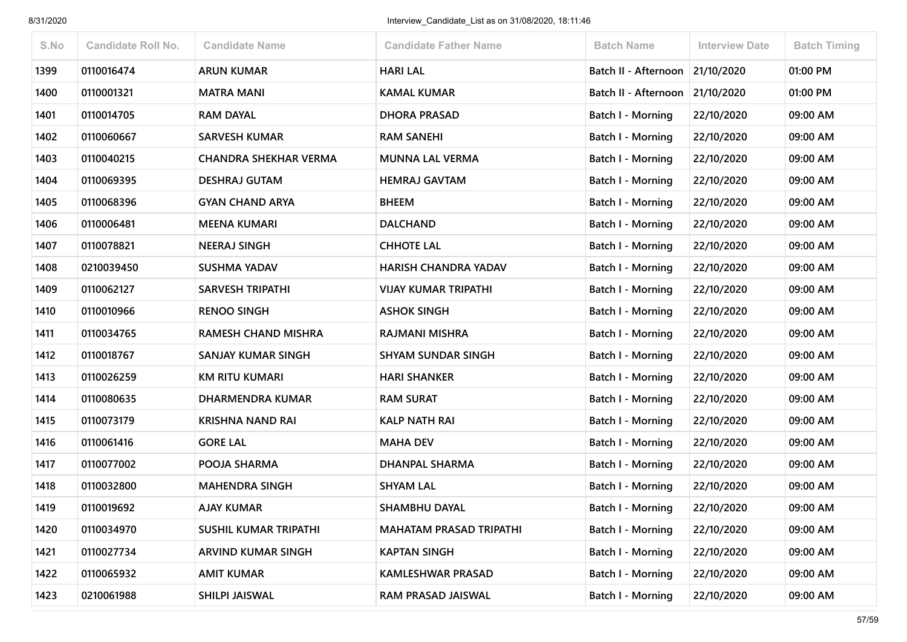| S.No | <b>Candidate Roll No.</b> | <b>Candidate Name</b>        | <b>Candidate Father Name</b>   | <b>Batch Name</b>        | <b>Interview Date</b> | <b>Batch Timing</b> |
|------|---------------------------|------------------------------|--------------------------------|--------------------------|-----------------------|---------------------|
| 1399 | 0110016474                | <b>ARUN KUMAR</b>            | <b>HARI LAL</b>                | Batch II - Afternoon     | 21/10/2020            | 01:00 PM            |
| 1400 | 0110001321                | <b>MATRA MANI</b>            | <b>KAMAL KUMAR</b>             | Batch II - Afternoon     | 21/10/2020            | 01:00 PM            |
| 1401 | 0110014705                | <b>RAM DAYAL</b>             | <b>DHORA PRASAD</b>            | <b>Batch I - Morning</b> | 22/10/2020            | 09:00 AM            |
| 1402 | 0110060667                | <b>SARVESH KUMAR</b>         | <b>RAM SANEHI</b>              | <b>Batch I - Morning</b> | 22/10/2020            | 09:00 AM            |
| 1403 | 0110040215                | <b>CHANDRA SHEKHAR VERMA</b> | <b>MUNNA LAL VERMA</b>         | Batch I - Morning        | 22/10/2020            | 09:00 AM            |
| 1404 | 0110069395                | <b>DESHRAJ GUTAM</b>         | <b>HEMRAJ GAVTAM</b>           | <b>Batch I - Morning</b> | 22/10/2020            | 09:00 AM            |
| 1405 | 0110068396                | <b>GYAN CHAND ARYA</b>       | <b>BHEEM</b>                   | Batch I - Morning        | 22/10/2020            | 09:00 AM            |
| 1406 | 0110006481                | <b>MEENA KUMARI</b>          | <b>DALCHAND</b>                | <b>Batch I - Morning</b> | 22/10/2020            | 09:00 AM            |
| 1407 | 0110078821                | <b>NEERAJ SINGH</b>          | <b>CHHOTE LAL</b>              | <b>Batch I - Morning</b> | 22/10/2020            | 09:00 AM            |
| 1408 | 0210039450                | <b>SUSHMA YADAV</b>          | <b>HARISH CHANDRA YADAV</b>    | Batch I - Morning        | 22/10/2020            | 09:00 AM            |
| 1409 | 0110062127                | <b>SARVESH TRIPATHI</b>      | <b>VIJAY KUMAR TRIPATHI</b>    | <b>Batch I - Morning</b> | 22/10/2020            | 09:00 AM            |
| 1410 | 0110010966                | <b>RENOO SINGH</b>           | <b>ASHOK SINGH</b>             | <b>Batch I - Morning</b> | 22/10/2020            | 09:00 AM            |
| 1411 | 0110034765                | RAMESH CHAND MISHRA          | RAJMANI MISHRA                 | Batch I - Morning        | 22/10/2020            | 09:00 AM            |
| 1412 | 0110018767                | SANJAY KUMAR SINGH           | <b>SHYAM SUNDAR SINGH</b>      | <b>Batch I - Morning</b> | 22/10/2020            | 09:00 AM            |
| 1413 | 0110026259                | <b>KM RITU KUMARI</b>        | <b>HARI SHANKER</b>            | <b>Batch I - Morning</b> | 22/10/2020            | 09:00 AM            |
| 1414 | 0110080635                | DHARMENDRA KUMAR             | <b>RAM SURAT</b>               | Batch I - Morning        | 22/10/2020            | 09:00 AM            |
| 1415 | 0110073179                | <b>KRISHNA NAND RAI</b>      | <b>KALP NATH RAI</b>           | <b>Batch I - Morning</b> | 22/10/2020            | 09:00 AM            |
| 1416 | 0110061416                | <b>GORE LAL</b>              | <b>MAHA DEV</b>                | <b>Batch I - Morning</b> | 22/10/2020            | 09:00 AM            |
| 1417 | 0110077002                | POOJA SHARMA                 | DHANPAL SHARMA                 | Batch I - Morning        | 22/10/2020            | 09:00 AM            |
| 1418 | 0110032800                | <b>MAHENDRA SINGH</b>        | <b>SHYAM LAL</b>               | <b>Batch I - Morning</b> | 22/10/2020            | 09:00 AM            |
| 1419 | 0110019692                | <b>AJAY KUMAR</b>            | <b>SHAMBHU DAYAL</b>           | Batch I - Morning        | 22/10/2020            | 09:00 AM            |
| 1420 | 0110034970                | SUSHIL KUMAR TRIPATHI        | <b>MAHATAM PRASAD TRIPATHI</b> | <b>Batch I - Morning</b> | 22/10/2020            | 09:00 AM            |
| 1421 | 0110027734                | ARVIND KUMAR SINGH           | <b>KAPTAN SINGH</b>            | Batch I - Morning        | 22/10/2020            | 09:00 AM            |
| 1422 | 0110065932                | <b>AMIT KUMAR</b>            | <b>KAMLESHWAR PRASAD</b>       | Batch I - Morning        | 22/10/2020            | 09:00 AM            |
| 1423 | 0210061988                | SHILPI JAISWAL               | RAM PRASAD JAISWAL             | <b>Batch I - Morning</b> | 22/10/2020            | 09:00 AM            |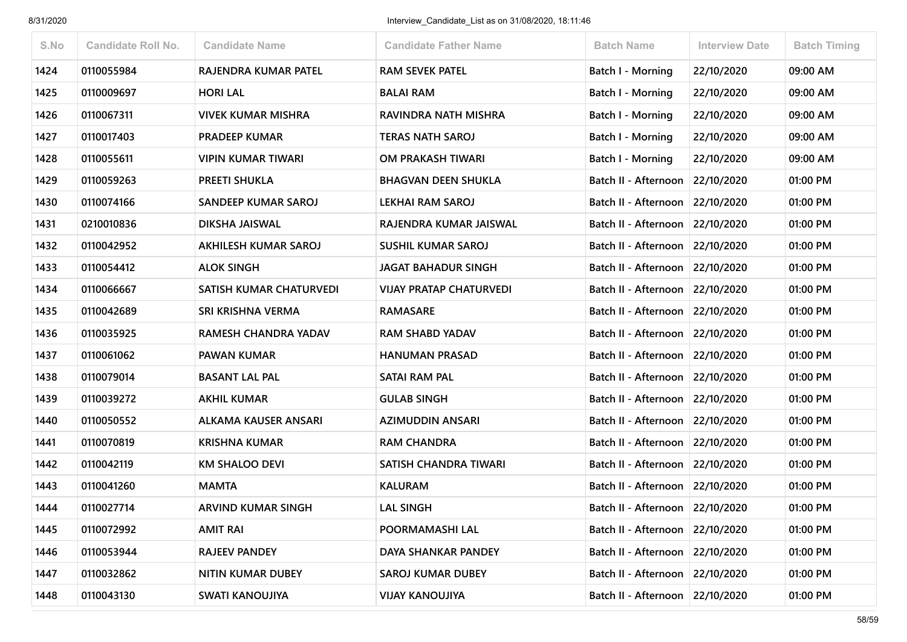| S.No | <b>Candidate Roll No.</b> | <b>Candidate Name</b>       | <b>Candidate Father Name</b>   | <b>Batch Name</b>               | <b>Interview Date</b> | <b>Batch Timing</b> |
|------|---------------------------|-----------------------------|--------------------------------|---------------------------------|-----------------------|---------------------|
| 1424 | 0110055984                | RAJENDRA KUMAR PATEL        | <b>RAM SEVEK PATEL</b>         | <b>Batch I - Morning</b>        | 22/10/2020            | 09:00 AM            |
| 1425 | 0110009697                | <b>HORI LAL</b>             | <b>BALAI RAM</b>               | Batch I - Morning               | 22/10/2020            | 09:00 AM            |
| 1426 | 0110067311                | <b>VIVEK KUMAR MISHRA</b>   | RAVINDRA NATH MISHRA           | Batch I - Morning               | 22/10/2020            | 09:00 AM            |
| 1427 | 0110017403                | <b>PRADEEP KUMAR</b>        | <b>TERAS NATH SAROJ</b>        | Batch I - Morning               | 22/10/2020            | 09:00 AM            |
| 1428 | 0110055611                | <b>VIPIN KUMAR TIWARI</b>   | OM PRAKASH TIWARI              | Batch I - Morning               | 22/10/2020            | 09:00 AM            |
| 1429 | 0110059263                | <b>PREETI SHUKLA</b>        | <b>BHAGVAN DEEN SHUKLA</b>     | Batch II - Afternoon            | 22/10/2020            | 01:00 PM            |
| 1430 | 0110074166                | SANDEEP KUMAR SAROJ         | <b>LEKHAI RAM SAROJ</b>        | Batch II - Afternoon            | 22/10/2020            | 01:00 PM            |
| 1431 | 0210010836                | DIKSHA JAISWAL              | RAJENDRA KUMAR JAISWAL         | Batch II - Afternoon            | 22/10/2020            | 01:00 PM            |
| 1432 | 0110042952                | AKHILESH KUMAR SAROJ        | <b>SUSHIL KUMAR SAROJ</b>      | Batch II - Afternoon            | 22/10/2020            | 01:00 PM            |
| 1433 | 0110054412                | <b>ALOK SINGH</b>           | <b>JAGAT BAHADUR SINGH</b>     | Batch II - Afternoon            | 22/10/2020            | 01:00 PM            |
| 1434 | 0110066667                | SATISH KUMAR CHATURVEDI     | <b>VIJAY PRATAP CHATURVEDI</b> | Batch II - Afternoon            | 22/10/2020            | 01:00 PM            |
| 1435 | 0110042689                | SRI KRISHNA VERMA           | <b>RAMASARE</b>                | Batch II - Afternoon            | 22/10/2020            | 01:00 PM            |
| 1436 | 0110035925                | RAMESH CHANDRA YADAV        | <b>RAM SHABD YADAV</b>         | Batch II - Afternoon            | 22/10/2020            | 01:00 PM            |
| 1437 | 0110061062                | <b>PAWAN KUMAR</b>          | <b>HANUMAN PRASAD</b>          | Batch II - Afternoon 22/10/2020 |                       | 01:00 PM            |
| 1438 | 0110079014                | <b>BASANT LAL PAL</b>       | SATAI RAM PAL                  | Batch II - Afternoon            | 22/10/2020            | 01:00 PM            |
| 1439 | 0110039272                | <b>AKHIL KUMAR</b>          | <b>GULAB SINGH</b>             | Batch II - Afternoon            | 22/10/2020            | 01:00 PM            |
| 1440 | 0110050552                | <b>ALKAMA KAUSER ANSARI</b> | <b>AZIMUDDIN ANSARI</b>        | Batch II - Afternoon            | 22/10/2020            | 01:00 PM            |
| 1441 | 0110070819                | <b>KRISHNA KUMAR</b>        | <b>RAM CHANDRA</b>             | Batch II - Afternoon            | 22/10/2020            | 01:00 PM            |
| 1442 | 0110042119                | <b>KM SHALOO DEVI</b>       | SATISH CHANDRA TIWARI          | Batch II - Afternoon            | 22/10/2020            | 01:00 PM            |
| 1443 | 0110041260                | <b>MAMTA</b>                | <b>KALURAM</b>                 | Batch II - Afternoon            | 22/10/2020            | 01:00 PM            |
| 1444 | 0110027714                | <b>ARVIND KUMAR SINGH</b>   | <b>LAL SINGH</b>               | Batch II - Afternoon 22/10/2020 |                       | 01:00 PM            |
| 1445 | 0110072992                | <b>AMIT RAI</b>             | POORMAMASHI LAL                | Batch II - Afternoon 22/10/2020 |                       | 01:00 PM            |
| 1446 | 0110053944                | RAJEEV PANDEY               | DAYA SHANKAR PANDEY            | Batch II - Afternoon            | 22/10/2020            | 01:00 PM            |
| 1447 | 0110032862                | NITIN KUMAR DUBEY           | <b>SAROJ KUMAR DUBEY</b>       | Batch II - Afternoon            | 22/10/2020            | 01:00 PM            |
| 1448 | 0110043130                | <b>SWATI KANOUJIYA</b>      | <b>VIJAY KANOUJIYA</b>         | Batch II - Afternoon            | 22/10/2020            | 01:00 PM            |